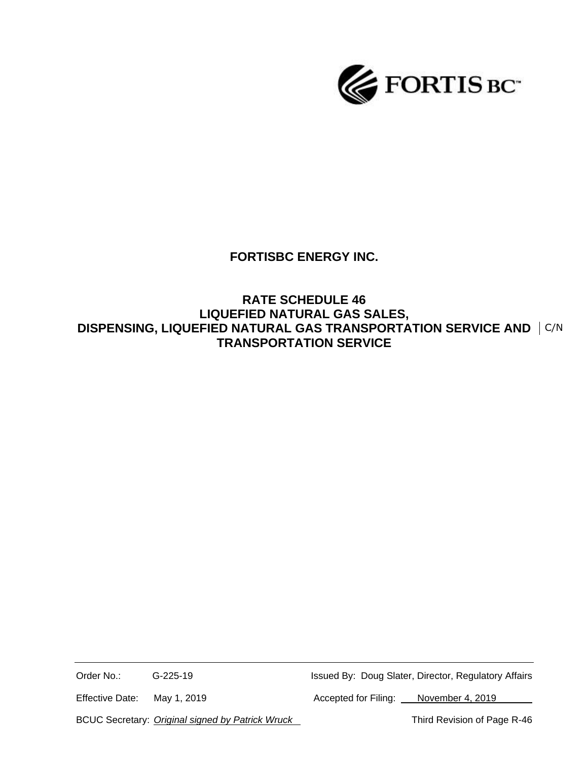

# **FORTISBC ENERGY INC.**

## **RATE SCHEDULE 46 LIQUEFIED NATURAL GAS SALES, DISPENSING, LIQUEFIED NATURAL GAS TRANSPORTATION SERVICE AND**  C/N**TRANSPORTATION SERVICE**

Order No.: G-225-19 G-225-19 Issued By: Doug Slater, Director, Regulatory Affairs

Effective Date: May 1, 2019 Machines Accepted for Filing: November 4, 2019

BCUC Secretary: *Original signed by Patrick Wruck* Third Revision of Page R-46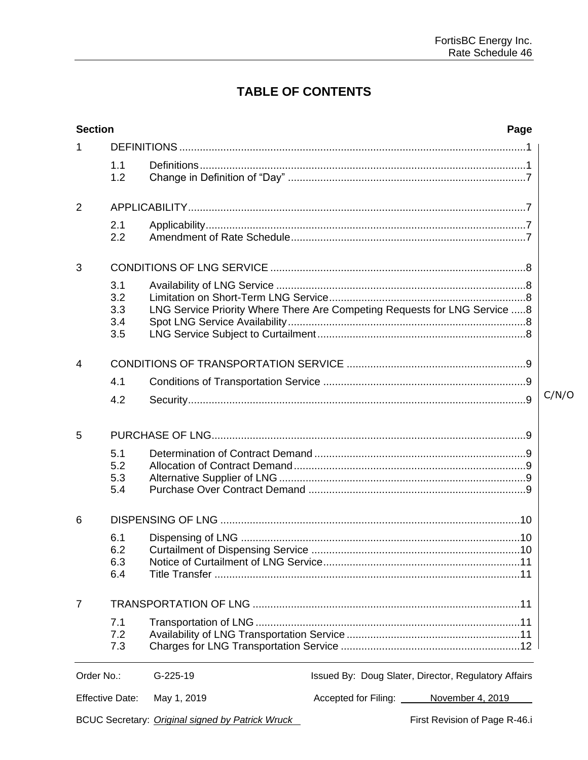# **TABLE OF CONTENTS**

| <b>Section</b>         |            |                                                                           |  | Page                                                 |       |  |
|------------------------|------------|---------------------------------------------------------------------------|--|------------------------------------------------------|-------|--|
| 1                      |            |                                                                           |  |                                                      |       |  |
|                        | 1.1        |                                                                           |  |                                                      |       |  |
|                        | 1.2        |                                                                           |  |                                                      |       |  |
| $\overline{2}$         |            |                                                                           |  |                                                      |       |  |
|                        | 2.1        |                                                                           |  |                                                      |       |  |
|                        | 2.2        |                                                                           |  |                                                      |       |  |
| 3                      |            |                                                                           |  |                                                      |       |  |
|                        | 3.1        |                                                                           |  |                                                      |       |  |
|                        | 3.2        |                                                                           |  |                                                      |       |  |
|                        | 3.3        | LNG Service Priority Where There Are Competing Requests for LNG Service 8 |  |                                                      |       |  |
|                        | 3.4<br>3.5 |                                                                           |  |                                                      |       |  |
| 4                      |            |                                                                           |  |                                                      |       |  |
|                        | 4.1        |                                                                           |  |                                                      |       |  |
|                        | 4.2        |                                                                           |  |                                                      | C/N/O |  |
| 5                      |            |                                                                           |  |                                                      |       |  |
|                        | 5.1        |                                                                           |  |                                                      |       |  |
|                        | 5.2<br>5.3 |                                                                           |  |                                                      |       |  |
|                        | 5.4        |                                                                           |  |                                                      |       |  |
| 6                      |            |                                                                           |  |                                                      |       |  |
|                        | 6.1        |                                                                           |  |                                                      |       |  |
|                        | 6.2        |                                                                           |  |                                                      |       |  |
|                        | 6.3        |                                                                           |  |                                                      |       |  |
|                        | 6.4        |                                                                           |  |                                                      |       |  |
| $\overline{7}$         |            |                                                                           |  |                                                      |       |  |
|                        | 7.1        |                                                                           |  |                                                      |       |  |
|                        | 7.2<br>7.3 |                                                                           |  |                                                      |       |  |
|                        |            |                                                                           |  |                                                      |       |  |
| Order No.:             |            | G-225-19                                                                  |  | Issued By: Doug Slater, Director, Regulatory Affairs |       |  |
| <b>Effective Date:</b> |            | May 1, 2019                                                               |  | Accepted for Filing: November 4, 2019                |       |  |
|                        |            | BCUC Secretary: Original signed by Patrick Wruck                          |  | First Revision of Page R-46.i                        |       |  |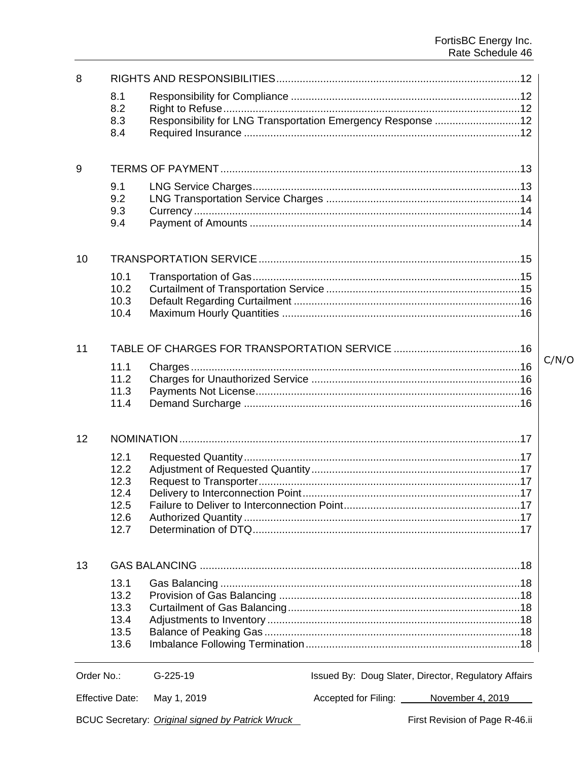| 8          |                        |                                                             |                                                      |       |  |
|------------|------------------------|-------------------------------------------------------------|------------------------------------------------------|-------|--|
|            | 8.1                    |                                                             |                                                      |       |  |
|            | 8.2                    |                                                             |                                                      |       |  |
|            | 8.3<br>8.4             | Responsibility for LNG Transportation Emergency Response 12 |                                                      |       |  |
|            |                        |                                                             |                                                      |       |  |
| 9          |                        |                                                             |                                                      |       |  |
|            | 9.1                    |                                                             |                                                      |       |  |
|            | 9.2                    |                                                             |                                                      |       |  |
|            | 9.3                    |                                                             |                                                      |       |  |
|            | 9.4                    |                                                             |                                                      |       |  |
| 10         |                        |                                                             |                                                      |       |  |
|            | 10.1                   |                                                             |                                                      |       |  |
|            | 10.2                   |                                                             |                                                      |       |  |
|            | 10.3                   |                                                             |                                                      |       |  |
|            | 10.4                   |                                                             |                                                      |       |  |
|            |                        |                                                             |                                                      |       |  |
| 11         |                        |                                                             |                                                      | C/N/O |  |
|            | 11.1                   |                                                             |                                                      |       |  |
|            | 11.2                   |                                                             |                                                      |       |  |
|            | 11.3                   |                                                             |                                                      |       |  |
|            | 11.4                   |                                                             |                                                      |       |  |
| 12         |                        |                                                             |                                                      |       |  |
|            | 12.1                   |                                                             |                                                      |       |  |
|            | 12.2                   |                                                             |                                                      |       |  |
|            | 12.3                   |                                                             |                                                      |       |  |
|            | 12.4                   |                                                             |                                                      |       |  |
|            | 12.5                   |                                                             |                                                      |       |  |
|            | 12.6                   |                                                             |                                                      |       |  |
|            | 12.7                   |                                                             |                                                      |       |  |
| 13         |                        |                                                             |                                                      |       |  |
|            | 13.1                   |                                                             |                                                      |       |  |
|            | 13.2                   |                                                             |                                                      |       |  |
|            | 13.3                   |                                                             |                                                      |       |  |
|            | 13.4                   |                                                             |                                                      |       |  |
|            | 13.5                   |                                                             |                                                      |       |  |
|            | 13.6                   |                                                             |                                                      |       |  |
| Order No.: |                        | $G-225-19$                                                  | Issued By: Doug Slater, Director, Regulatory Affairs |       |  |
|            | <b>Effective Date:</b> | May 1, 2019                                                 | Accepted for Filing: November 4, 2019                |       |  |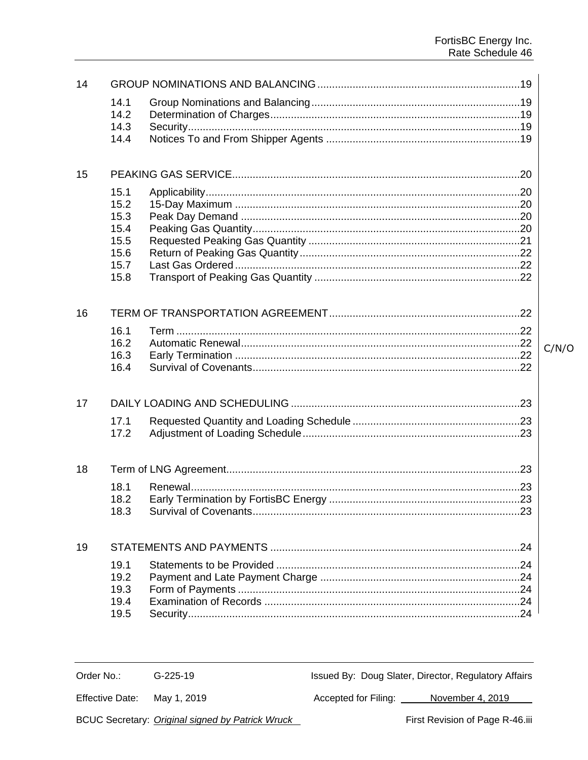$C/N/O$ 

| 14 |              |  |
|----|--------------|--|
|    | 14.1         |  |
|    | 14.2         |  |
|    | 14.3<br>14.4 |  |
|    |              |  |
|    |              |  |
| 15 |              |  |
|    | 15.1         |  |
|    | 15.2         |  |
|    | 15.3<br>15.4 |  |
|    | 15.5         |  |
|    | 15.6         |  |
|    | 15.7         |  |
|    | 15.8         |  |
|    |              |  |
| 16 |              |  |
|    | 16.1         |  |
|    | 16.2         |  |
|    | 16.3         |  |
|    | 16.4         |  |
|    |              |  |
| 17 |              |  |
|    | 17.1         |  |
|    | 17.2         |  |
|    |              |  |
| 18 |              |  |
|    | 18.1         |  |
|    | 18.2         |  |
|    | 18.3         |  |
|    |              |  |
| 19 |              |  |
|    | 19.1         |  |
|    | 19.2         |  |
|    | 19.3<br>19.4 |  |
|    | 19.5         |  |
|    |              |  |

Order No.: G-225-19 Issued By: Doug Slater, Director, Regulatory Affairs

May 1, 2019 **Effective Date:** 

Accepted for Filing: November 4, 2019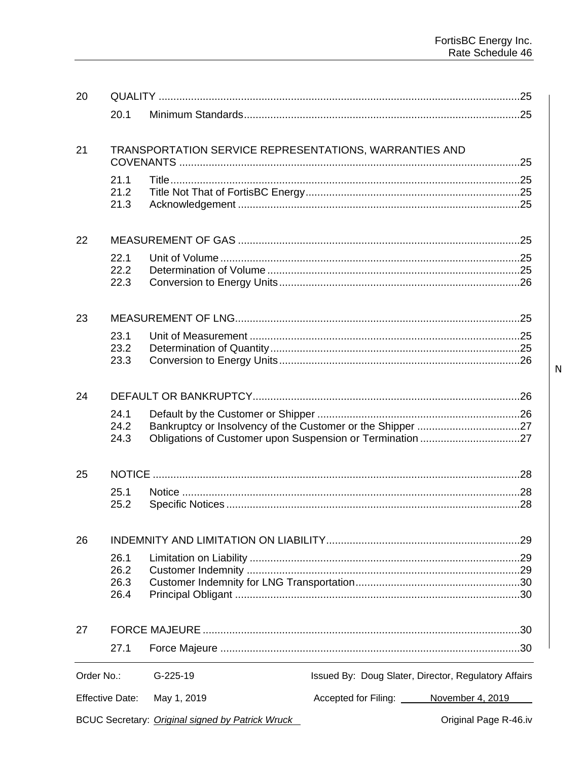| 20         |                              |                                                        |                                                      |
|------------|------------------------------|--------------------------------------------------------|------------------------------------------------------|
|            | 20.1                         |                                                        |                                                      |
|            |                              |                                                        |                                                      |
| 21         |                              | TRANSPORTATION SERVICE REPRESENTATIONS, WARRANTIES AND |                                                      |
|            | 21.1<br>21.2<br>21.3         |                                                        |                                                      |
| 22         |                              |                                                        |                                                      |
|            | 22.1<br>22.2<br>22.3         |                                                        |                                                      |
| 23         |                              |                                                        |                                                      |
|            | 23.1<br>23.2                 |                                                        |                                                      |
|            | 23.3                         |                                                        |                                                      |
| 24         |                              |                                                        |                                                      |
|            | 24.1<br>24.2<br>24.3         |                                                        |                                                      |
| 25         |                              |                                                        |                                                      |
|            | 25.1<br>25.2                 |                                                        |                                                      |
| 26         |                              |                                                        |                                                      |
|            | 26.1<br>26.2<br>26.3<br>26.4 |                                                        |                                                      |
| 27         |                              |                                                        |                                                      |
|            | 27.1                         |                                                        |                                                      |
| Order No.: |                              | $G-225-19$                                             | Issued By: Doug Slater, Director, Regulatory Affairs |
|            | <b>Effective Date:</b>       | May 1, 2019                                            | Accepted for Filing: November 4, 2019                |
|            |                              | BCUC Secretary: Original signed by Patrick Wruck       | Original Page R-46.iv                                |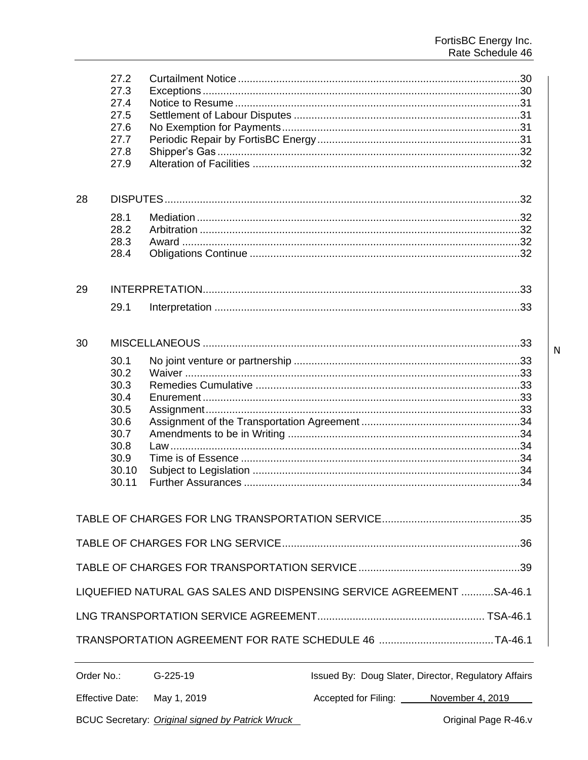|            | 27.2<br>27.3<br>27.4<br>27.5<br>27.6<br>27.7<br>27.8<br>27.9                           |            |                                                                      |
|------------|----------------------------------------------------------------------------------------|------------|----------------------------------------------------------------------|
| 28         |                                                                                        |            |                                                                      |
|            | 28.1<br>28.2<br>28.3<br>28.4                                                           |            |                                                                      |
| 29         |                                                                                        |            |                                                                      |
|            | 29.1                                                                                   |            |                                                                      |
| 30         |                                                                                        |            |                                                                      |
|            | 30.1<br>30.2<br>30.3<br>30.4<br>30.5<br>30.6<br>30.7<br>30.8<br>30.9<br>30.10<br>30.11 |            |                                                                      |
|            |                                                                                        |            |                                                                      |
|            |                                                                                        |            |                                                                      |
|            |                                                                                        |            |                                                                      |
|            |                                                                                        |            | LIQUEFIED NATURAL GAS SALES AND DISPENSING SERVICE AGREEMENT SA-46.1 |
|            |                                                                                        |            |                                                                      |
|            |                                                                                        |            |                                                                      |
| Order No.: |                                                                                        | $G-225-19$ | Issued By: Doug Slater, Director, Regulatory Affairs                 |
|            |                                                                                        |            |                                                                      |

BCUC Secretary: Original signed by Patrick Wruck

Accepted for Filing: November 4, 2019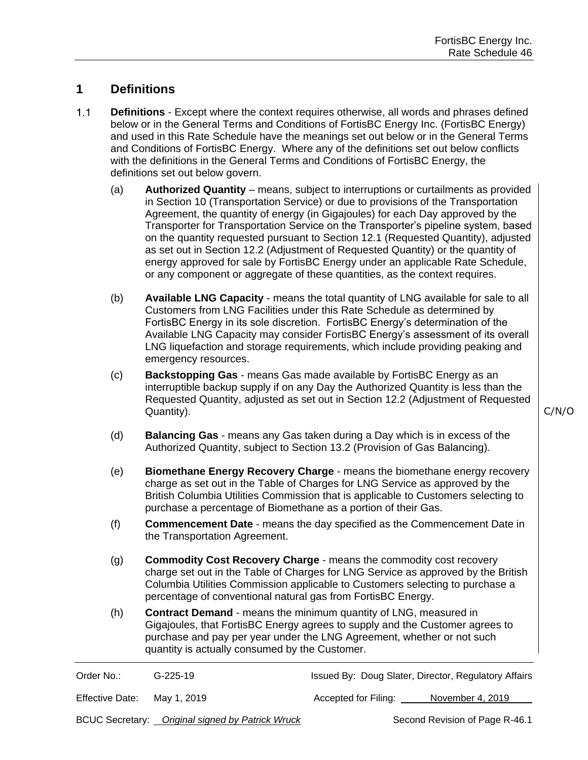## **1 Definitions**

- $1.1$ **Definitions** - Except where the context requires otherwise, all words and phrases defined below or in the General Terms and Conditions of FortisBC Energy Inc. (FortisBC Energy) and used in this Rate Schedule have the meanings set out below or in the General Terms and Conditions of FortisBC Energy. Where any of the definitions set out below conflicts with the definitions in the General Terms and Conditions of FortisBC Energy, the definitions set out below govern.
	- (a) **Authorized Quantity** means, subject to interruptions or curtailments as provided in Section 10 (Transportation Service) or due to provisions of the Transportation Agreement, the quantity of energy (in Gigajoules) for each Day approved by the Transporter for Transportation Service on the Transporter's pipeline system, based on the quantity requested pursuant to Section 12.1 (Requested Quantity), adjusted as set out in Section 12.2 (Adjustment of Requested Quantity) or the quantity of energy approved for sale by FortisBC Energy under an applicable Rate Schedule, or any component or aggregate of these quantities, as the context requires.
	- (b) **Available LNG Capacity** means the total quantity of LNG available for sale to all Customers from LNG Facilities under this Rate Schedule as determined by FortisBC Energy in its sole discretion. FortisBC Energy's determination of the Available LNG Capacity may consider FortisBC Energy's assessment of its overall LNG liquefaction and storage requirements, which include providing peaking and emergency resources.
	- (c) **Backstopping Gas** means Gas made available by FortisBC Energy as an interruptible backup supply if on any Day the Authorized Quantity is less than the Requested Quantity, adjusted as set out in Section 12.2 (Adjustment of Requested Quantity).

C/N/O

- (d) **Balancing Gas** means any Gas taken during a Day which is in excess of the Authorized Quantity, subject to Section 13.2 (Provision of Gas Balancing).
- (e) **Biomethane Energy Recovery Charge** means the biomethane energy recovery charge as set out in the Table of Charges for LNG Service as approved by the British Columbia Utilities Commission that is applicable to Customers selecting to purchase a percentage of Biomethane as a portion of their Gas.
- (f) **Commencement Date** means the day specified as the Commencement Date in the Transportation Agreement.
- (g) **Commodity Cost Recovery Charge** means the commodity cost recovery charge set out in the Table of Charges for LNG Service as approved by the British Columbia Utilities Commission applicable to Customers selecting to purchase a percentage of conventional natural gas from FortisBC Energy.
- (h) **Contract Demand** means the minimum quantity of LNG, measured in Gigajoules, that FortisBC Energy agrees to supply and the Customer agrees to purchase and pay per year under the LNG Agreement, whether or not such quantity is actually consumed by the Customer.

| Order No.: | $G-225-19$ | Issued By: Doug Slater, Director, Regulatory Affairs |                          |  |
|------------|------------|------------------------------------------------------|--------------------------|--|
| _________  | $\cdots$   |                                                      | $\overline{\phantom{a}}$ |  |

Effective Date: May 1, 2019 **Accepted for Filing:** November 4, 2019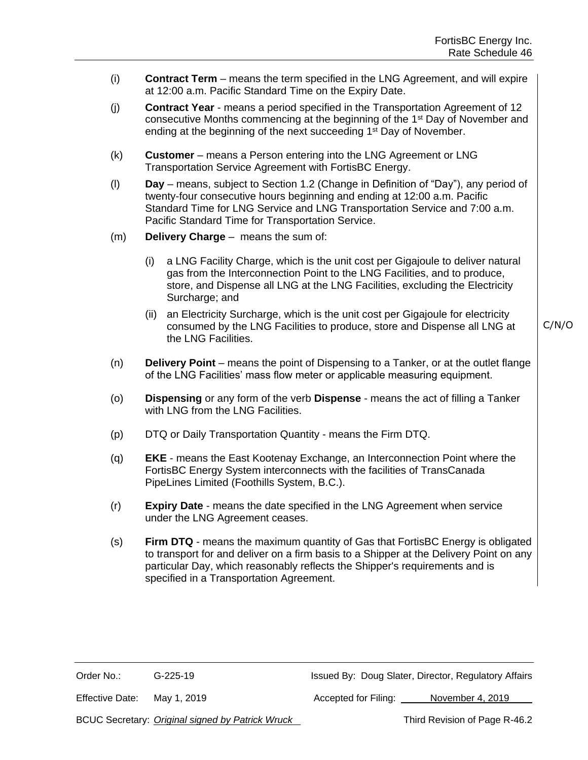- (i) **Contract Term** means the term specified in the LNG Agreement, and will expire at 12:00 a.m. Pacific Standard Time on the Expiry Date.
- (j) **Contract Year** means a period specified in the Transportation Agreement of 12 consecutive Months commencing at the beginning of the 1st Day of November and ending at the beginning of the next succeeding 1<sup>st</sup> Day of November.
- (k) **Customer** means a Person entering into the LNG Agreement or LNG Transportation Service Agreement with FortisBC Energy.
- (l) **Day**  means, subject to Section 1.2 (Change in Definition of "Day"), any period of twenty-four consecutive hours beginning and ending at 12:00 a.m. Pacific Standard Time for LNG Service and LNG Transportation Service and 7:00 a.m. Pacific Standard Time for Transportation Service.
- (m) **Delivery Charge** means the sum of:
	- (i) a LNG Facility Charge, which is the unit cost per Gigajoule to deliver natural gas from the Interconnection Point to the LNG Facilities, and to produce, store, and Dispense all LNG at the LNG Facilities, excluding the Electricity Surcharge; and
	- (ii) an Electricity Surcharge, which is the unit cost per Gigajoule for electricity consumed by the LNG Facilities to produce, store and Dispense all LNG at the LNG Facilities.
- (n) **Delivery Point** means the point of Dispensing to a Tanker, or at the outlet flange of the LNG Facilities' mass flow meter or applicable measuring equipment.
- (o) **Dispensing** or any form of the verb **Dispense** means the act of filling a Tanker with LNG from the LNG Facilities.
- (p) DTQ or Daily Transportation Quantity means the Firm DTQ.
- (q) **EKE** means the East Kootenay Exchange, an Interconnection Point where the FortisBC Energy System interconnects with the facilities of TransCanada PipeLines Limited (Foothills System, B.C.).
- (r) **Expiry Date** means the date specified in the LNG Agreement when service under the LNG Agreement ceases.
- (s) **Firm DTQ** means the maximum quantity of Gas that FortisBC Energy is obligated to transport for and deliver on a firm basis to a Shipper at the Delivery Point on any particular Day, which reasonably reflects the Shipper's requirements and is specified in a Transportation Agreement.

Order No.: G-225-19 Issued By: Doug Slater, Director, Regulatory Affairs

Effective Date: May 1, 2019 **Accepted for Filing:** November 4, 2019

BCUC Secretary: *Original signed by Patrick Wruck* Third Revision of Page R-46.2

C/N/O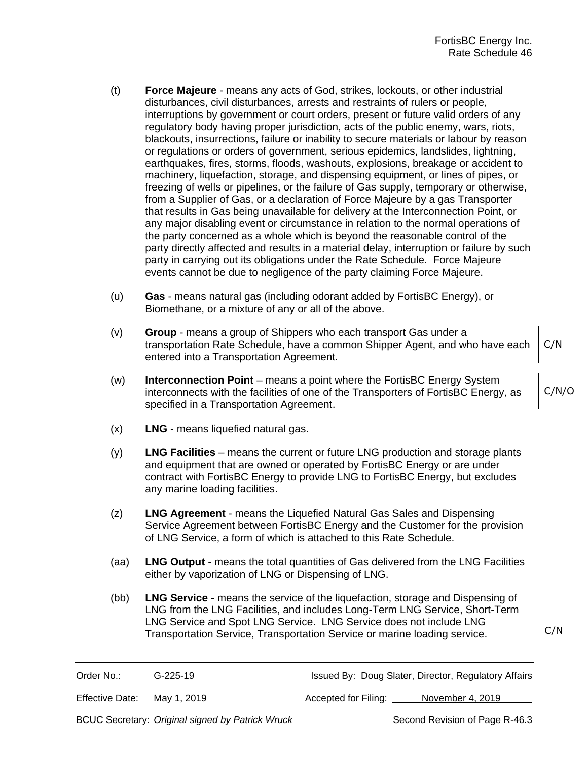- (t) **Force Majeure** means any acts of God, strikes, lockouts, or other industrial disturbances, civil disturbances, arrests and restraints of rulers or people, interruptions by government or court orders, present or future valid orders of any regulatory body having proper jurisdiction, acts of the public enemy, wars, riots, blackouts, insurrections, failure or inability to secure materials or labour by reason or regulations or orders of government, serious epidemics, landslides, lightning, earthquakes, fires, storms, floods, washouts, explosions, breakage or accident to machinery, liquefaction, storage, and dispensing equipment, or lines of pipes, or freezing of wells or pipelines, or the failure of Gas supply, temporary or otherwise, from a Supplier of Gas, or a declaration of Force Majeure by a gas Transporter that results in Gas being unavailable for delivery at the Interconnection Point, or any major disabling event or circumstance in relation to the normal operations of the party concerned as a whole which is beyond the reasonable control of the party directly affected and results in a material delay, interruption or failure by such party in carrying out its obligations under the Rate Schedule. Force Majeure events cannot be due to negligence of the party claiming Force Majeure.
- (u) **Gas** means natural gas (including odorant added by FortisBC Energy), or Biomethane, or a mixture of any or all of the above.
- (v) **Group**  means a group of Shippers who each transport Gas under a transportation Rate Schedule, have a common Shipper Agent, and who have each entered into a Transportation Agreement. C/N
- (w) **Interconnection Point** means a point where the FortisBC Energy System interconnects with the facilities of one of the Transporters of FortisBC Energy, as specified in a Transportation Agreement.
- (x) **LNG** means liquefied natural gas.
- (y) **LNG Facilities** means the current or future LNG production and storage plants and equipment that are owned or operated by FortisBC Energy or are under contract with FortisBC Energy to provide LNG to FortisBC Energy, but excludes any marine loading facilities.
- (z) **LNG Agreement** means the Liquefied Natural Gas Sales and Dispensing Service Agreement between FortisBC Energy and the Customer for the provision of LNG Service, a form of which is attached to this Rate Schedule.
- (aa) **LNG Output** means the total quantities of Gas delivered from the LNG Facilities either by vaporization of LNG or Dispensing of LNG.
- (bb) **LNG Service** means the service of the liquefaction, storage and Dispensing of LNG from the LNG Facilities, and includes Long-Term LNG Service, Short-Term LNG Service and Spot LNG Service. LNG Service does not include LNG Transportation Service, Transportation Service or marine loading service.

C/N

Issued By: Doug Slater, Director, Regulatory Affairs

Effective Date: May 1, 2019 **Accepted for Filing:** November 4, 2019

BCUC Secretary: *Original signed by Patrick Wruck* Second Revision of Page R-46.3

C/N/O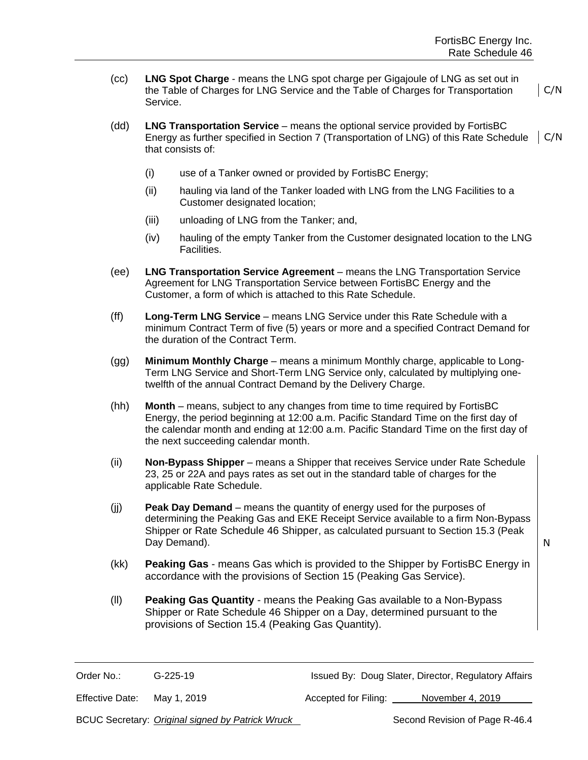- (cc) **LNG Spot Charge** means the LNG spot charge per Gigajoule of LNG as set out in the Table of Charges for LNG Service and the Table of Charges for Transportation Service. C/N
- (dd) **LNG Transportation Service** means the optional service provided by FortisBC Energy as further specified in Section 7 (Transportation of LNG) of this Rate Schedule that consists of: C/N
	- (i) use of a Tanker owned or provided by FortisBC Energy;
	- (ii) hauling via land of the Tanker loaded with LNG from the LNG Facilities to a Customer designated location;
	- (iii) unloading of LNG from the Tanker; and,
	- (iv) hauling of the empty Tanker from the Customer designated location to the LNG Facilities.
- (ee) **LNG Transportation Service Agreement** means the LNG Transportation Service Agreement for LNG Transportation Service between FortisBC Energy and the Customer, a form of which is attached to this Rate Schedule.
- (ff) **Long-Term LNG Service** means LNG Service under this Rate Schedule with a minimum Contract Term of five (5) years or more and a specified Contract Demand for the duration of the Contract Term.
- (gg) **Minimum Monthly Charge** means a minimum Monthly charge, applicable to Long-Term LNG Service and Short-Term LNG Service only, calculated by multiplying onetwelfth of the annual Contract Demand by the Delivery Charge.
- (hh) **Month** means, subject to any changes from time to time required by FortisBC Energy, the period beginning at 12:00 a.m. Pacific Standard Time on the first day of the calendar month and ending at 12:00 a.m. Pacific Standard Time on the first day of the next succeeding calendar month.
- (ii) **Non-Bypass Shipper** means a Shipper that receives Service under Rate Schedule 23, 25 or 22A and pays rates as set out in the standard table of charges for the applicable Rate Schedule.
- (jj) **Peak Day Demand** means the quantity of energy used for the purposes of determining the Peaking Gas and EKE Receipt Service available to a firm Non-Bypass Shipper or Rate Schedule 46 Shipper, as calculated pursuant to Section 15.3 (Peak Day Demand).

- (kk) **Peaking Gas** means Gas which is provided to the Shipper by FortisBC Energy in accordance with the provisions of Section 15 (Peaking Gas Service).
- (ll) **Peaking Gas Quantity** means the Peaking Gas available to a Non-Bypass Shipper or Rate Schedule 46 Shipper on a Day, determined pursuant to the provisions of Section 15.4 (Peaking Gas Quantity).

Order No.: G-225-19 Issued By: Doug Slater, Director, Regulatory Affairs

Effective Date: May 1, 2019 **Accepted for Filing:** November 4, 2019

BCUC Secretary: *Original signed by Patrick Wruck* Second Revision of Page R-46.4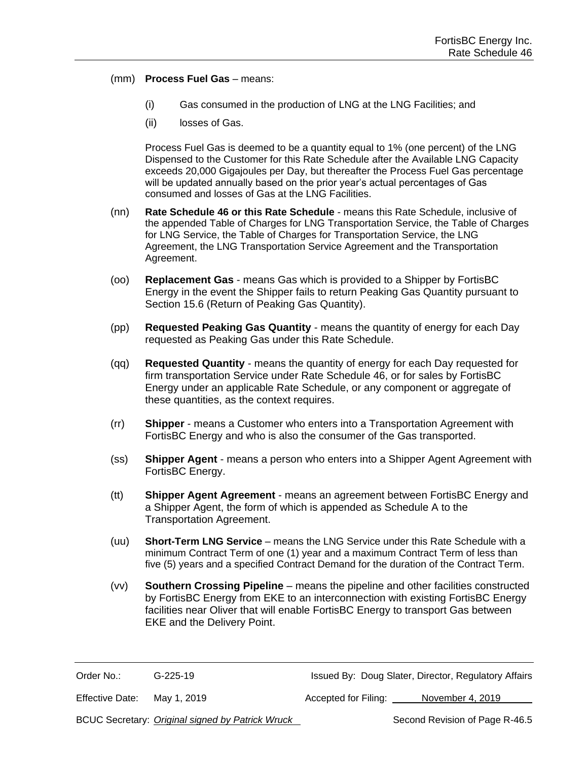#### (mm) **Process Fuel Gas** – means:

- (i) Gas consumed in the production of LNG at the LNG Facilities; and
- (ii) losses of Gas.

Process Fuel Gas is deemed to be a quantity equal to 1% (one percent) of the LNG Dispensed to the Customer for this Rate Schedule after the Available LNG Capacity exceeds 20,000 Gigajoules per Day, but thereafter the Process Fuel Gas percentage will be updated annually based on the prior year's actual percentages of Gas consumed and losses of Gas at the LNG Facilities.

- (nn) **Rate Schedule 46 or this Rate Schedule** means this Rate Schedule, inclusive of the appended Table of Charges for LNG Transportation Service, the Table of Charges for LNG Service, the Table of Charges for Transportation Service, the LNG Agreement, the LNG Transportation Service Agreement and the Transportation Agreement.
- (oo) **Replacement Gas** means Gas which is provided to a Shipper by FortisBC Energy in the event the Shipper fails to return Peaking Gas Quantity pursuant to Section 15.6 (Return of Peaking Gas Quantity).
- (pp) **Requested Peaking Gas Quantity** means the quantity of energy for each Day requested as Peaking Gas under this Rate Schedule.
- (qq) **Requested Quantity** means the quantity of energy for each Day requested for firm transportation Service under Rate Schedule 46, or for sales by FortisBC Energy under an applicable Rate Schedule, or any component or aggregate of these quantities, as the context requires.
- (rr) **Shipper** means a Customer who enters into a Transportation Agreement with FortisBC Energy and who is also the consumer of the Gas transported.
- (ss) **Shipper Agent** means a person who enters into a Shipper Agent Agreement with FortisBC Energy.
- (tt) **Shipper Agent Agreement** means an agreement between FortisBC Energy and a Shipper Agent, the form of which is appended as Schedule A to the Transportation Agreement.
- (uu) **Short-Term LNG Service** means the LNG Service under this Rate Schedule with a minimum Contract Term of one (1) year and a maximum Contract Term of less than five (5) years and a specified Contract Demand for the duration of the Contract Term.
- (vv) **Southern Crossing Pipeline** means the pipeline and other facilities constructed by FortisBC Energy from EKE to an interconnection with existing FortisBC Energy facilities near Oliver that will enable FortisBC Energy to transport Gas between EKE and the Delivery Point.

Order No.: G-225-19 G-225-19 Issued By: Doug Slater, Director, Regulatory Affairs

Effective Date: May 1, 2019 **Accepted for Filing:** November 4, 2019

BCUC Secretary: *Original signed by Patrick Wruck* Second Revision of Page R-46.5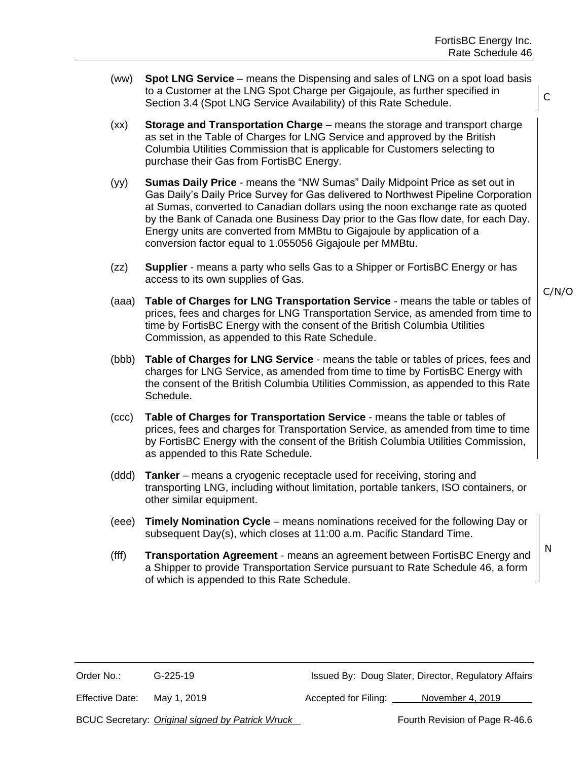- (ww) **Spot LNG Service** means the Dispensing and sales of LNG on a spot load basis to a Customer at the LNG Spot Charge per Gigajoule, as further specified in Section 3.4 (Spot LNG Service Availability) of this Rate Schedule.
- (xx) **Storage and Transportation Charge** means the storage and transport charge as set in the Table of Charges for LNG Service and approved by the British Columbia Utilities Commission that is applicable for Customers selecting to purchase their Gas from FortisBC Energy.
- (yy) **Sumas Daily Price** means the "NW Sumas" Daily Midpoint Price as set out in Gas Daily's Daily Price Survey for Gas delivered to Northwest Pipeline Corporation at Sumas, converted to Canadian dollars using the noon exchange rate as quoted by the Bank of Canada one Business Day prior to the Gas flow date, for each Day. Energy units are converted from MMBtu to Gigajoule by application of a conversion factor equal to 1.055056 Gigajoule per MMBtu.
- (zz) **Supplier** means a party who sells Gas to a Shipper or FortisBC Energy or has access to its own supplies of Gas.
- (aaa) **Table of Charges for LNG Transportation Service** means the table or tables of prices, fees and charges for LNG Transportation Service, as amended from time to time by FortisBC Energy with the consent of the British Columbia Utilities Commission, as appended to this Rate Schedule.
- (bbb) **Table of Charges for LNG Service** means the table or tables of prices, fees and charges for LNG Service, as amended from time to time by FortisBC Energy with the consent of the British Columbia Utilities Commission, as appended to this Rate Schedule.
- (ccc) **Table of Charges for Transportation Service** means the table or tables of prices, fees and charges for Transportation Service, as amended from time to time by FortisBC Energy with the consent of the British Columbia Utilities Commission, as appended to this Rate Schedule.
- (ddd) **Tanker** means a cryogenic receptacle used for receiving, storing and transporting LNG, including without limitation, portable tankers, ISO containers, or other similar equipment.
- (eee) **Timely Nomination Cycle** means nominations received for the following Day or subsequent Day(s), which closes at 11:00 a.m. Pacific Standard Time.
- (fff) **Transportation Agreement** means an agreement between FortisBC Energy and a Shipper to provide Transportation Service pursuant to Rate Schedule 46, a form of which is appended to this Rate Schedule.

Order No.: G-225-19 Issued By: Doug Slater, Director, Regulatory Affairs

Effective Date: May 1, 2019 **Accepted for Filing:** November 4, 2019

BCUC Secretary: *Original signed by Patrick Wruck* Free Manus Fourth Revision of Page R-46.6

C/N/O

C

N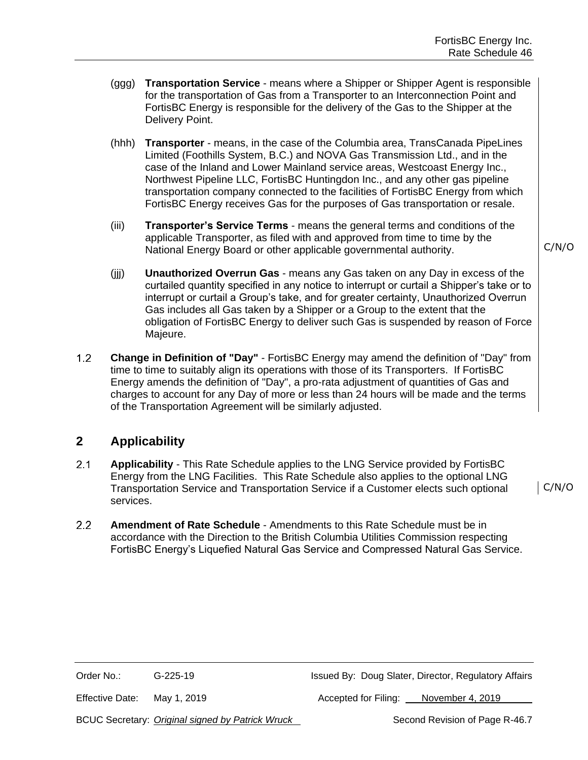- (ggg) **Transportation Service** means where a Shipper or Shipper Agent is responsible for the transportation of Gas from a Transporter to an Interconnection Point and FortisBC Energy is responsible for the delivery of the Gas to the Shipper at the Delivery Point.
- (hhh) **Transporter**  means, in the case of the Columbia area, TransCanada PipeLines Limited (Foothills System, B.C.) and NOVA Gas Transmission Ltd., and in the case of the Inland and Lower Mainland service areas, Westcoast Energy Inc., Northwest Pipeline LLC, FortisBC Huntingdon Inc., and any other gas pipeline transportation company connected to the facilities of FortisBC Energy from which FortisBC Energy receives Gas for the purposes of Gas transportation or resale.
- (iii) **Transporter's Service Terms** means the general terms and conditions of the applicable Transporter, as filed with and approved from time to time by the National Energy Board or other applicable governmental authority.
- (jjj) **Unauthorized Overrun Gas** means any Gas taken on any Day in excess of the curtailed quantity specified in any notice to interrupt or curtail a Shipper's take or to interrupt or curtail a Group's take, and for greater certainty, Unauthorized Overrun Gas includes all Gas taken by a Shipper or a Group to the extent that the obligation of FortisBC Energy to deliver such Gas is suspended by reason of Force Majeure.
- $1.2$ **Change in Definition of "Day"** - FortisBC Energy may amend the definition of "Day" from time to time to suitably align its operations with those of its Transporters. If FortisBC Energy amends the definition of "Day", a pro-rata adjustment of quantities of Gas and charges to account for any Day of more or less than 24 hours will be made and the terms of the Transportation Agreement will be similarly adjusted.

# **2 Applicability**

- $2.1$ **Applicability** - This Rate Schedule applies to the LNG Service provided by FortisBC Energy from the LNG Facilities. This Rate Schedule also applies to the optional LNG Transportation Service and Transportation Service if a Customer elects such optional services.
- $2.2$ **Amendment of Rate Schedule** - Amendments to this Rate Schedule must be in accordance with the Direction to the British Columbia Utilities Commission respecting FortisBC Energy's Liquefied Natural Gas Service and Compressed Natural Gas Service.

C/N/O

C/N/O

Effective Date: May 1, 2019 Accepted for Filing: November 4, 2019

BCUC Secretary: *Original signed by Patrick Wruck* Second Revision of Page R-46.7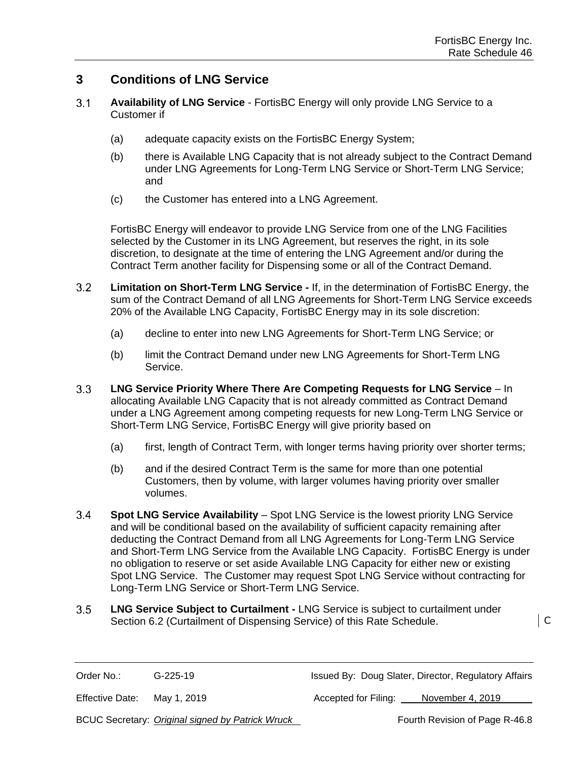## **3 Conditions of LNG Service**

- $3.1$ **Availability of LNG Service** - FortisBC Energy will only provide LNG Service to a Customer if
	- (a) adequate capacity exists on the FortisBC Energy System;
	- (b) there is Available LNG Capacity that is not already subject to the Contract Demand under LNG Agreements for Long-Term LNG Service or Short-Term LNG Service; and
	- (c) the Customer has entered into a LNG Agreement.

FortisBC Energy will endeavor to provide LNG Service from one of the LNG Facilities selected by the Customer in its LNG Agreement, but reserves the right, in its sole discretion, to designate at the time of entering the LNG Agreement and/or during the Contract Term another facility for Dispensing some or all of the Contract Demand.

- $3.2$ **Limitation on Short-Term LNG Service -** If, in the determination of FortisBC Energy, the sum of the Contract Demand of all LNG Agreements for Short-Term LNG Service exceeds 20% of the Available LNG Capacity, FortisBC Energy may in its sole discretion:
	- (a) decline to enter into new LNG Agreements for Short-Term LNG Service; or
	- (b) limit the Contract Demand under new LNG Agreements for Short-Term LNG Service.
- $3.3<sub>2</sub>$ **LNG Service Priority Where There Are Competing Requests for LNG Service** – In allocating Available LNG Capacity that is not already committed as Contract Demand under a LNG Agreement among competing requests for new Long-Term LNG Service or Short-Term LNG Service, FortisBC Energy will give priority based on
	- (a) first, length of Contract Term, with longer terms having priority over shorter terms;
	- (b) and if the desired Contract Term is the same for more than one potential Customers, then by volume, with larger volumes having priority over smaller volumes.
- $3.4$ **Spot LNG Service Availability** – Spot LNG Service is the lowest priority LNG Service and will be conditional based on the availability of sufficient capacity remaining after deducting the Contract Demand from all LNG Agreements for Long-Term LNG Service and Short-Term LNG Service from the Available LNG Capacity. FortisBC Energy is under no obligation to reserve or set aside Available LNG Capacity for either new or existing Spot LNG Service. The Customer may request Spot LNG Service without contracting for Long-Term LNG Service or Short-Term LNG Service.
- $3.5$ **LNG Service Subject to Curtailment -** LNG Service is subject to curtailment under Section 6.2 (Curtailment of Dispensing Service) of this Rate Schedule.  $\vert$  C

Order No.: G-225-19 G-225-19 Issued By: Doug Slater, Director, Regulatory Affairs

Effective Date: May 1, 2019 **Accepted for Filing:** November 4, 2019

BCUC Secretary: *Original signed by Patrick Wruck* Frace Fourth Revision of Page R-46.8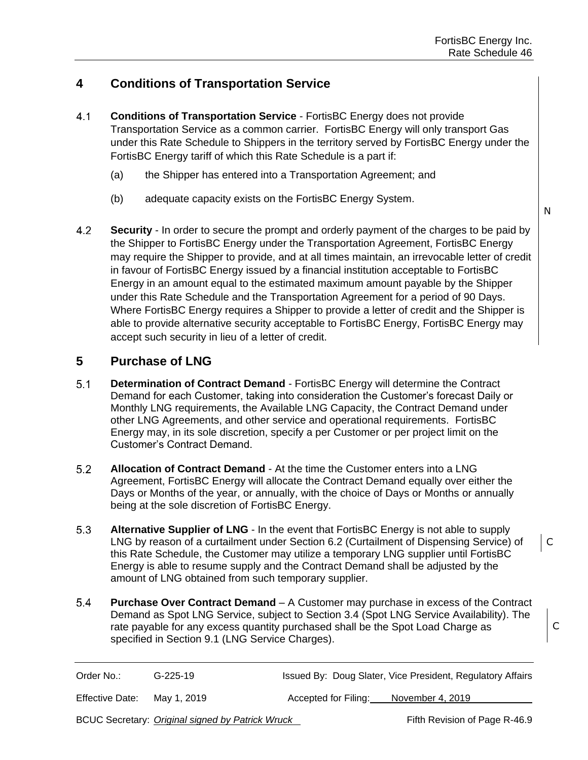## **4 Conditions of Transportation Service**

- $4.1$ **Conditions of Transportation Service** - FortisBC Energy does not provide Transportation Service as a common carrier. FortisBC Energy will only transport Gas under this Rate Schedule to Shippers in the territory served by FortisBC Energy under the FortisBC Energy tariff of which this Rate Schedule is a part if:
	- (a) the Shipper has entered into a Transportation Agreement; and
	- (b) adequate capacity exists on the FortisBC Energy System.
- 4.2 **Security** - In order to secure the prompt and orderly payment of the charges to be paid by the Shipper to FortisBC Energy under the Transportation Agreement, FortisBC Energy may require the Shipper to provide, and at all times maintain, an irrevocable letter of credit in favour of FortisBC Energy issued by a financial institution acceptable to FortisBC Energy in an amount equal to the estimated maximum amount payable by the Shipper under this Rate Schedule and the Transportation Agreement for a period of 90 Days. Where FortisBC Energy requires a Shipper to provide a letter of credit and the Shipper is able to provide alternative security acceptable to FortisBC Energy, FortisBC Energy may accept such security in lieu of a letter of credit.

### **5 Purchase of LNG**

- $5.1$ **Determination of Contract Demand** - FortisBC Energy will determine the Contract Demand for each Customer, taking into consideration the Customer's forecast Daily or Monthly LNG requirements, the Available LNG Capacity, the Contract Demand under other LNG Agreements, and other service and operational requirements. FortisBC Energy may, in its sole discretion, specify a per Customer or per project limit on the Customer's Contract Demand.
- $5.2$ **Allocation of Contract Demand** - At the time the Customer enters into a LNG Agreement, FortisBC Energy will allocate the Contract Demand equally over either the Days or Months of the year, or annually, with the choice of Days or Months or annually being at the sole discretion of FortisBC Energy.
- $5.3$ **Alternative Supplier of LNG** - In the event that FortisBC Energy is not able to supply LNG by reason of a curtailment under Section 6.2 (Curtailment of Dispensing Service) of this Rate Schedule, the Customer may utilize a temporary LNG supplier until FortisBC Energy is able to resume supply and the Contract Demand shall be adjusted by the amount of LNG obtained from such temporary supplier.
- $5.4$ **Purchase Over Contract Demand** – A Customer may purchase in excess of the Contract Demand as Spot LNG Service, subject to Section 3.4 (Spot LNG Service Availability). The rate payable for any excess quantity purchased shall be the Spot Load Charge as specified in Section 9.1 (LNG Service Charges).

| Order No.:      | $G-225-19$                                       |                      | Issued By: Doug Slater, Vice President, Regulatory Affairs |
|-----------------|--------------------------------------------------|----------------------|------------------------------------------------------------|
| Effective Date: | Mav 1. 2019                                      | Accepted for Filing: | November 4, 2019                                           |
|                 | BCUC Secretary: Original signed by Patrick Wruck |                      | Fifth Revision of Page R-46.9                              |

N

C

C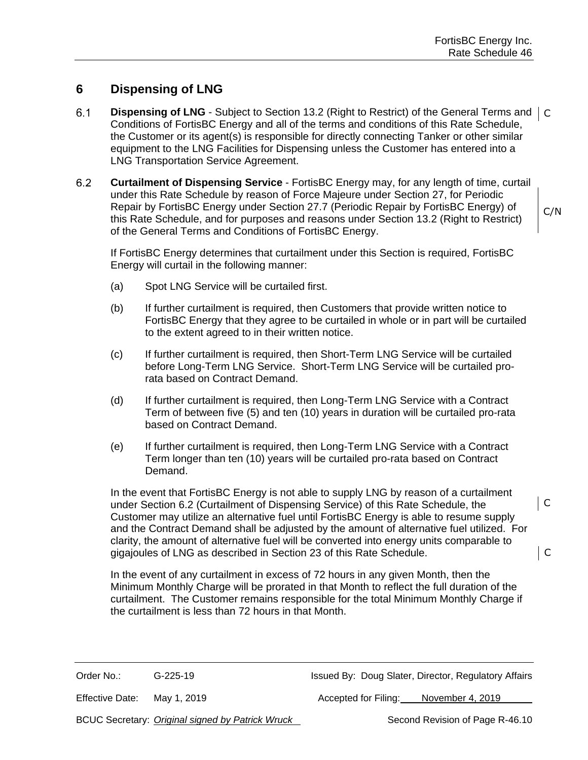## **6 Dispensing of LNG**

- $6.1$ **Dispensing of LNG** - Subject to Section 13.2 (Right to Restrict) of the General Terms and | C Conditions of FortisBC Energy and all of the terms and conditions of this Rate Schedule, the Customer or its agent(s) is responsible for directly connecting Tanker or other similar equipment to the LNG Facilities for Dispensing unless the Customer has entered into a LNG Transportation Service Agreement.
- $6.2$ **Curtailment of Dispensing Service** - FortisBC Energy may, for any length of time, curtail under this Rate Schedule by reason of Force Majeure under Section 27, for Periodic Repair by FortisBC Energy under Section 27.7 (Periodic Repair by FortisBC Energy) of this Rate Schedule, and for purposes and reasons under Section 13.2 (Right to Restrict) of the General Terms and Conditions of FortisBC Energy.

If FortisBC Energy determines that curtailment under this Section is required, FortisBC Energy will curtail in the following manner:

- (a) Spot LNG Service will be curtailed first.
- (b) If further curtailment is required, then Customers that provide written notice to FortisBC Energy that they agree to be curtailed in whole or in part will be curtailed to the extent agreed to in their written notice.
- (c) If further curtailment is required, then Short-Term LNG Service will be curtailed before Long-Term LNG Service. Short-Term LNG Service will be curtailed prorata based on Contract Demand.
- (d) If further curtailment is required, then Long-Term LNG Service with a Contract Term of between five (5) and ten (10) years in duration will be curtailed pro-rata based on Contract Demand.
- (e) If further curtailment is required, then Long-Term LNG Service with a Contract Term longer than ten (10) years will be curtailed pro-rata based on Contract Demand.

In the event that FortisBC Energy is not able to supply LNG by reason of a curtailment under Section 6.2 (Curtailment of Dispensing Service) of this Rate Schedule, the Customer may utilize an alternative fuel until FortisBC Energy is able to resume supply and the Contract Demand shall be adjusted by the amount of alternative fuel utilized. For clarity, the amount of alternative fuel will be converted into energy units comparable to gigajoules of LNG as described in Section 23 of this Rate Schedule.

In the event of any curtailment in excess of 72 hours in any given Month, then the Minimum Monthly Charge will be prorated in that Month to reflect the full duration of the curtailment. The Customer remains responsible for the total Minimum Monthly Charge if the curtailment is less than 72 hours in that Month.

Order No.: G-225-19 G-225-19 Issued By: Doug Slater, Director, Regulatory Affairs

Effective Date: May 1, 2019 Accepted for Filing: November 4, 2019

BCUC Secretary: *Original signed by Patrick Wruck* Second Revision of Page R-46.10

C

 $\overline{\phantom{a}}$  C

C/N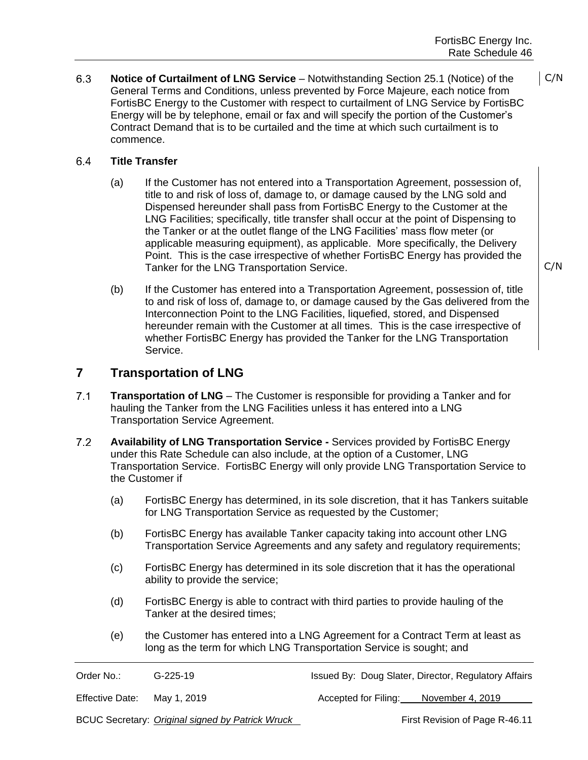#### 6.4 **Title Transfer**

- (a) If the Customer has not entered into a Transportation Agreement, possession of, title to and risk of loss of, damage to, or damage caused by the LNG sold and Dispensed hereunder shall pass from FortisBC Energy to the Customer at the LNG Facilities; specifically, title transfer shall occur at the point of Dispensing to the Tanker or at the outlet flange of the LNG Facilities' mass flow meter (or applicable measuring equipment), as applicable. More specifically, the Delivery Point. This is the case irrespective of whether FortisBC Energy has provided the Tanker for the LNG Transportation Service.
- (b) If the Customer has entered into a Transportation Agreement, possession of, title to and risk of loss of, damage to, or damage caused by the Gas delivered from the Interconnection Point to the LNG Facilities, liquefied, stored, and Dispensed hereunder remain with the Customer at all times. This is the case irrespective of whether FortisBC Energy has provided the Tanker for the LNG Transportation Service.

#### **7 Transportation of LNG**

- $7.1$ **Transportation of LNG** – The Customer is responsible for providing a Tanker and for hauling the Tanker from the LNG Facilities unless it has entered into a LNG Transportation Service Agreement.
- $7.2$ **Availability of LNG Transportation Service -** Services provided by FortisBC Energy under this Rate Schedule can also include, at the option of a Customer, LNG Transportation Service. FortisBC Energy will only provide LNG Transportation Service to the Customer if
	- (a) FortisBC Energy has determined, in its sole discretion, that it has Tankers suitable for LNG Transportation Service as requested by the Customer;
	- (b) FortisBC Energy has available Tanker capacity taking into account other LNG Transportation Service Agreements and any safety and regulatory requirements;
	- (c) FortisBC Energy has determined in its sole discretion that it has the operational ability to provide the service;
	- (d) FortisBC Energy is able to contract with third parties to provide hauling of the Tanker at the desired times;
	- (e) the Customer has entered into a LNG Agreement for a Contract Term at least as long as the term for which LNG Transportation Service is sought; and

| Order No.:      | $G-225-19$  |                                       | Issued By: Doug Slater, Director, Regulatory Affairs |
|-----------------|-------------|---------------------------------------|------------------------------------------------------|
| Effective Date: | May 1, 2019 | Accepted for Filing: November 4, 2019 |                                                      |

BCUC Secretary: *Original signed by Patrick Wruck* First Revision of Page R-46.11

C/N

 $C/N$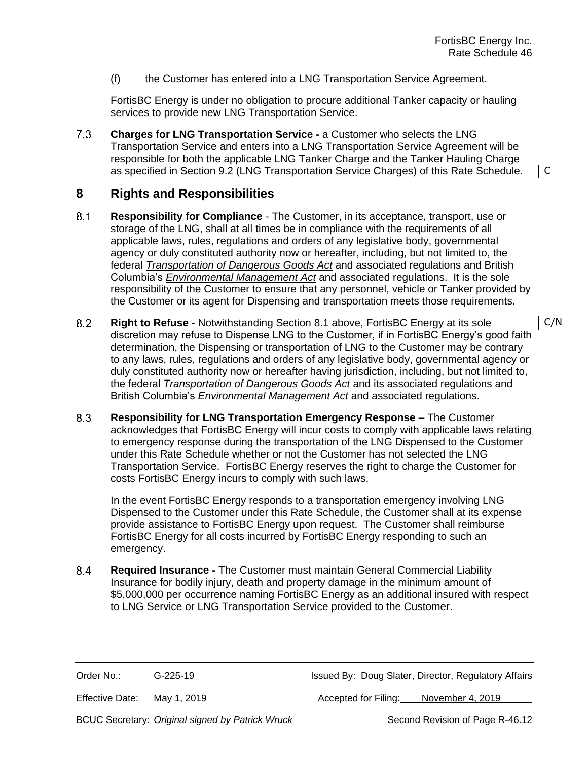(f) the Customer has entered into a LNG Transportation Service Agreement.

FortisBC Energy is under no obligation to procure additional Tanker capacity or hauling services to provide new LNG Transportation Service.

 $7.3$ **Charges for LNG Transportation Service -** a Customer who selects the LNG Transportation Service and enters into a LNG Transportation Service Agreement will be responsible for both the applicable LNG Tanker Charge and the Tanker Hauling Charge as specified in Section 9.2 (LNG Transportation Service Charges) of this Rate Schedule.

#### **8 Rights and Responsibilities**

- $8.1$ **Responsibility for Compliance** - The Customer, in its acceptance, transport, use or storage of the LNG, shall at all times be in compliance with the requirements of all applicable laws, rules, regulations and orders of any legislative body, governmental agency or duly constituted authority now or hereafter, including, but not limited to, the federal *Transportation of Dangerous Goods Act* and associated regulations and British Columbia's *Environmental Management Act* and associated regulations. It is the sole responsibility of the Customer to ensure that any personnel, vehicle or Tanker provided by the Customer or its agent for Dispensing and transportation meets those requirements.
- $8.2$ **Right to Refuse** - Notwithstanding Section 8.1 above, FortisBC Energy at its sole discretion may refuse to Dispense LNG to the Customer, if in FortisBC Energy's good faith determination, the Dispensing or transportation of LNG to the Customer may be contrary to any laws, rules, regulations and orders of any legislative body, governmental agency or duly constituted authority now or hereafter having jurisdiction, including, but not limited to, the federal *Transportation of Dangerous Goods Act* and its associated regulations and British Columbia's *Environmental Management Act* and associated regulations.
- $8.3$ **Responsibility for LNG Transportation Emergency Response –** The Customer acknowledges that FortisBC Energy will incur costs to comply with applicable laws relating to emergency response during the transportation of the LNG Dispensed to the Customer under this Rate Schedule whether or not the Customer has not selected the LNG Transportation Service. FortisBC Energy reserves the right to charge the Customer for costs FortisBC Energy incurs to comply with such laws.

In the event FortisBC Energy responds to a transportation emergency involving LNG Dispensed to the Customer under this Rate Schedule, the Customer shall at its expense provide assistance to FortisBC Energy upon request. The Customer shall reimburse FortisBC Energy for all costs incurred by FortisBC Energy responding to such an emergency.

 $8.4$ **Required Insurance -** The Customer must maintain General Commercial Liability Insurance for bodily injury, death and property damage in the minimum amount of \$5,000,000 per occurrence naming FortisBC Energy as an additional insured with respect to LNG Service or LNG Transportation Service provided to the Customer.

Order No.: G-225-19 Issued By: Doug Slater, Director, Regulatory Affairs

Effective Date: May 1, 2019 Accepted for Filing: November 4, 2019

BCUC Secretary: *Original signed by Patrick Wruck* Second Revision of Page R-46.12

C/N

C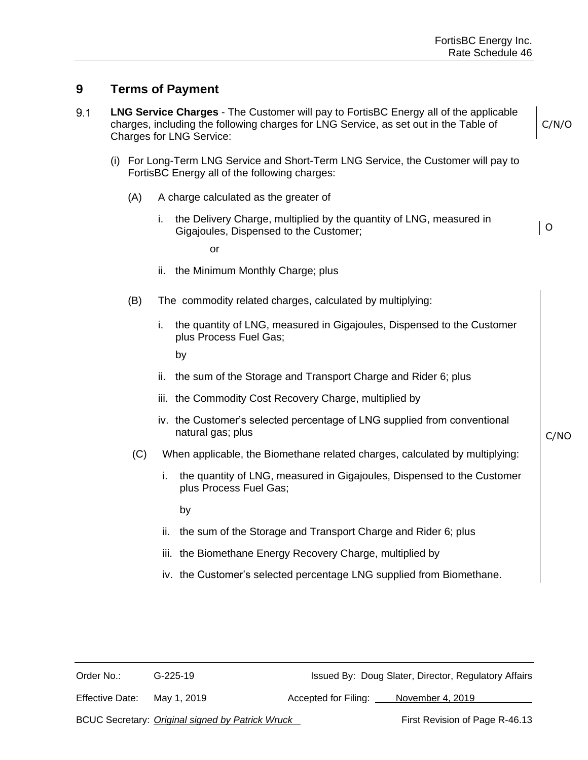## **9 Terms of Payment**

- $9.1$ **LNG Service Charges** - The Customer will pay to FortisBC Energy all of the applicable charges, including the following charges for LNG Service, as set out in the Table of Charges for LNG Service:
	- (i) For Long-Term LNG Service and Short-Term LNG Service, the Customer will pay to FortisBC Energy all of the following charges:
		- (A) A charge calculated as the greater of
			- i. the Delivery Charge, multiplied by the quantity of LNG, measured in Gigajoules, Dispensed to the Customer;

or

- ii. the Minimum Monthly Charge; plus
- (B) The commodity related charges, calculated by multiplying:
	- i. the quantity of LNG, measured in Gigajoules, Dispensed to the Customer plus Process Fuel Gas;

by

- ii. the sum of the Storage and Transport Charge and Rider 6; plus
- iii. the Commodity Cost Recovery Charge, multiplied by
- iv. the Customer's selected percentage of LNG supplied from conventional natural gas; plus
- (C) When applicable, the Biomethane related charges, calculated by multiplying:
	- i. the quantity of LNG, measured in Gigajoules, Dispensed to the Customer plus Process Fuel Gas;

by

- ii. the sum of the Storage and Transport Charge and Rider 6; plus
- iii. the Biomethane Energy Recovery Charge, multiplied by
- iv. the Customer's selected percentage LNG supplied from Biomethane.

Order No.: G-225-19 Issued By: Doug Slater, Director, Regulatory Affairs

Effective Date: May 1, 2019 Accepted for Filing: November 4, 2019

BCUC Secretary: *Original signed by Patrick Wruck* First Revision of Page R-46.13

C/NO

C/N/O

O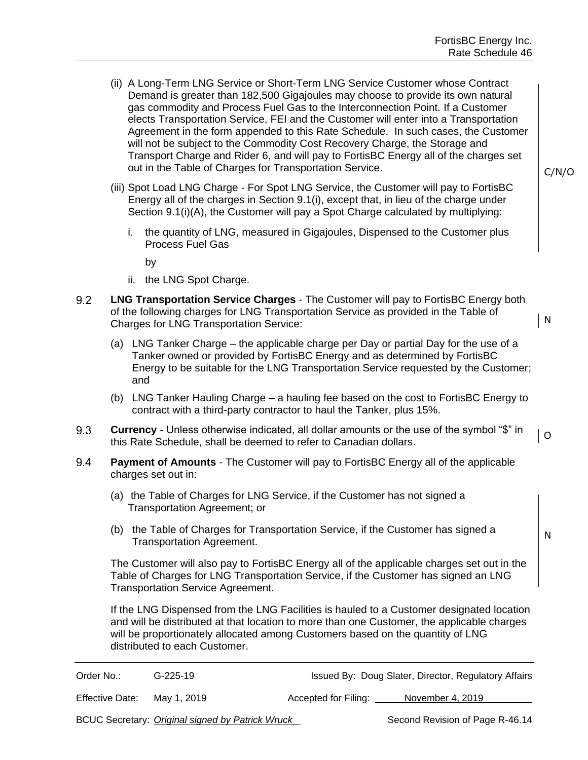- (ii) A Long-Term LNG Service or Short-Term LNG Service Customer whose Contract Demand is greater than 182,500 Gigajoules may choose to provide its own natural gas commodity and Process Fuel Gas to the Interconnection Point. If a Customer elects Transportation Service, FEI and the Customer will enter into a Transportation Agreement in the form appended to this Rate Schedule. In such cases, the Customer will not be subject to the Commodity Cost Recovery Charge, the Storage and Transport Charge and Rider 6, and will pay to FortisBC Energy all of the charges set out in the Table of Charges for Transportation Service.
- (iii) Spot Load LNG Charge For Spot LNG Service, the Customer will pay to FortisBC Energy all of the charges in Section 9.1(i), except that, in lieu of the charge under Section 9.1(i)(A), the Customer will pay a Spot Charge calculated by multiplying:
	- i. the quantity of LNG, measured in Gigajoules, Dispensed to the Customer plus Process Fuel Gas

by

- ii. the LNG Spot Charge.
- $9.2$ **LNG Transportation Service Charges** - The Customer will pay to FortisBC Energy both of the following charges for LNG Transportation Service as provided in the Table of Charges for LNG Transportation Service:
	- (a) LNG Tanker Charge the applicable charge per Day or partial Day for the use of a Tanker owned or provided by FortisBC Energy and as determined by FortisBC Energy to be suitable for the LNG Transportation Service requested by the Customer; and
	- (b) LNG Tanker Hauling Charge a hauling fee based on the cost to FortisBC Energy to contract with a third-party contractor to haul the Tanker, plus 15%.
- $9.3$ **Currency** - Unless otherwise indicated, all dollar amounts or the use of the symbol "\$" in Othis Rate Schedule, shall be deemed to refer to Canadian dollars.
- 9.4 **Payment of Amounts** - The Customer will pay to FortisBC Energy all of the applicable charges set out in:
	- (a) the Table of Charges for LNG Service, if the Customer has not signed a Transportation Agreement; or
	- (b) the Table of Charges for Transportation Service, if the Customer has signed a Transportation Agreement.

The Customer will also pay to FortisBC Energy all of the applicable charges set out in the Table of Charges for LNG Transportation Service, if the Customer has signed an LNG Transportation Service Agreement.

If the LNG Dispensed from the LNG Facilities is hauled to a Customer designated location and will be distributed at that location to more than one Customer, the applicable charges will be proportionately allocated among Customers based on the quantity of LNG distributed to each Customer.

| Order No.:      | $G-225-19$                                       |                      | Issued By: Doug Slater, Director, Regulatory Affairs |
|-----------------|--------------------------------------------------|----------------------|------------------------------------------------------|
| Effective Date: | May 1, 2019                                      | Accepted for Filing: | November 4, 2019                                     |
|                 | BCUC Secretary: Original signed by Patrick Wruck |                      | Second Revision of Page R-46.14                      |

C/N/O

N

N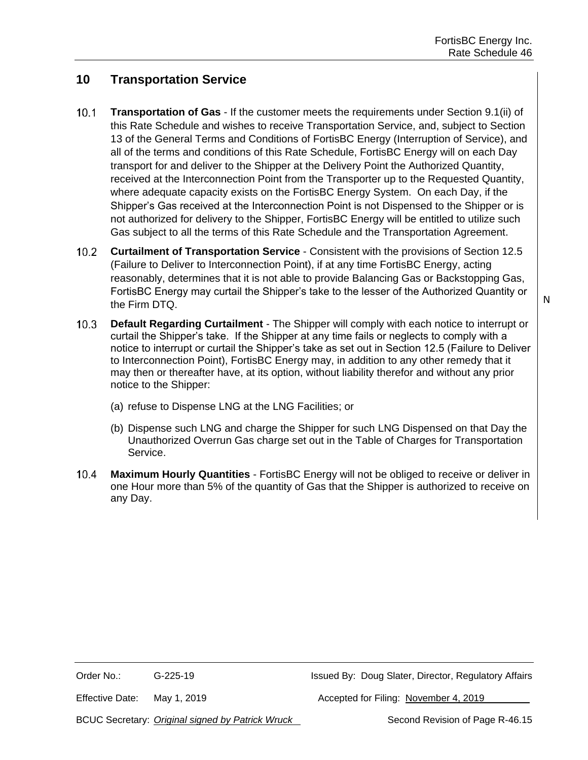## **10 Transportation Service**

- $10.1$ **Transportation of Gas** - If the customer meets the requirements under Section 9.1(ii) of this Rate Schedule and wishes to receive Transportation Service, and, subject to Section 13 of the General Terms and Conditions of FortisBC Energy (Interruption of Service), and all of the terms and conditions of this Rate Schedule, FortisBC Energy will on each Day transport for and deliver to the Shipper at the Delivery Point the Authorized Quantity, received at the Interconnection Point from the Transporter up to the Requested Quantity, where adequate capacity exists on the FortisBC Energy System. On each Day, if the Shipper's Gas received at the Interconnection Point is not Dispensed to the Shipper or is not authorized for delivery to the Shipper, FortisBC Energy will be entitled to utilize such Gas subject to all the terms of this Rate Schedule and the Transportation Agreement.
- $10.2<sub>1</sub>$ **Curtailment of Transportation Service** - Consistent with the provisions of Section 12.5 (Failure to Deliver to Interconnection Point), if at any time FortisBC Energy, acting reasonably, determines that it is not able to provide Balancing Gas or Backstopping Gas, FortisBC Energy may curtail the Shipper's take to the lesser of the Authorized Quantity or the Firm DTQ.
- **Default Regarding Curtailment** The Shipper will comply with each notice to interrupt or  $10.3<sup>°</sup>$ curtail the Shipper's take. If the Shipper at any time fails or neglects to comply with a notice to interrupt or curtail the Shipper's take as set out in Section 12.5 (Failure to Deliver to Interconnection Point), FortisBC Energy may, in addition to any other remedy that it may then or thereafter have, at its option, without liability therefor and without any prior notice to the Shipper:
	- (a) refuse to Dispense LNG at the LNG Facilities; or
	- (b) Dispense such LNG and charge the Shipper for such LNG Dispensed on that Day the Unauthorized Overrun Gas charge set out in the Table of Charges for Transportation Service.
- $10.4$ **Maximum Hourly Quantities** - FortisBC Energy will not be obliged to receive or deliver in one Hour more than 5% of the quantity of Gas that the Shipper is authorized to receive on any Day.

Effective Date: May 1, 2019 Many 1, 2019 Manual Accepted for Filing: November 4, 2019

BCUC Secretary: *Original signed by Patrick Wruck* Second Revision of Page R-46.15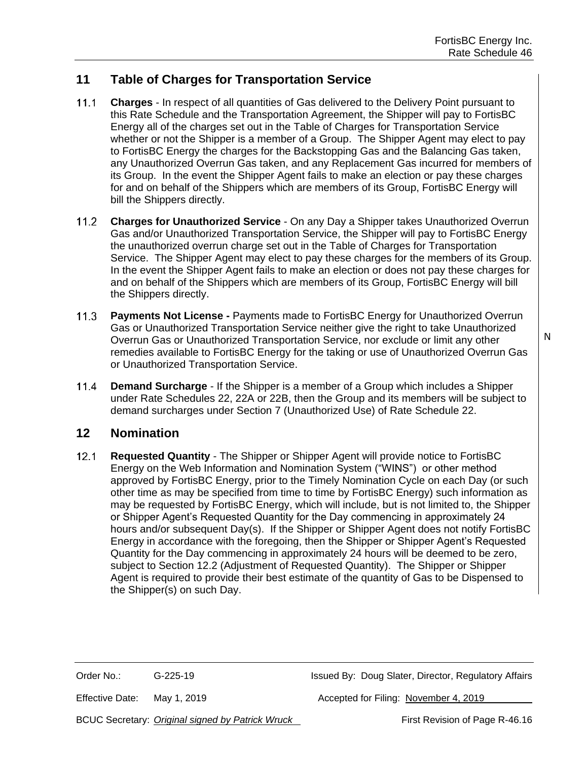## **11 Table of Charges for Transportation Service**

- $11.1$ **Charges** - In respect of all quantities of Gas delivered to the Delivery Point pursuant to this Rate Schedule and the Transportation Agreement, the Shipper will pay to FortisBC Energy all of the charges set out in the Table of Charges for Transportation Service whether or not the Shipper is a member of a Group. The Shipper Agent may elect to pay to FortisBC Energy the charges for the Backstopping Gas and the Balancing Gas taken, any Unauthorized Overrun Gas taken, and any Replacement Gas incurred for members of its Group. In the event the Shipper Agent fails to make an election or pay these charges for and on behalf of the Shippers which are members of its Group, FortisBC Energy will bill the Shippers directly.
- $11.2$ **Charges for Unauthorized Service** - On any Day a Shipper takes Unauthorized Overrun Gas and/or Unauthorized Transportation Service, the Shipper will pay to FortisBC Energy the unauthorized overrun charge set out in the Table of Charges for Transportation Service. The Shipper Agent may elect to pay these charges for the members of its Group. In the event the Shipper Agent fails to make an election or does not pay these charges for and on behalf of the Shippers which are members of its Group, FortisBC Energy will bill the Shippers directly.
- $11.3$ **Payments Not License -** Payments made to FortisBC Energy for Unauthorized Overrun Gas or Unauthorized Transportation Service neither give the right to take Unauthorized Overrun Gas or Unauthorized Transportation Service, nor exclude or limit any other remedies available to FortisBC Energy for the taking or use of Unauthorized Overrun Gas or Unauthorized Transportation Service.
- $11.4$ **Demand Surcharge** - If the Shipper is a member of a Group which includes a Shipper under Rate Schedules 22, 22A or 22B, then the Group and its members will be subject to demand surcharges under Section 7 (Unauthorized Use) of Rate Schedule 22.

#### **12 Nomination**

 $12.1$ **Requested Quantity** - The Shipper or Shipper Agent will provide notice to FortisBC Energy on the Web Information and Nomination System ("WINS") or other method approved by FortisBC Energy, prior to the Timely Nomination Cycle on each Day (or such other time as may be specified from time to time by FortisBC Energy) such information as may be requested by FortisBC Energy, which will include, but is not limited to, the Shipper or Shipper Agent's Requested Quantity for the Day commencing in approximately 24 hours and/or subsequent Day(s). If the Shipper or Shipper Agent does not notify FortisBC Energy in accordance with the foregoing, then the Shipper or Shipper Agent's Requested Quantity for the Day commencing in approximately 24 hours will be deemed to be zero, subject to Section 12.2 (Adjustment of Requested Quantity). The Shipper or Shipper Agent is required to provide their best estimate of the quantity of Gas to be Dispensed to the Shipper(s) on such Day.

Order No.: G-225-19 G-225-19 Issued By: Doug Slater, Director, Regulatory Affairs

Effective Date: May 1, 2019 **Accepted for Filing: November 4, 2019** Accepted for Filing: November 4, 2019

BCUC Secretary: *Original signed by Patrick Wruck* First Revision of Page R-46.16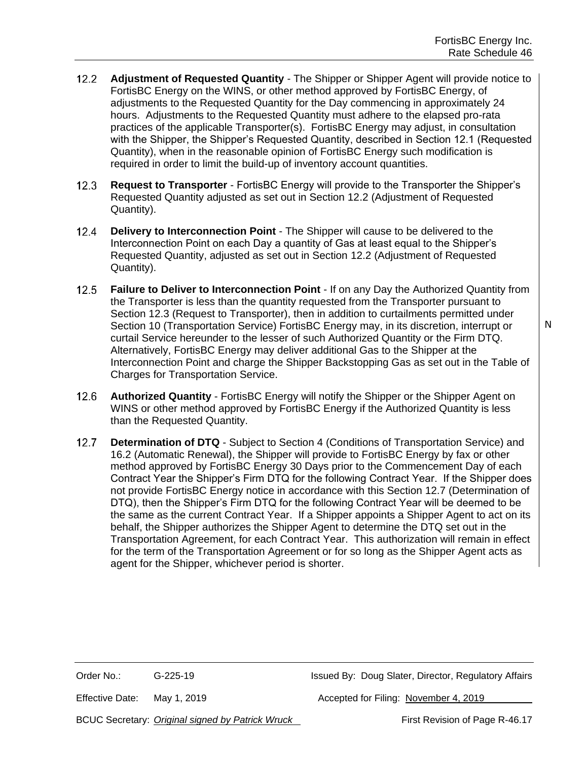- $12.2$ **Adjustment of Requested Quantity** - The Shipper or Shipper Agent will provide notice to FortisBC Energy on the WINS, or other method approved by FortisBC Energy, of adjustments to the Requested Quantity for the Day commencing in approximately 24 hours. Adjustments to the Requested Quantity must adhere to the elapsed pro-rata practices of the applicable Transporter(s). FortisBC Energy may adjust, in consultation with the Shipper, the Shipper's Requested Quantity, described in Section 12.1 (Requested Quantity), when in the reasonable opinion of FortisBC Energy such modification is required in order to limit the build-up of inventory account quantities.
- $12.3$ **Request to Transporter** - FortisBC Energy will provide to the Transporter the Shipper's Requested Quantity adjusted as set out in Section 12.2 (Adjustment of Requested Quantity).
- $12.4$ **Delivery to Interconnection Point** - The Shipper will cause to be delivered to the Interconnection Point on each Day a quantity of Gas at least equal to the Shipper's Requested Quantity, adjusted as set out in Section 12.2 (Adjustment of Requested Quantity).
- $12.5$ **Failure to Deliver to Interconnection Point** - If on any Day the Authorized Quantity from the Transporter is less than the quantity requested from the Transporter pursuant to Section 12.3 (Request to Transporter), then in addition to curtailments permitted under Section 10 (Transportation Service) FortisBC Energy may, in its discretion, interrupt or curtail Service hereunder to the lesser of such Authorized Quantity or the Firm DTQ. Alternatively, FortisBC Energy may deliver additional Gas to the Shipper at the Interconnection Point and charge the Shipper Backstopping Gas as set out in the Table of Charges for Transportation Service.
- $12.6$ **Authorized Quantity** - FortisBC Energy will notify the Shipper or the Shipper Agent on WINS or other method approved by FortisBC Energy if the Authorized Quantity is less than the Requested Quantity.
- $12.7$ **Determination of DTQ** - Subject to Section 4 (Conditions of Transportation Service) and 16.2 (Automatic Renewal), the Shipper will provide to FortisBC Energy by fax or other method approved by FortisBC Energy 30 Days prior to the Commencement Day of each Contract Year the Shipper's Firm DTQ for the following Contract Year. If the Shipper does not provide FortisBC Energy notice in accordance with this Section 12.7 (Determination of DTQ), then the Shipper's Firm DTQ for the following Contract Year will be deemed to be the same as the current Contract Year. If a Shipper appoints a Shipper Agent to act on its behalf, the Shipper authorizes the Shipper Agent to determine the DTQ set out in the Transportation Agreement, for each Contract Year. This authorization will remain in effect for the term of the Transportation Agreement or for so long as the Shipper Agent acts as agent for the Shipper, whichever period is shorter.

Order No.: G-225-19 G-225-19 Issued By: Doug Slater, Director, Regulatory Affairs

Effective Date: May 1, 2019 **Accepted for Filing: November 4, 2019** Accepted for Filing: November 4, 2019

BCUC Secretary: *Original signed by Patrick Wruck* First Revision of Page R-46.17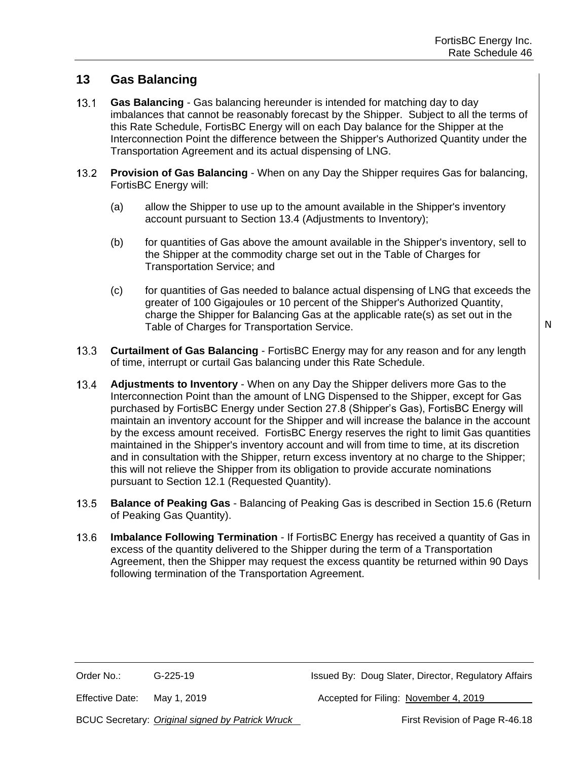## **13 Gas Balancing**

- $13.1$ **Gas Balancing** - Gas balancing hereunder is intended for matching day to day imbalances that cannot be reasonably forecast by the Shipper. Subject to all the terms of this Rate Schedule, FortisBC Energy will on each Day balance for the Shipper at the Interconnection Point the difference between the Shipper's Authorized Quantity under the Transportation Agreement and its actual dispensing of LNG.
- $13.2$ **Provision of Gas Balancing** - When on any Day the Shipper requires Gas for balancing, FortisBC Energy will:
	- (a) allow the Shipper to use up to the amount available in the Shipper's inventory account pursuant to Section 13.4 (Adjustments to Inventory);
	- (b) for quantities of Gas above the amount available in the Shipper's inventory, sell to the Shipper at the commodity charge set out in the Table of Charges for Transportation Service; and
	- (c) for quantities of Gas needed to balance actual dispensing of LNG that exceeds the greater of 100 Gigajoules or 10 percent of the Shipper's Authorized Quantity, charge the Shipper for Balancing Gas at the applicable rate(s) as set out in the Table of Charges for Transportation Service.
- $13.3$ **Curtailment of Gas Balancing** - FortisBC Energy may for any reason and for any length of time, interrupt or curtail Gas balancing under this Rate Schedule.
- $13.4$ **Adjustments to Inventory** - When on any Day the Shipper delivers more Gas to the Interconnection Point than the amount of LNG Dispensed to the Shipper, except for Gas purchased by FortisBC Energy under Section 27.8 (Shipper's Gas), FortisBC Energy will maintain an inventory account for the Shipper and will increase the balance in the account by the excess amount received. FortisBC Energy reserves the right to limit Gas quantities maintained in the Shipper's inventory account and will from time to time, at its discretion and in consultation with the Shipper, return excess inventory at no charge to the Shipper; this will not relieve the Shipper from its obligation to provide accurate nominations pursuant to Section 12.1 (Requested Quantity).
- $13.5 -$ **Balance of Peaking Gas** - Balancing of Peaking Gas is described in Section 15.6 (Return of Peaking Gas Quantity).
- $13.6$ **Imbalance Following Termination** - If FortisBC Energy has received a quantity of Gas in excess of the quantity delivered to the Shipper during the term of a Transportation Agreement, then the Shipper may request the excess quantity be returned within 90 Days following termination of the Transportation Agreement.

Effective Date: May 1, 2019 **Accepted for Filing: November 4, 2019** Accepted for Filing: November 4, 2019

BCUC Secretary: *Original signed by Patrick Wruck* First Revision of Page R-46.18

N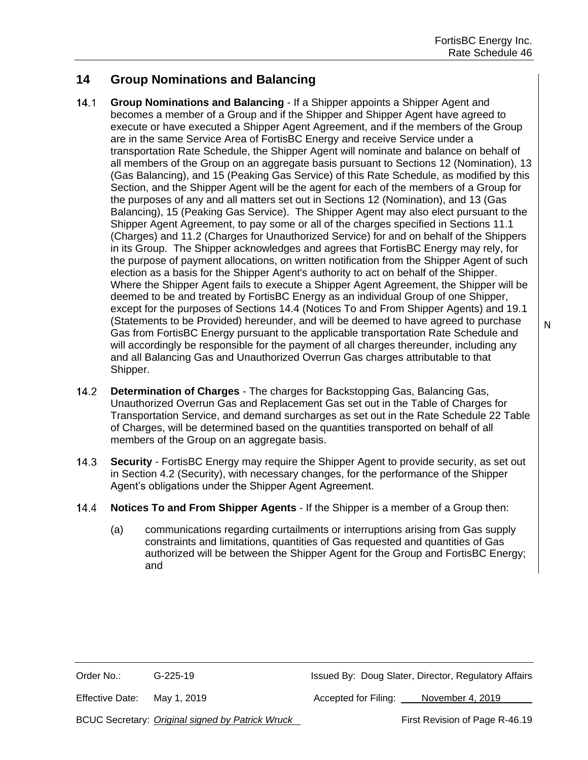## **14 Group Nominations and Balancing**

- $14.1$ **Group Nominations and Balancing** - If a Shipper appoints a Shipper Agent and becomes a member of a Group and if the Shipper and Shipper Agent have agreed to execute or have executed a Shipper Agent Agreement, and if the members of the Group are in the same Service Area of FortisBC Energy and receive Service under a transportation Rate Schedule, the Shipper Agent will nominate and balance on behalf of all members of the Group on an aggregate basis pursuant to Sections 12 (Nomination), 13 (Gas Balancing), and 15 (Peaking Gas Service) of this Rate Schedule, as modified by this Section, and the Shipper Agent will be the agent for each of the members of a Group for the purposes of any and all matters set out in Sections 12 (Nomination), and 13 (Gas Balancing), 15 (Peaking Gas Service). The Shipper Agent may also elect pursuant to the Shipper Agent Agreement, to pay some or all of the charges specified in Sections 11.1 (Charges) and 11.2 (Charges for Unauthorized Service) for and on behalf of the Shippers in its Group. The Shipper acknowledges and agrees that FortisBC Energy may rely, for the purpose of payment allocations, on written notification from the Shipper Agent of such election as a basis for the Shipper Agent's authority to act on behalf of the Shipper. Where the Shipper Agent fails to execute a Shipper Agent Agreement, the Shipper will be deemed to be and treated by FortisBC Energy as an individual Group of one Shipper, except for the purposes of Sections 14.4 (Notices To and From Shipper Agents) and 19.1 (Statements to be Provided) hereunder, and will be deemed to have agreed to purchase Gas from FortisBC Energy pursuant to the applicable transportation Rate Schedule and will accordingly be responsible for the payment of all charges thereunder, including any and all Balancing Gas and Unauthorized Overrun Gas charges attributable to that Shipper.
- $14.2$ **Determination of Charges** - The charges for Backstopping Gas, Balancing Gas, Unauthorized Overrun Gas and Replacement Gas set out in the Table of Charges for Transportation Service, and demand surcharges as set out in the Rate Schedule 22 Table of Charges, will be determined based on the quantities transported on behalf of all members of the Group on an aggregate basis.
- $14.3$ **Security** - FortisBC Energy may require the Shipper Agent to provide security, as set out in Section 4.2 (Security), with necessary changes, for the performance of the Shipper Agent's obligations under the Shipper Agent Agreement.
- $14.4$ **Notices To and From Shipper Agents** - If the Shipper is a member of a Group then:
	- (a) communications regarding curtailments or interruptions arising from Gas supply constraints and limitations, quantities of Gas requested and quantities of Gas authorized will be between the Shipper Agent for the Group and FortisBC Energy; and

Order No.: G-225-19 G-225-19 Issued By: Doug Slater, Director, Regulatory Affairs

Effective Date: May 1, 2019 **Accepted for Filing:** November 4, 2019

BCUC Secretary: *Original signed by Patrick Wruck* First Revision of Page R-46.19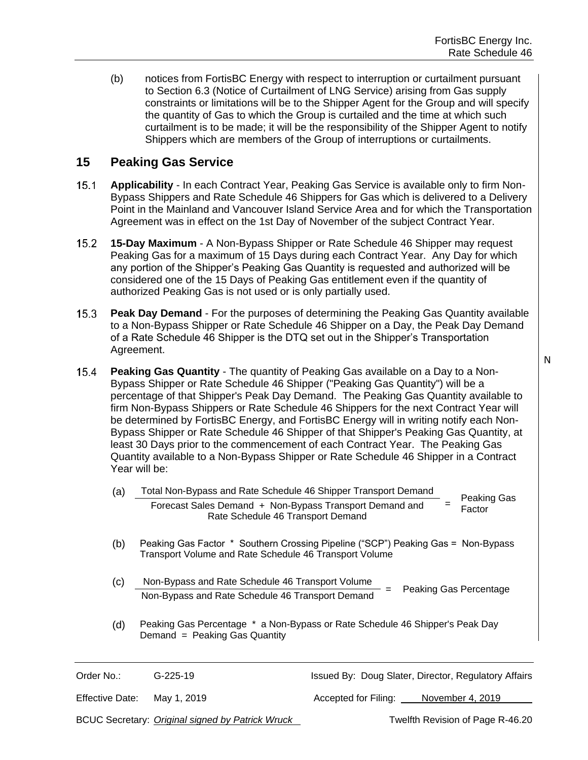(b) notices from FortisBC Energy with respect to interruption or curtailment pursuant to Section 6.3 (Notice of Curtailment of LNG Service) arising from Gas supply constraints or limitations will be to the Shipper Agent for the Group and will specify the quantity of Gas to which the Group is curtailed and the time at which such curtailment is to be made; it will be the responsibility of the Shipper Agent to notify Shippers which are members of the Group of interruptions or curtailments.

## **15 Peaking Gas Service**

- $15.1$ **Applicability** - In each Contract Year, Peaking Gas Service is available only to firm Non-Bypass Shippers and Rate Schedule 46 Shippers for Gas which is delivered to a Delivery Point in the Mainland and Vancouver Island Service Area and for which the Transportation Agreement was in effect on the 1st Day of November of the subject Contract Year.
- $15.2$ **15-Day Maximum** - A Non-Bypass Shipper or Rate Schedule 46 Shipper may request Peaking Gas for a maximum of 15 Days during each Contract Year. Any Day for which any portion of the Shipper's Peaking Gas Quantity is requested and authorized will be considered one of the 15 Days of Peaking Gas entitlement even if the quantity of authorized Peaking Gas is not used or is only partially used.
- $15.3$ **Peak Day Demand** - For the purposes of determining the Peaking Gas Quantity available to a Non-Bypass Shipper or Rate Schedule 46 Shipper on a Day, the Peak Day Demand of a Rate Schedule 46 Shipper is the DTQ set out in the Shipper's Transportation Agreement.
- $15.4 -$ **Peaking Gas Quantity** - The quantity of Peaking Gas available on a Day to a Non-Bypass Shipper or Rate Schedule 46 Shipper ("Peaking Gas Quantity") will be a percentage of that Shipper's Peak Day Demand. The Peaking Gas Quantity available to firm Non-Bypass Shippers or Rate Schedule 46 Shippers for the next Contract Year will be determined by FortisBC Energy, and FortisBC Energy will in writing notify each Non-Bypass Shipper or Rate Schedule 46 Shipper of that Shipper's Peaking Gas Quantity, at least 30 Days prior to the commencement of each Contract Year. The Peaking Gas Quantity available to a Non-Bypass Shipper or Rate Schedule 46 Shipper in a Contract Year will be:
	- (a) Total Non-Bypass and Rate Schedule 46 Shipper Transport Demand = Peaking Gas Factor Forecast Sales Demand + Non-Bypass Transport Demand and Rate Schedule 46 Transport Demand
	- (b) Peaking Gas Factor \* Southern Crossing Pipeline ("SCP") Peaking Gas = Non-Bypass Transport Volume and Rate Schedule 46 Transport Volume
	- (c) Non-Bypass and Rate Schedule 46 Transport Volume **EXECUTE FRACE CONSTRUCTED TO A TRANSPORT VEGALIST CONSTRUCTED** = Peaking Gas Percentage
	- (d) Peaking Gas Percentage \* a Non-Bypass or Rate Schedule 46 Shipper's Peak Day Demand = Peaking Gas Quantity

Order No.: G-225-19 G-225-19 Issued By: Doug Slater, Director, Regulatory Affairs

Effective Date: May 1, 2019 **Accepted for Filing:** November 4, 2019

BCUC Secretary: *Original signed by Patrick Wruck* Twelfth Revision of Page R-46.20

N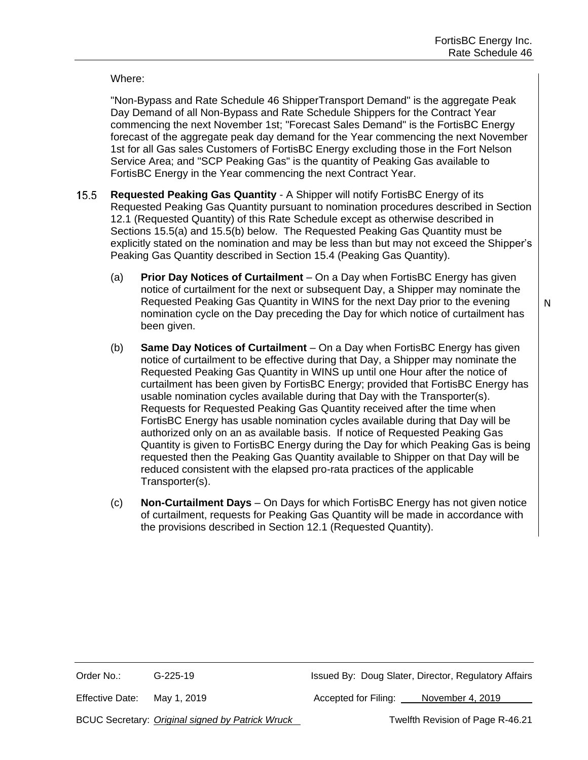#### Where:

"Non-Bypass and Rate Schedule 46 ShipperTransport Demand" is the aggregate Peak Day Demand of all Non-Bypass and Rate Schedule Shippers for the Contract Year commencing the next November 1st; "Forecast Sales Demand" is the FortisBC Energy forecast of the aggregate peak day demand for the Year commencing the next November 1st for all Gas sales Customers of FortisBC Energy excluding those in the Fort Nelson Service Area; and "SCP Peaking Gas" is the quantity of Peaking Gas available to FortisBC Energy in the Year commencing the next Contract Year.

- $15.5$ **Requested Peaking Gas Quantity** - A Shipper will notify FortisBC Energy of its Requested Peaking Gas Quantity pursuant to nomination procedures described in Section 12.1 (Requested Quantity) of this Rate Schedule except as otherwise described in Sections 15.5(a) and 15.5(b) below. The Requested Peaking Gas Quantity must be explicitly stated on the nomination and may be less than but may not exceed the Shipper's Peaking Gas Quantity described in Section 15.4 (Peaking Gas Quantity).
	- (a) **Prior Day Notices of Curtailment** On a Day when FortisBC Energy has given notice of curtailment for the next or subsequent Day, a Shipper may nominate the Requested Peaking Gas Quantity in WINS for the next Day prior to the evening nomination cycle on the Day preceding the Day for which notice of curtailment has been given.
	- (b) **Same Day Notices of Curtailment** On a Day when FortisBC Energy has given notice of curtailment to be effective during that Day, a Shipper may nominate the Requested Peaking Gas Quantity in WINS up until one Hour after the notice of curtailment has been given by FortisBC Energy; provided that FortisBC Energy has usable nomination cycles available during that Day with the Transporter(s). Requests for Requested Peaking Gas Quantity received after the time when FortisBC Energy has usable nomination cycles available during that Day will be authorized only on an as available basis. If notice of Requested Peaking Gas Quantity is given to FortisBC Energy during the Day for which Peaking Gas is being requested then the Peaking Gas Quantity available to Shipper on that Day will be reduced consistent with the elapsed pro-rata practices of the applicable Transporter(s).
	- (c) **Non-Curtailment Days** On Days for which FortisBC Energy has not given notice of curtailment, requests for Peaking Gas Quantity will be made in accordance with the provisions described in Section 12.1 (Requested Quantity).

Effective Date: May 1, 2019 **Accepted for Filing:** November 4, 2019

BCUC Secretary: *Original signed by Patrick Wruck* The Mass Twelfth Revision of Page R-46.21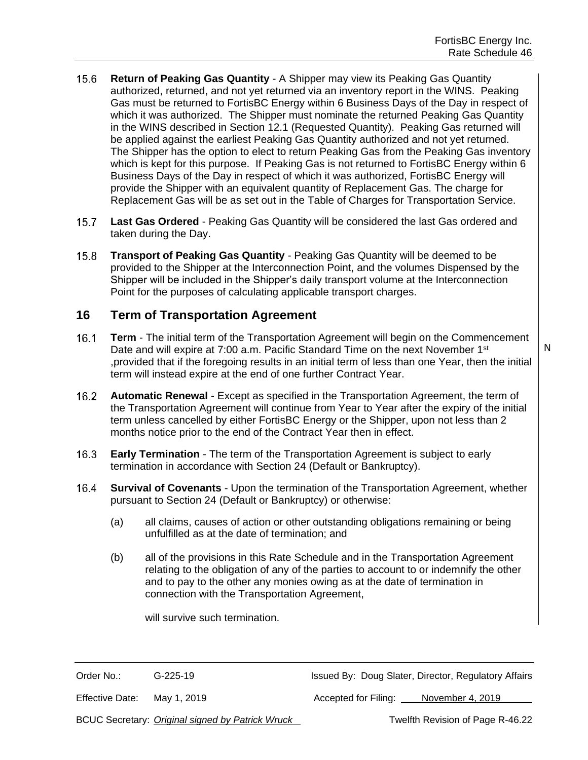- $15.6 -$ **Return of Peaking Gas Quantity** - A Shipper may view its Peaking Gas Quantity authorized, returned, and not yet returned via an inventory report in the WINS. Peaking Gas must be returned to FortisBC Energy within 6 Business Days of the Day in respect of which it was authorized. The Shipper must nominate the returned Peaking Gas Quantity in the WINS described in Section 12.1 (Requested Quantity). Peaking Gas returned will be applied against the earliest Peaking Gas Quantity authorized and not yet returned. The Shipper has the option to elect to return Peaking Gas from the Peaking Gas inventory which is kept for this purpose. If Peaking Gas is not returned to FortisBC Energy within 6 Business Days of the Day in respect of which it was authorized, FortisBC Energy will provide the Shipper with an equivalent quantity of Replacement Gas. The charge for Replacement Gas will be as set out in the Table of Charges for Transportation Service.
- **Last Gas Ordered** Peaking Gas Quantity will be considered the last Gas ordered and  $15.7$ taken during the Day.
- $15.8$ **Transport of Peaking Gas Quantity** - Peaking Gas Quantity will be deemed to be provided to the Shipper at the Interconnection Point, and the volumes Dispensed by the Shipper will be included in the Shipper's daily transport volume at the Interconnection Point for the purposes of calculating applicable transport charges.

#### **16 Term of Transportation Agreement**

 $16.1$ **Term** - The initial term of the Transportation Agreement will begin on the Commencement Date and will expire at 7:00 a.m. Pacific Standard Time on the next November 1<sup>st</sup> ,provided that if the foregoing results in an initial term of less than one Year, then the initial term will instead expire at the end of one further Contract Year.

- $16.2$ **Automatic Renewal** - Except as specified in the Transportation Agreement, the term of the Transportation Agreement will continue from Year to Year after the expiry of the initial term unless cancelled by either FortisBC Energy or the Shipper, upon not less than 2 months notice prior to the end of the Contract Year then in effect.
- $16.3$ **Early Termination** - The term of the Transportation Agreement is subject to early termination in accordance with Section 24 (Default or Bankruptcy).
- **Survival of Covenants** Upon the termination of the Transportation Agreement, whether  $16.4$ pursuant to Section 24 (Default or Bankruptcy) or otherwise:
	- (a) all claims, causes of action or other outstanding obligations remaining or being unfulfilled as at the date of termination; and
	- (b) all of the provisions in this Rate Schedule and in the Transportation Agreement relating to the obligation of any of the parties to account to or indemnify the other and to pay to the other any monies owing as at the date of termination in connection with the Transportation Agreement,

will survive such termination.

Order No.: G-225-19 G-225-19 Issued By: Doug Slater, Director, Regulatory Affairs

Effective Date: May 1, 2019 **Accepted for Filing:** November 4, 2019

BCUC Secretary: *Original signed by Patrick Wruck* Twelfth Revision of Page R-46.22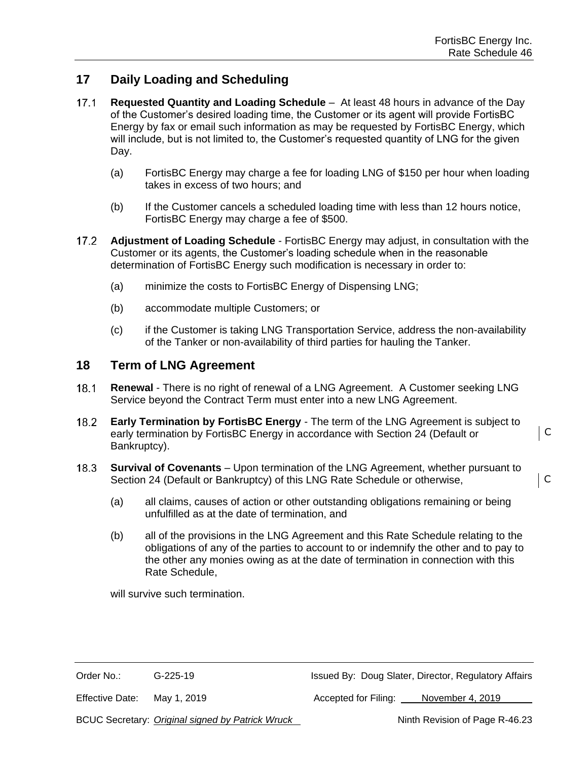C

C

## **17 Daily Loading and Scheduling**

- $17.1$ **Requested Quantity and Loading Schedule** – At least 48 hours in advance of the Day of the Customer's desired loading time, the Customer or its agent will provide FortisBC Energy by fax or email such information as may be requested by FortisBC Energy, which will include, but is not limited to, the Customer's requested quantity of LNG for the given Day.
	- (a) FortisBC Energy may charge a fee for loading LNG of \$150 per hour when loading takes in excess of two hours; and
	- (b) If the Customer cancels a scheduled loading time with less than 12 hours notice, FortisBC Energy may charge a fee of \$500.
- $17.2$ **Adjustment of Loading Schedule** - FortisBC Energy may adjust, in consultation with the Customer or its agents, the Customer's loading schedule when in the reasonable determination of FortisBC Energy such modification is necessary in order to:
	- (a) minimize the costs to FortisBC Energy of Dispensing LNG;
	- (b) accommodate multiple Customers; or
	- (c) if the Customer is taking LNG Transportation Service, address the non-availability of the Tanker or non-availability of third parties for hauling the Tanker.

#### **18 Term of LNG Agreement**

- $18.1$ **Renewal** - There is no right of renewal of a LNG Agreement. A Customer seeking LNG Service beyond the Contract Term must enter into a new LNG Agreement.
- $18.2$ **Early Termination by FortisBC Energy** - The term of the LNG Agreement is subject to early termination by FortisBC Energy in accordance with Section 24 (Default or Bankruptcy).
- **Survival of Covenants** Upon termination of the LNG Agreement, whether pursuant to  $18.3$ Section 24 (Default or Bankruptcy) of this LNG Rate Schedule or otherwise,
	- (a) all claims, causes of action or other outstanding obligations remaining or being unfulfilled as at the date of termination, and
	- (b) all of the provisions in the LNG Agreement and this Rate Schedule relating to the obligations of any of the parties to account to or indemnify the other and to pay to the other any monies owing as at the date of termination in connection with this Rate Schedule,

will survive such termination.

Order No.: G-225-19 G-225-19 Issued By: Doug Slater, Director, Regulatory Affairs

Effective Date: May 1, 2019 **Accepted for Filing:** November 4, 2019

BCUC Secretary: *Original signed by Patrick Wruck* Ninth Revision of Page R-46.23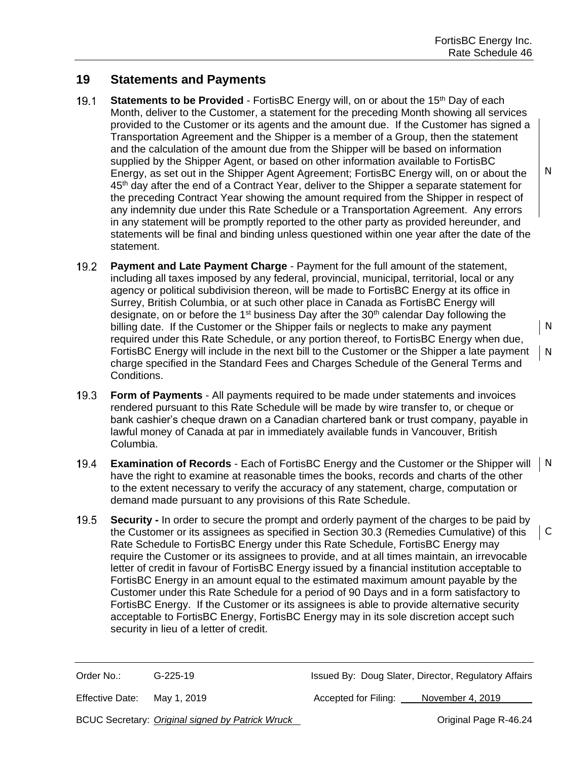C

### **19 Statements and Payments**

- $19.1$ **Statements to be Provided** - FortisBC Energy will, on or about the 15<sup>th</sup> Day of each Month, deliver to the Customer, a statement for the preceding Month showing all services provided to the Customer or its agents and the amount due. If the Customer has signed a Transportation Agreement and the Shipper is a member of a Group, then the statement and the calculation of the amount due from the Shipper will be based on information supplied by the Shipper Agent, or based on other information available to FortisBC Energy, as set out in the Shipper Agent Agreement; FortisBC Energy will, on or about the 45th day after the end of a Contract Year, deliver to the Shipper a separate statement for the preceding Contract Year showing the amount required from the Shipper in respect of any indemnity due under this Rate Schedule or a Transportation Agreement. Any errors in any statement will be promptly reported to the other party as provided hereunder, and statements will be final and binding unless questioned within one year after the date of the statement.
- $19.2<sub>1</sub>$ **Payment and Late Payment Charge** - Payment for the full amount of the statement, including all taxes imposed by any federal, provincial, municipal, territorial, local or any agency or political subdivision thereon, will be made to FortisBC Energy at its office in Surrey, British Columbia, or at such other place in Canada as FortisBC Energy will designate, on or before the 1<sup>st</sup> business Day after the 30<sup>th</sup> calendar Day following the billing date. If the Customer or the Shipper fails or neglects to make any payment N required under this Rate Schedule, or any portion thereof, to FortisBC Energy when due, FortisBC Energy will include in the next bill to the Customer or the Shipper a late payment N charge specified in the Standard Fees and Charges Schedule of the General Terms and Conditions.
- **Form of Payments** All payments required to be made under statements and invoices  $19.3$ rendered pursuant to this Rate Schedule will be made by wire transfer to, or cheque or bank cashier's cheque drawn on a Canadian chartered bank or trust company, payable in lawful money of Canada at par in immediately available funds in Vancouver, British Columbia.
- $19.4$ **Examination of Records** - Each of FortisBC Energy and the Customer or the Shipper will N have the right to examine at reasonable times the books, records and charts of the other to the extent necessary to verify the accuracy of any statement, charge, computation or demand made pursuant to any provisions of this Rate Schedule.
- $19.5$ **Security -** In order to secure the prompt and orderly payment of the charges to be paid by the Customer or its assignees as specified in Section 30.3 (Remedies Cumulative) of this Rate Schedule to FortisBC Energy under this Rate Schedule, FortisBC Energy may require the Customer or its assignees to provide, and at all times maintain, an irrevocable letter of credit in favour of FortisBC Energy issued by a financial institution acceptable to FortisBC Energy in an amount equal to the estimated maximum amount payable by the Customer under this Rate Schedule for a period of 90 Days and in a form satisfactory to FortisBC Energy. If the Customer or its assignees is able to provide alternative security acceptable to FortisBC Energy, FortisBC Energy may in its sole discretion accept such security in lieu of a letter of credit.

Order No.: G-225-19 G-225-19 Issued By: Doug Slater, Director, Regulatory Affairs

Effective Date: May 1, 2019 **Accepted for Filing:** November 4, 2019

BCUC Secretary: *Original signed by Patrick Wruck* **Change Communist Communist Page R-46.24**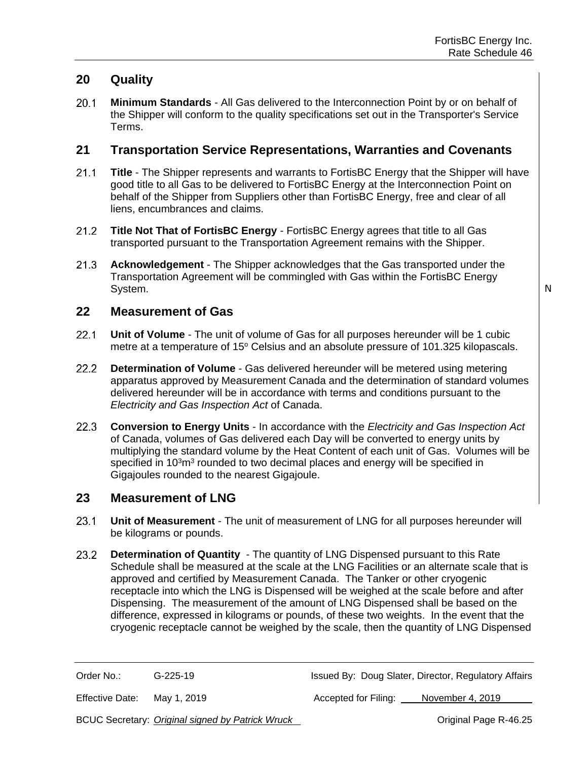## **20 Quality**

 $20.1$ **Minimum Standards** - All Gas delivered to the Interconnection Point by or on behalf of the Shipper will conform to the quality specifications set out in the Transporter's Service Terms.

#### **21 Transportation Service Representations, Warranties and Covenants**

- $21.1$ **Title** - The Shipper represents and warrants to FortisBC Energy that the Shipper will have good title to all Gas to be delivered to FortisBC Energy at the Interconnection Point on behalf of the Shipper from Suppliers other than FortisBC Energy, free and clear of all liens, encumbrances and claims.
- $21.2$ **Title Not That of FortisBC Energy** - FortisBC Energy agrees that title to all Gas transported pursuant to the Transportation Agreement remains with the Shipper.
- $21.3$ **Acknowledgement** - The Shipper acknowledges that the Gas transported under the Transportation Agreement will be commingled with Gas within the FortisBC Energy System.

N

#### **22 Measurement of Gas**

- $22.1$ **Unit of Volume** - The unit of volume of Gas for all purposes hereunder will be 1 cubic metre at a temperature of 15° Celsius and an absolute pressure of 101.325 kilopascals.
- $22.2$ **Determination of Volume** - Gas delivered hereunder will be metered using metering apparatus approved by Measurement Canada and the determination of standard volumes delivered hereunder will be in accordance with terms and conditions pursuant to the *Electricity and Gas Inspection Act* of Canada.
- **Conversion to Energy Units** In accordance with the *Electricity and Gas Inspection Act*  $22.3$ of Canada, volumes of Gas delivered each Day will be converted to energy units by multiplying the standard volume by the Heat Content of each unit of Gas. Volumes will be specified in 10 $3$ m $3$  rounded to two decimal places and energy will be specified in Gigajoules rounded to the nearest Gigajoule.

#### **23 Measurement of LNG**

- $23.1$ **Unit of Measurement** - The unit of measurement of LNG for all purposes hereunder will be kilograms or pounds.
- 23.2 **Determination of Quantity** - The quantity of LNG Dispensed pursuant to this Rate Schedule shall be measured at the scale at the LNG Facilities or an alternate scale that is approved and certified by Measurement Canada. The Tanker or other cryogenic receptacle into which the LNG is Dispensed will be weighed at the scale before and after Dispensing. The measurement of the amount of LNG Dispensed shall be based on the difference, expressed in kilograms or pounds, of these two weights. In the event that the cryogenic receptacle cannot be weighed by the scale, then the quantity of LNG Dispensed

Order No.: G-225-19 G-225-19 Issued By: Doug Slater, Director, Regulatory Affairs

Effective Date: May 1, 2019 **Accepted for Filing:** November 4, 2019

BCUC Secretary: *Original signed by Patrick Wruck* **Change Communist Communist Page R-46.25**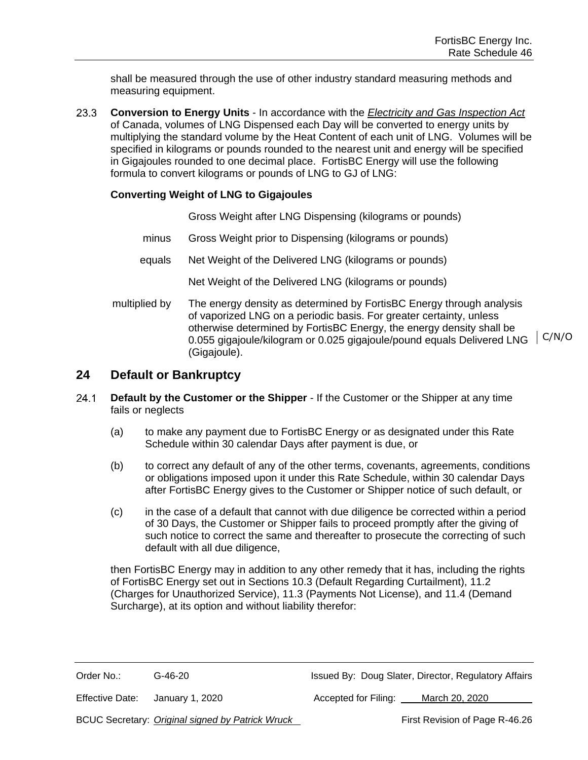shall be measured through the use of other industry standard measuring methods and measuring equipment.

 $23.3$ **Conversion to Energy Units** - In accordance with the *Electricity and Gas Inspection Act* of Canada, volumes of LNG Dispensed each Day will be converted to energy units by multiplying the standard volume by the Heat Content of each unit of LNG. Volumes will be specified in kilograms or pounds rounded to the nearest unit and energy will be specified in Gigajoules rounded to one decimal place. FortisBC Energy will use the following formula to convert kilograms or pounds of LNG to GJ of LNG:

#### **Converting Weight of LNG to Gigajoules**

Gross Weight after LNG Dispensing (kilograms or pounds)

- minus Gross Weight prior to Dispensing (kilograms or pounds)
- equals Net Weight of the Delivered LNG (kilograms or pounds)

Net Weight of the Delivered LNG (kilograms or pounds)

multiplied by The energy density as determined by FortisBC Energy through analysis of vaporized LNG on a periodic basis. For greater certainty, unless otherwise determined by FortisBC Energy, the energy density shall be 0.055 gigajoule/kilogram or 0.025 gigajoule/pound equals Delivered LNG C/N/O(Gigajoule).

#### **24 Default or Bankruptcy**

- $24.1$ **Default by the Customer or the Shipper** - If the Customer or the Shipper at any time fails or neglects
	- (a) to make any payment due to FortisBC Energy or as designated under this Rate Schedule within 30 calendar Days after payment is due, or
	- (b) to correct any default of any of the other terms, covenants, agreements, conditions or obligations imposed upon it under this Rate Schedule, within 30 calendar Days after FortisBC Energy gives to the Customer or Shipper notice of such default, or
	- (c) in the case of a default that cannot with due diligence be corrected within a period of 30 Days, the Customer or Shipper fails to proceed promptly after the giving of such notice to correct the same and thereafter to prosecute the correcting of such default with all due diligence,

then FortisBC Energy may in addition to any other remedy that it has, including the rights of FortisBC Energy set out in Sections 10.3 (Default Regarding Curtailment), 11.2 (Charges for Unauthorized Service), 11.3 (Payments Not License), and 11.4 (Demand Surcharge), at its option and without liability therefor:

| Order No.:                                        | G-46-20     | Issued By: Doug Slater, Director, Regulatory Affairs                                                               |
|---------------------------------------------------|-------------|--------------------------------------------------------------------------------------------------------------------|
| $\Gamma H_{\text{2}}$ and a $\Gamma$ and $\Gamma$ | $1 - 1 - 1$ | $\Lambda$ and another of $f$ and $\Gamma$ if $f$ and $\Gamma$<br>$M = 1$ $\sim$ $\sim$ $\sim$ $\sim$ $\sim$ $\sim$ |

Effective Date: January 1, 2020 Accepted for Filing: March 20, 2020

BCUC Secretary: *Original signed by Patrick Wruck* First Revision of Page R-46.26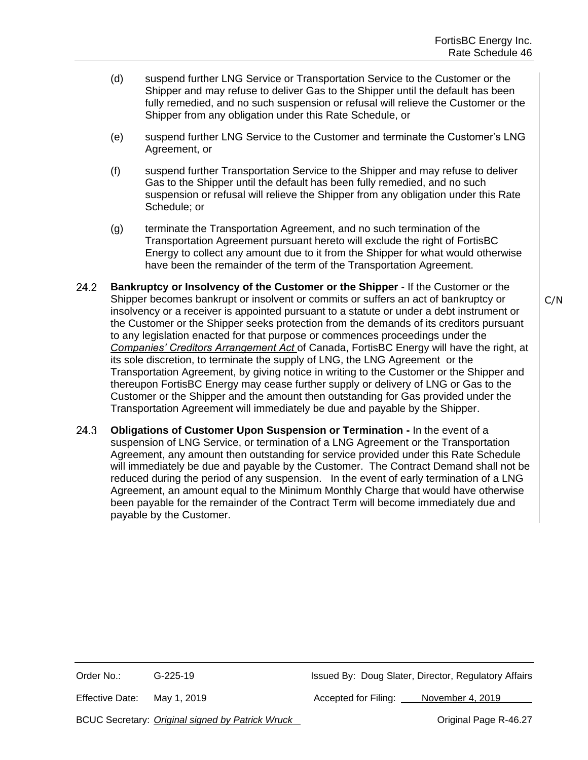C/N

- (d) suspend further LNG Service or Transportation Service to the Customer or the Shipper and may refuse to deliver Gas to the Shipper until the default has been fully remedied, and no such suspension or refusal will relieve the Customer or the Shipper from any obligation under this Rate Schedule, or
- (e) suspend further LNG Service to the Customer and terminate the Customer's LNG Agreement, or
- (f) suspend further Transportation Service to the Shipper and may refuse to deliver Gas to the Shipper until the default has been fully remedied, and no such suspension or refusal will relieve the Shipper from any obligation under this Rate Schedule; or
- (g) terminate the Transportation Agreement, and no such termination of the Transportation Agreement pursuant hereto will exclude the right of FortisBC Energy to collect any amount due to it from the Shipper for what would otherwise have been the remainder of the term of the Transportation Agreement.
- $24.2^{\circ}$ **Bankruptcy or Insolvency of the Customer or the Shipper** - If the Customer or the Shipper becomes bankrupt or insolvent or commits or suffers an act of bankruptcy or insolvency or a receiver is appointed pursuant to a statute or under a debt instrument or the Customer or the Shipper seeks protection from the demands of its creditors pursuant to any legislation enacted for that purpose or commences proceedings under the *Companies' Creditors Arrangement Act* of Canada, FortisBC Energy will have the right, at its sole discretion, to terminate the supply of LNG, the LNG Agreement or the Transportation Agreement, by giving notice in writing to the Customer or the Shipper and thereupon FortisBC Energy may cease further supply or delivery of LNG or Gas to the Customer or the Shipper and the amount then outstanding for Gas provided under the Transportation Agreement will immediately be due and payable by the Shipper.
- $24.3$ **Obligations of Customer Upon Suspension or Termination -** In the event of a suspension of LNG Service, or termination of a LNG Agreement or the Transportation Agreement, any amount then outstanding for service provided under this Rate Schedule will immediately be due and payable by the Customer. The Contract Demand shall not be reduced during the period of any suspension. In the event of early termination of a LNG Agreement, an amount equal to the Minimum Monthly Charge that would have otherwise been payable for the remainder of the Contract Term will become immediately due and payable by the Customer.

Effective Date: May 1, 2019 **Accepted for Filing:** November 4, 2019

BCUC Secretary: *Original signed by Patrick Wruck* **Change Communist Communist Page R-46.27**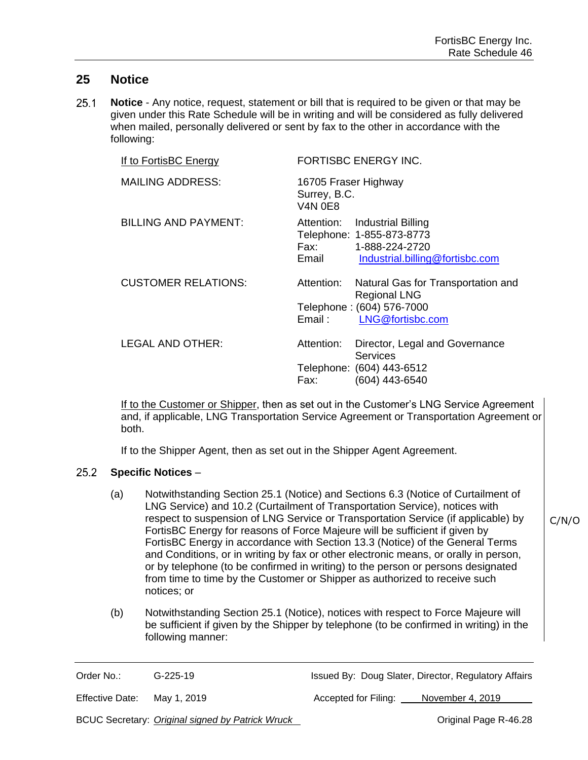#### **25 Notice**

 $25.1$ **Notice** - Any notice, request, statement or bill that is required to be given or that may be given under this Rate Schedule will be in writing and will be considered as fully delivered when mailed, personally delivered or sent by fax to the other in accordance with the following:

| If to FortisBC Energy       |                                                        | <b>FORTISBC ENERGY INC.</b>                                                                                          |
|-----------------------------|--------------------------------------------------------|----------------------------------------------------------------------------------------------------------------------|
| <b>MAILING ADDRESS:</b>     | 16705 Fraser Highway<br>Surrey, B.C.<br><b>V4N 0E8</b> |                                                                                                                      |
| <b>BILLING AND PAYMENT:</b> | Email                                                  | Attention: Industrial Billing<br>Telephone: 1-855-873-8773<br>Fax: 1-888-224-2720<br>Industrial.billing@fortisbc.com |
| <b>CUSTOMER RELATIONS:</b>  | Attention:<br>Email:                                   | Natural Gas for Transportation and<br><b>Regional LNG</b><br>Telephone: (604) 576-7000<br>LNG@fortisbc.com           |
| <b>LEGAL AND OTHER:</b>     | Attention:<br>Fax:                                     | Director, Legal and Governance<br><b>Services</b><br>Telephone: (604) 443-6512<br>(604) 443-6540                     |

If to the Customer or Shipper, then as set out in the Customer's LNG Service Agreement and, if applicable, LNG Transportation Service Agreement or Transportation Agreement or both.

If to the Shipper Agent, then as set out in the Shipper Agent Agreement.

#### $25.2$ **Specific Notices** –

- (a) Notwithstanding Section 25.1 (Notice) and Sections 6.3 (Notice of Curtailment of LNG Service) and 10.2 (Curtailment of Transportation Service), notices with respect to suspension of LNG Service or Transportation Service (if applicable) by FortisBC Energy for reasons of Force Majeure will be sufficient if given by FortisBC Energy in accordance with Section 13.3 (Notice) of the General Terms and Conditions, or in writing by fax or other electronic means, or orally in person, or by telephone (to be confirmed in writing) to the person or persons designated from time to time by the Customer or Shipper as authorized to receive such notices; or
- (b) Notwithstanding Section 25.1 (Notice), notices with respect to Force Majeure will be sufficient if given by the Shipper by telephone (to be confirmed in writing) in the following manner:

Order No.: G-225-19 G-225-19 Issued By: Doug Slater, Director, Regulatory Affairs

Effective Date: May 1, 2019 **Accepted for Filing:** November 4, 2019

C/N/O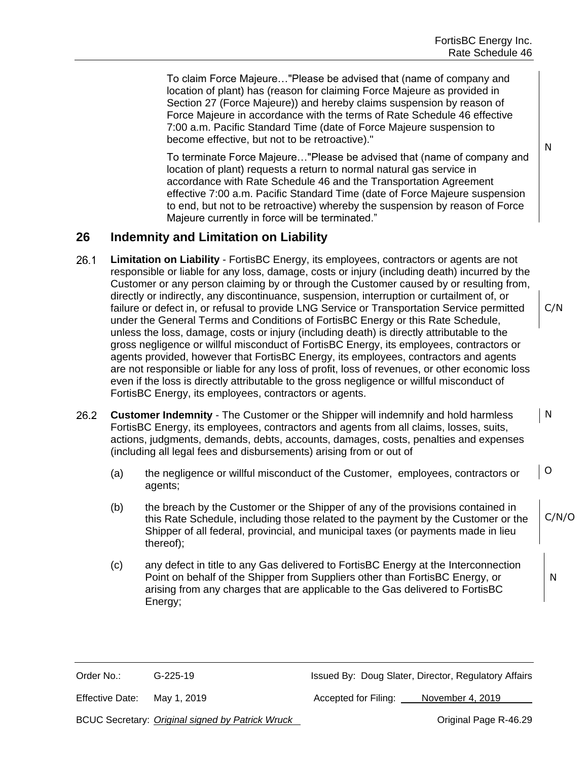To claim Force Majeure…"Please be advised that (name of company and location of plant) has (reason for claiming Force Majeure as provided in Section 27 (Force Majeure)) and hereby claims suspension by reason of Force Majeure in accordance with the terms of Rate Schedule 46 effective 7:00 a.m. Pacific Standard Time (date of Force Majeure suspension to become effective, but not to be retroactive)."

To terminate Force Majeure…"Please be advised that (name of company and location of plant) requests a return to normal natural gas service in accordance with Rate Schedule 46 and the Transportation Agreement effective 7:00 a.m. Pacific Standard Time (date of Force Majeure suspension to end, but not to be retroactive) whereby the suspension by reason of Force Majeure currently in force will be terminated."

### **26 Indemnity and Limitation on Liability**

- $26.1$ **Limitation on Liability** - FortisBC Energy, its employees, contractors or agents are not responsible or liable for any loss, damage, costs or injury (including death) incurred by the Customer or any person claiming by or through the Customer caused by or resulting from, directly or indirectly, any discontinuance, suspension, interruption or curtailment of, or failure or defect in, or refusal to provide LNG Service or Transportation Service permitted under the General Terms and Conditions of FortisBC Energy or this Rate Schedule, unless the loss, damage, costs or injury (including death) is directly attributable to the gross negligence or willful misconduct of FortisBC Energy, its employees, contractors or agents provided, however that FortisBC Energy, its employees, contractors and agents are not responsible or liable for any loss of profit, loss of revenues, or other economic loss even if the loss is directly attributable to the gross negligence or willful misconduct of FortisBC Energy, its employees, contractors or agents.
- $26.2$ N **Customer Indemnity** - The Customer or the Shipper will indemnify and hold harmless FortisBC Energy, its employees, contractors and agents from all claims, losses, suits, actions, judgments, demands, debts, accounts, damages, costs, penalties and expenses (including all legal fees and disbursements) arising from or out of
	- (a) the negligence or willful misconduct of the Customer, employees, contractors or agents; O
	- (b) the breach by the Customer or the Shipper of any of the provisions contained in this Rate Schedule, including those related to the payment by the Customer or the Shipper of all federal, provincial, and municipal taxes (or payments made in lieu thereof); C/N/O
	- (c) any defect in title to any Gas delivered to FortisBC Energy at the Interconnection Point on behalf of the Shipper from Suppliers other than FortisBC Energy, or arising from any charges that are applicable to the Gas delivered to FortisBC Energy;

Order No.: G-225-19 G-225-19 Issued By: Doug Slater, Director, Regulatory Affairs

Effective Date: May 1, 2019 **Accepted for Filing:** November 4, 2019

BCUC Secretary: *Original signed by Patrick Wruck* **Change Communist Communist Page R-46.29** 

N

C/N

N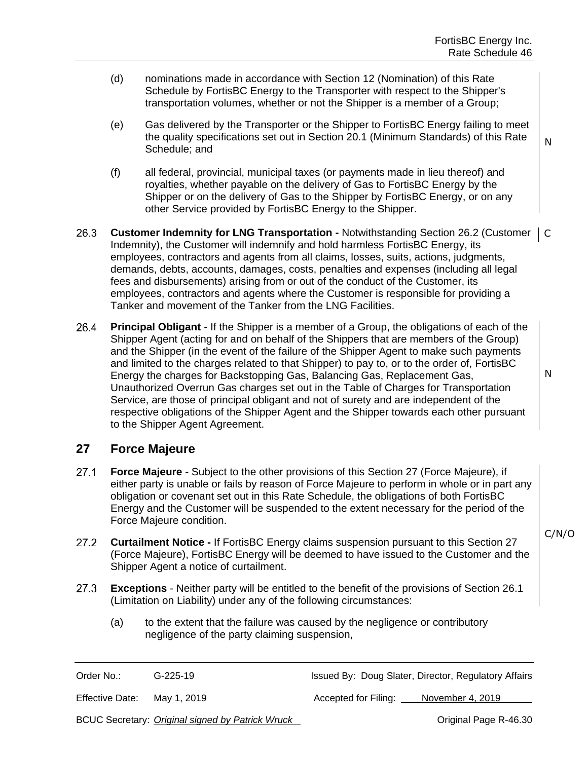- (d) nominations made in accordance with Section 12 (Nomination) of this Rate Schedule by FortisBC Energy to the Transporter with respect to the Shipper's transportation volumes, whether or not the Shipper is a member of a Group;
- (e) Gas delivered by the Transporter or the Shipper to FortisBC Energy failing to meet the quality specifications set out in Section 20.1 (Minimum Standards) of this Rate Schedule; and
- (f) all federal, provincial, municipal taxes (or payments made in lieu thereof) and royalties, whether payable on the delivery of Gas to FortisBC Energy by the Shipper or on the delivery of Gas to the Shipper by FortisBC Energy, or on any other Service provided by FortisBC Energy to the Shipper.
- 26.3 **Customer Indemnity for LNG Transportation -** Notwithstanding Section 26.2 (Customer C Indemnity), the Customer will indemnify and hold harmless FortisBC Energy, its employees, contractors and agents from all claims, losses, suits, actions, judgments, demands, debts, accounts, damages, costs, penalties and expenses (including all legal fees and disbursements) arising from or out of the conduct of the Customer, its employees, contractors and agents where the Customer is responsible for providing a Tanker and movement of the Tanker from the LNG Facilities.
- 26.4 **Principal Obligant** - If the Shipper is a member of a Group, the obligations of each of the Shipper Agent (acting for and on behalf of the Shippers that are members of the Group) and the Shipper (in the event of the failure of the Shipper Agent to make such payments and limited to the charges related to that Shipper) to pay to, or to the order of, FortisBC Energy the charges for Backstopping Gas, Balancing Gas, Replacement Gas, Unauthorized Overrun Gas charges set out in the Table of Charges for Transportation Service, are those of principal obligant and not of surety and are independent of the respective obligations of the Shipper Agent and the Shipper towards each other pursuant to the Shipper Agent Agreement.

## **27 Force Majeure**

- $27.1$ **Force Majeure -** Subject to the other provisions of this Section 27 (Force Majeure), if either party is unable or fails by reason of Force Majeure to perform in whole or in part any obligation or covenant set out in this Rate Schedule, the obligations of both FortisBC Energy and the Customer will be suspended to the extent necessary for the period of the Force Majeure condition.
- $27.2$ **Curtailment Notice -** If FortisBC Energy claims suspension pursuant to this Section 27 (Force Majeure), FortisBC Energy will be deemed to have issued to the Customer and the Shipper Agent a notice of curtailment.
- $27.3$ **Exceptions** - Neither party will be entitled to the benefit of the provisions of Section 26.1 (Limitation on Liability) under any of the following circumstances:
	- (a) to the extent that the failure was caused by the negligence or contributory negligence of the party claiming suspension,

Order No.: G-225-19 G-225-19 Issued By: Doug Slater, Director, Regulatory Affairs

Effective Date: May 1, 2019 **Accepted for Filing:** November 4, 2019

BCUC Secretary: *Original signed by Patrick Wruck* **Change Communist Communist Page R-46.30** 

C/N/O

N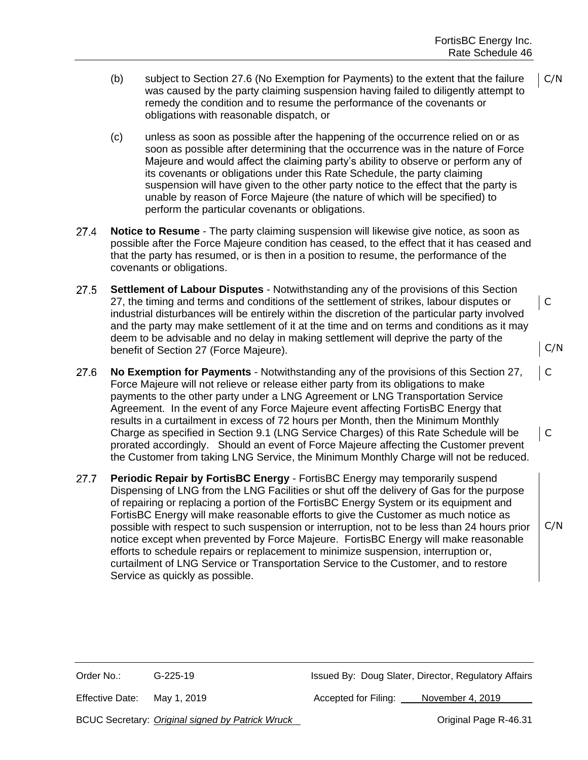C

C/N

C/N

C

- (b) subject to Section 27.6 (No Exemption for Payments) to the extent that the failure was caused by the party claiming suspension having failed to diligently attempt to remedy the condition and to resume the performance of the covenants or obligations with reasonable dispatch, or C/N
- (c) unless as soon as possible after the happening of the occurrence relied on or as soon as possible after determining that the occurrence was in the nature of Force Majeure and would affect the claiming party's ability to observe or perform any of its covenants or obligations under this Rate Schedule, the party claiming suspension will have given to the other party notice to the effect that the party is unable by reason of Force Majeure (the nature of which will be specified) to perform the particular covenants or obligations.
- $27.4$ **Notice to Resume** - The party claiming suspension will likewise give notice, as soon as possible after the Force Majeure condition has ceased, to the effect that it has ceased and that the party has resumed, or is then in a position to resume, the performance of the covenants or obligations.
- $27.5$ **Settlement of Labour Disputes** - Notwithstanding any of the provisions of this Section 27, the timing and terms and conditions of the settlement of strikes, labour disputes or industrial disturbances will be entirely within the discretion of the particular party involved and the party may make settlement of it at the time and on terms and conditions as it may deem to be advisable and no delay in making settlement will deprive the party of the benefit of Section 27 (Force Majeure).
- **No Exemption for Payments** Notwithstanding any of the provisions of this Section 27,  $27.6$ Force Majeure will not relieve or release either party from its obligations to make payments to the other party under a LNG Agreement or LNG Transportation Service Agreement. In the event of any Force Majeure event affecting FortisBC Energy that results in a curtailment in excess of 72 hours per Month, then the Minimum Monthly Charge as specified in Section 9.1 (LNG Service Charges) of this Rate Schedule will be C prorated accordingly. Should an event of Force Majeure affecting the Customer prevent the Customer from taking LNG Service, the Minimum Monthly Charge will not be reduced.
- $27.7$ **Periodic Repair by FortisBC Energy** - FortisBC Energy may temporarily suspend Dispensing of LNG from the LNG Facilities or shut off the delivery of Gas for the purpose of repairing or replacing a portion of the FortisBC Energy System or its equipment and FortisBC Energy will make reasonable efforts to give the Customer as much notice as possible with respect to such suspension or interruption, not to be less than 24 hours prior notice except when prevented by Force Majeure. FortisBC Energy will make reasonable efforts to schedule repairs or replacement to minimize suspension, interruption or, curtailment of LNG Service or Transportation Service to the Customer, and to restore Service as quickly as possible.

Order No.: G-225-19 G-225-19 Issued By: Doug Slater, Director, Regulatory Affairs

Effective Date: May 1, 2019 **Accepted for Filing:** November 4, 2019

BCUC Secretary: *Original signed by Patrick Wruck* Number 2014 2015 07 Original Page R-46.31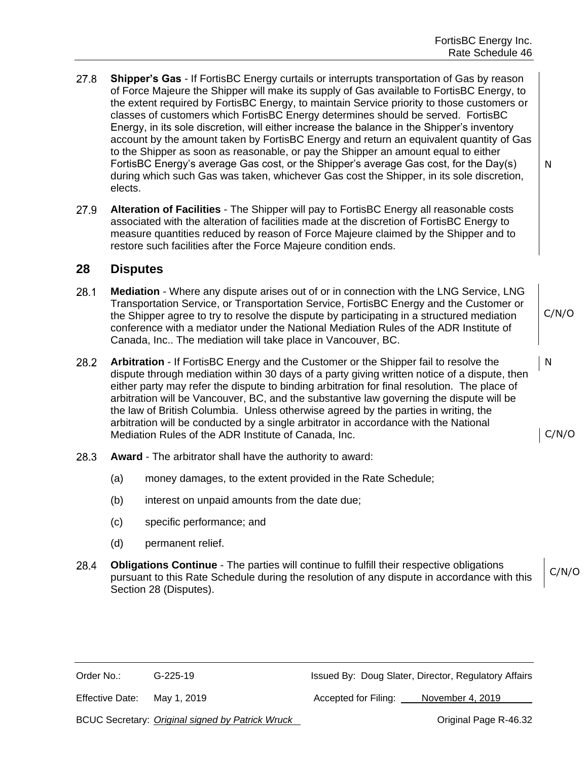- $27.8$ **Shipper's Gas** - If FortisBC Energy curtails or interrupts transportation of Gas by reason of Force Majeure the Shipper will make its supply of Gas available to FortisBC Energy, to the extent required by FortisBC Energy, to maintain Service priority to those customers or classes of customers which FortisBC Energy determines should be served. FortisBC Energy, in its sole discretion, will either increase the balance in the Shipper's inventory account by the amount taken by FortisBC Energy and return an equivalent quantity of Gas to the Shipper as soon as reasonable, or pay the Shipper an amount equal to either FortisBC Energy's average Gas cost, or the Shipper's average Gas cost, for the Day(s) during which such Gas was taken, whichever Gas cost the Shipper, in its sole discretion, elects.
- 27.9 **Alteration of Facilities** - The Shipper will pay to FortisBC Energy all reasonable costs associated with the alteration of facilities made at the discretion of FortisBC Energy to measure quantities reduced by reason of Force Majeure claimed by the Shipper and to restore such facilities after the Force Majeure condition ends.

#### **28 Disputes**

- $28.1$ **Mediation** - Where any dispute arises out of or in connection with the LNG Service, LNG Transportation Service, or Transportation Service, FortisBC Energy and the Customer or the Shipper agree to try to resolve the dispute by participating in a structured mediation conference with a mediator under the National Mediation Rules of the ADR Institute of Canada, Inc.. The mediation will take place in Vancouver, BC.
- $28.2$ **Arbitration** - If FortisBC Energy and the Customer or the Shipper fail to resolve the dispute through mediation within 30 days of a party giving written notice of a dispute, then either party may refer the dispute to binding arbitration for final resolution. The place of arbitration will be Vancouver, BC, and the substantive law governing the dispute will be the law of British Columbia. Unless otherwise agreed by the parties in writing, the arbitration will be conducted by a single arbitrator in accordance with the National Mediation Rules of the ADR Institute of Canada, Inc.
- $28.3$ **Award** - The arbitrator shall have the authority to award:
	- (a) money damages, to the extent provided in the Rate Schedule;
	- (b) interest on unpaid amounts from the date due;
	- (c) specific performance; and
	- (d) permanent relief.
- 28.4 **Obligations Continue** - The parties will continue to fulfill their respective obligations C/N/O pursuant to this Rate Schedule during the resolution of any dispute in accordance with this Section 28 (Disputes).

Order No.: G-225-19 G-225-19 Issued By: Doug Slater, Director, Regulatory Affairs

Effective Date: May 1, 2019 **Accepted for Filing:** November 4, 2019

BCUC Secretary: *Original signed by Patrick Wruck* **CHUC CORP And Access Page R-46.32** 

C/N/O

N

N

C/N/O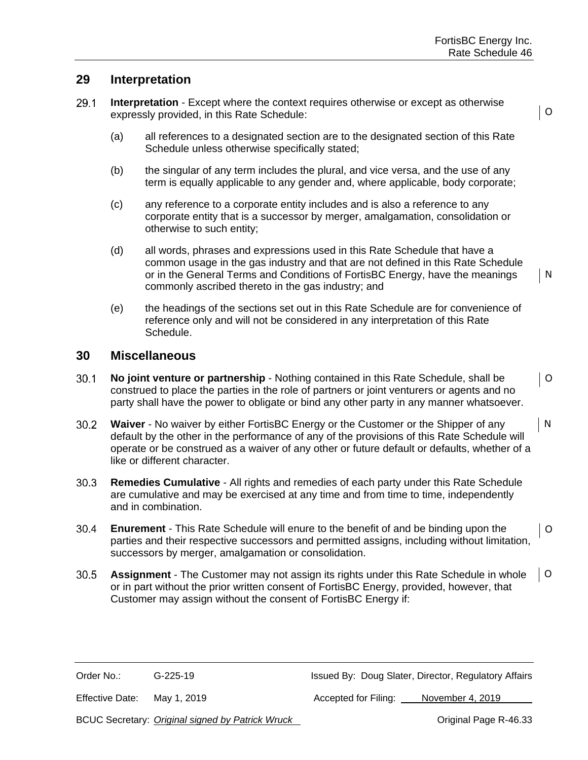O

O

#### **29 Interpretation**

- $29.1$ **Interpretation** - Except where the context requires otherwise or except as otherwise expressly provided, in this Rate Schedule:
	- (a) all references to a designated section are to the designated section of this Rate Schedule unless otherwise specifically stated;
	- (b) the singular of any term includes the plural, and vice versa, and the use of any term is equally applicable to any gender and, where applicable, body corporate;
	- (c) any reference to a corporate entity includes and is also a reference to any corporate entity that is a successor by merger, amalgamation, consolidation or otherwise to such entity;
	- (d) all words, phrases and expressions used in this Rate Schedule that have a common usage in the gas industry and that are not defined in this Rate Schedule or in the General Terms and Conditions of FortisBC Energy, have the meanings commonly ascribed thereto in the gas industry; and N
	- (e) the headings of the sections set out in this Rate Schedule are for convenience of reference only and will not be considered in any interpretation of this Rate Schedule.

#### **30 Miscellaneous**

- $30.1$ **No joint venture or partnership** - Nothing contained in this Rate Schedule, shall be construed to place the parties in the role of partners or joint venturers or agents and no party shall have the power to obligate or bind any other party in any manner whatsoever.
- $30.2$ **Waiver** - No waiver by either FortisBC Energy or the Customer or the Shipper of any N default by the other in the performance of any of the provisions of this Rate Schedule will operate or be construed as a waiver of any other or future default or defaults, whether of a like or different character.
- $30.3$ **Remedies Cumulative** - All rights and remedies of each party under this Rate Schedule are cumulative and may be exercised at any time and from time to time, independently and in combination.
- $30.4$ **Enurement** - This Rate Schedule will enure to the benefit of and be binding upon the O parties and their respective successors and permitted assigns, including without limitation, successors by merger, amalgamation or consolidation.
- O  $30.5$ **Assignment** - The Customer may not assign its rights under this Rate Schedule in whole or in part without the prior written consent of FortisBC Energy, provided, however, that Customer may assign without the consent of FortisBC Energy if:

Order No.: G-225-19 G-225-19 Issued By: Doug Slater, Director, Regulatory Affairs

Effective Date: May 1, 2019 **Accepted for Filing:** November 4, 2019

BCUC Secretary: *Original signed by Patrick Wruck* Number 2014 2015 07 Original Page R-46.33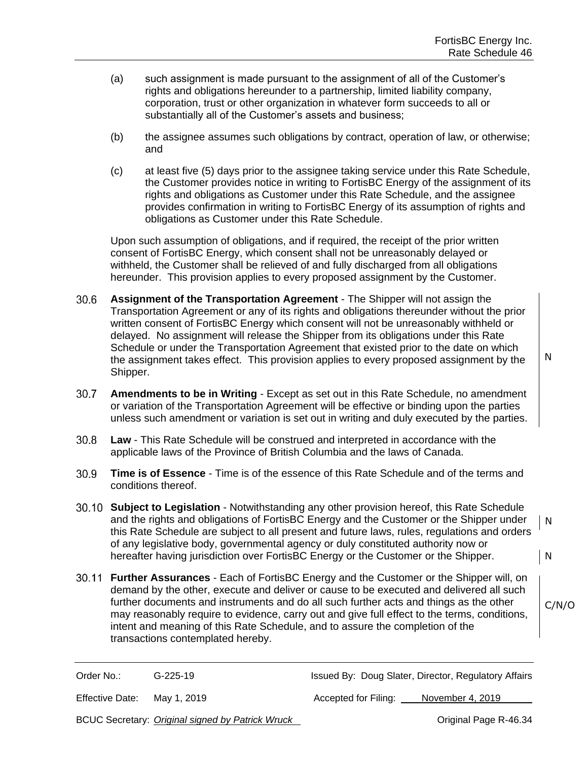- (a) such assignment is made pursuant to the assignment of all of the Customer's rights and obligations hereunder to a partnership, limited liability company, corporation, trust or other organization in whatever form succeeds to all or substantially all of the Customer's assets and business;
- (b) the assignee assumes such obligations by contract, operation of law, or otherwise; and
- (c) at least five (5) days prior to the assignee taking service under this Rate Schedule, the Customer provides notice in writing to FortisBC Energy of the assignment of its rights and obligations as Customer under this Rate Schedule, and the assignee provides confirmation in writing to FortisBC Energy of its assumption of rights and obligations as Customer under this Rate Schedule.

Upon such assumption of obligations, and if required, the receipt of the prior written consent of FortisBC Energy, which consent shall not be unreasonably delayed or withheld, the Customer shall be relieved of and fully discharged from all obligations hereunder. This provision applies to every proposed assignment by the Customer.

- $30.6<sub>1</sub>$ **Assignment of the Transportation Agreement** - The Shipper will not assign the Transportation Agreement or any of its rights and obligations thereunder without the prior written consent of FortisBC Energy which consent will not be unreasonably withheld or delayed. No assignment will release the Shipper from its obligations under this Rate Schedule or under the Transportation Agreement that existed prior to the date on which the assignment takes effect. This provision applies to every proposed assignment by the Shipper.
- $30.7$ **Amendments to be in Writing** - Except as set out in this Rate Schedule, no amendment or variation of the Transportation Agreement will be effective or binding upon the parties unless such amendment or variation is set out in writing and duly executed by the parties.
- $30.8$ **Law** - This Rate Schedule will be construed and interpreted in accordance with the applicable laws of the Province of British Columbia and the laws of Canada.
- **Time is of Essence** Time is of the essence of this Rate Schedule and of the terms and  $30.9<sub>1</sub>$ conditions thereof.
- **Subject to Legislation** Notwithstanding any other provision hereof, this Rate Schedule and the rights and obligations of FortisBC Energy and the Customer or the Shipper under this Rate Schedule are subject to all present and future laws, rules, regulations and orders of any legislative body, governmental agency or duly constituted authority now or hereafter having jurisdiction over FortisBC Energy or the Customer or the Shipper. N N
- **Further Assurances** Each of FortisBC Energy and the Customer or the Shipper will, on demand by the other, execute and deliver or cause to be executed and delivered all such further documents and instruments and do all such further acts and things as the other may reasonably require to evidence, carry out and give full effect to the terms, conditions, intent and meaning of this Rate Schedule, and to assure the completion of the transactions contemplated hereby.

C/N/O

N

Order No.: G-225-19 G-225-19 Issued By: Doug Slater, Director, Regulatory Affairs

Effective Date: May 1, 2019 **Accepted for Filing:** November 4, 2019

BCUC Secretary: *Original signed by Patrick Wruck* **Change Communist Communist Page R-46.34**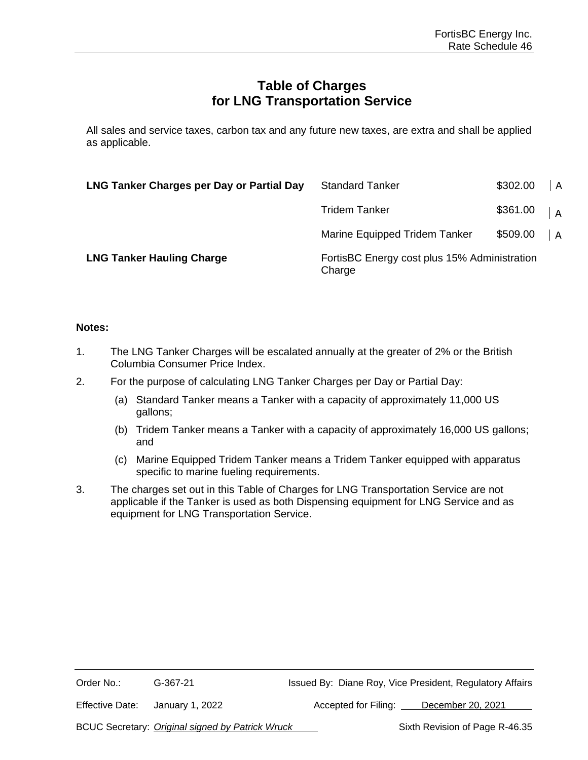# **Table of Charges for LNG Transportation Service**

All sales and service taxes, carbon tax and any future new taxes, are extra and shall be applied as applicable.

| LNG Tanker Charges per Day or Partial Day | <b>Standard Tanker</b>                                 | \$302.00 | $\overline{A}$ |
|-------------------------------------------|--------------------------------------------------------|----------|----------------|
|                                           | Tridem Tanker                                          | \$361.00 | $\overline{A}$ |
|                                           | Marine Equipped Tridem Tanker                          | \$509.00 | $\overline{A}$ |
| <b>LNG Tanker Hauling Charge</b>          | FortisBC Energy cost plus 15% Administration<br>Charge |          |                |

#### **Notes:**

- 1. The LNG Tanker Charges will be escalated annually at the greater of 2% or the British Columbia Consumer Price Index.
- 2. For the purpose of calculating LNG Tanker Charges per Day or Partial Day:
	- (a) Standard Tanker means a Tanker with a capacity of approximately 11,000 US gallons;
	- (b) Tridem Tanker means a Tanker with a capacity of approximately 16,000 US gallons; and
	- (c) Marine Equipped Tridem Tanker means a Tridem Tanker equipped with apparatus specific to marine fueling requirements.
- 3. The charges set out in this Table of Charges for LNG Transportation Service are not applicable if the Tanker is used as both Dispensing equipment for LNG Service and as equipment for LNG Transportation Service.

| Order No.:      | G-367-21        | Issued By: Diane Roy, Vice President, Regulatory Affairs |
|-----------------|-----------------|----------------------------------------------------------|
| Effective Date: | January 1, 2022 | Accepted for Filing:<br>December 20, 2021                |

BCUC Secretary: *Original signed by Patrick Wruck* Sixth Revision of Page R-46.35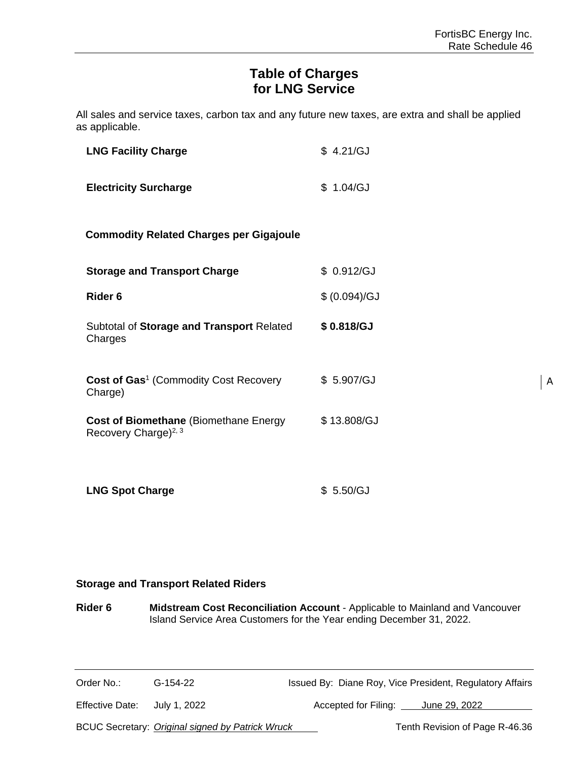A

# **Table of Charges for LNG Service**

All sales and service taxes, carbon tax and any future new taxes, are extra and shall be applied as applicable.

| <b>LNG Facility Charge</b>                                                        | \$4.21/GJ     |
|-----------------------------------------------------------------------------------|---------------|
| <b>Electricity Surcharge</b>                                                      | \$1.04/GJ     |
| <b>Commodity Related Charges per Gigajoule</b>                                    |               |
| <b>Storage and Transport Charge</b>                                               | \$ 0.912/GJ   |
| Rider <sub>6</sub>                                                                | \$ (0.094)/GJ |
| Subtotal of Storage and Transport Related<br>Charges                              | \$0.818/GJ    |
| Cost of Gas <sup>1</sup> (Commodity Cost Recovery<br>Charge)                      | \$5.907/GJ    |
| <b>Cost of Biomethane (Biomethane Energy)</b><br>Recovery Charge) <sup>2, 3</sup> | \$13.808/GJ   |
| <b>LNG Spot Charge</b>                                                            | \$5.50/GJ     |

#### **Storage and Transport Related Riders**

**Rider 6 Midstream Cost Reconciliation Account** - Applicable to Mainland and Vancouver Island Service Area Customers for the Year ending December 31, 2022.

| Order No.:      | G-154-22     | Issued By: Diane Roy, Vice President, Regulatory Affairs |               |
|-----------------|--------------|----------------------------------------------------------|---------------|
| Effective Date: | July 1, 2022 | Accepted for Filing:                                     | June 29, 2022 |

BCUC Secretary: *Original signed by Patrick Wruck* Tenth Revision of Page R-46.36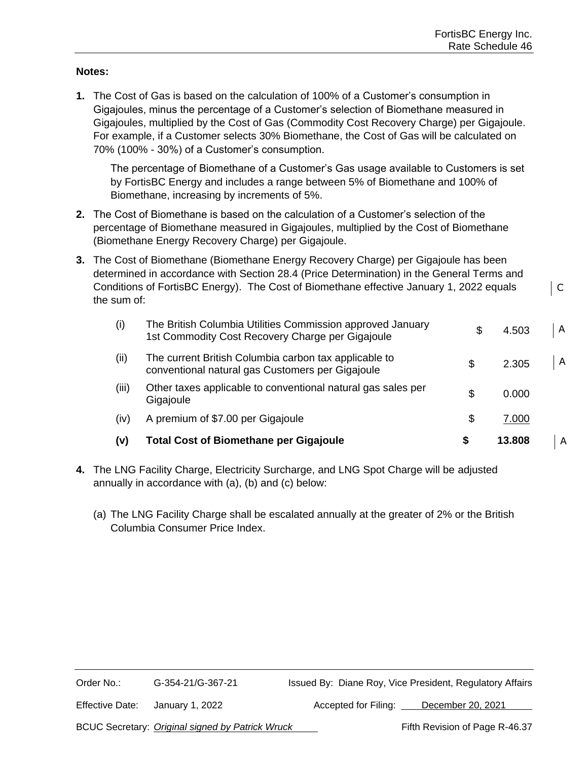C

#### **Notes:**

**1.** The Cost of Gas is based on the calculation of 100% of a Customer's consumption in Gigajoules, minus the percentage of a Customer's selection of Biomethane measured in Gigajoules, multiplied by the Cost of Gas (Commodity Cost Recovery Charge) per Gigajoule. For example, if a Customer selects 30% Biomethane, the Cost of Gas will be calculated on 70% (100% - 30%) of a Customer's consumption.

The percentage of Biomethane of a Customer's Gas usage available to Customers is set by FortisBC Energy and includes a range between 5% of Biomethane and 100% of Biomethane, increasing by increments of 5%.

- **2.** The Cost of Biomethane is based on the calculation of a Customer's selection of the percentage of Biomethane measured in Gigajoules, multiplied by the Cost of Biomethane (Biomethane Energy Recovery Charge) per Gigajoule.
- **3.** The Cost of Biomethane (Biomethane Energy Recovery Charge) per Gigajoule has been determined in accordance with Section 28.4 (Price Determination) in the General Terms and Conditions of FortisBC Energy). The Cost of Biomethane effective January 1, 2022 equals the sum of:

| (v)   | <b>Total Cost of Biomethane per Gigajoule</b>                                                                  | S | 13.808 | A            |
|-------|----------------------------------------------------------------------------------------------------------------|---|--------|--------------|
| (iv)  | A premium of \$7.00 per Gigajoule                                                                              | S | 7.000  |              |
| (iii) | Other taxes applicable to conventional natural gas sales per<br>Gigajoule                                      | S | 0.000  |              |
| (ii)  | The current British Columbia carbon tax applicable to<br>conventional natural gas Customers per Gigajoule      |   | 2.305  | $\mathsf{A}$ |
| (i)   | The British Columbia Utilities Commission approved January<br>1st Commodity Cost Recovery Charge per Gigajoule | S | 4.503  | $\mathsf{A}$ |

- **4.** The LNG Facility Charge, Electricity Surcharge, and LNG Spot Charge will be adjusted annually in accordance with (a), (b) and (c) below:
	- (a) The LNG Facility Charge shall be escalated annually at the greater of 2% or the British Columbia Consumer Price Index.

| Order No.:      | G-354-21/G-367-21                                | Issued By: Diane Roy, Vice President, Regulatory Affairs |
|-----------------|--------------------------------------------------|----------------------------------------------------------|
| Effective Date: | January 1, 2022                                  | December 20, 2021<br>Accepted for Filing:                |
|                 | BCUC Secretary: Original signed by Patrick Wruck | Fifth Revision of Page R-46.37                           |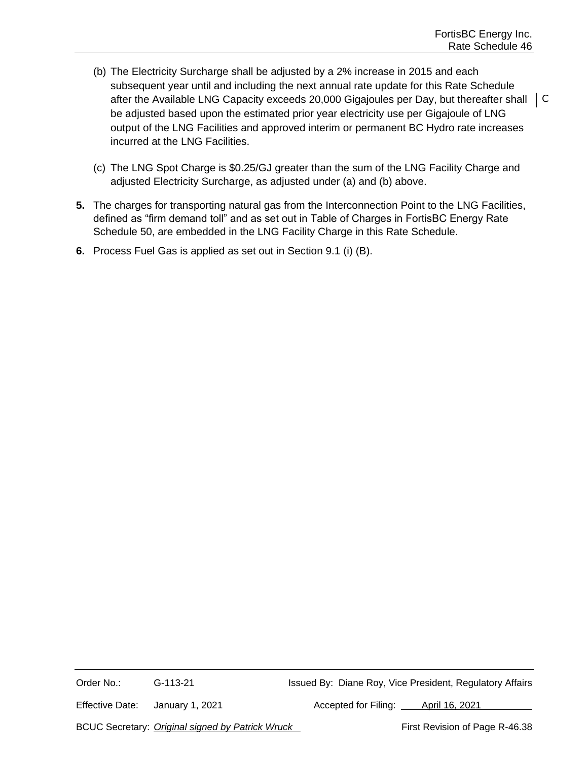- (b) The Electricity Surcharge shall be adjusted by a 2% increase in 2015 and each subsequent year until and including the next annual rate update for this Rate Schedule after the Available LNG Capacity exceeds 20,000 Gigajoules per Day, but thereafter shall be adjusted based upon the estimated prior year electricity use per Gigajoule of LNG output of the LNG Facilities and approved interim or permanent BC Hydro rate increases incurred at the LNG Facilities.
- (c) The LNG Spot Charge is \$0.25/GJ greater than the sum of the LNG Facility Charge and adjusted Electricity Surcharge, as adjusted under (a) and (b) above.
- **5.** The charges for transporting natural gas from the Interconnection Point to the LNG Facilities, defined as "firm demand toll" and as set out in Table of Charges in FortisBC Energy Rate Schedule 50, are embedded in the LNG Facility Charge in this Rate Schedule.
- **6.** Process Fuel Gas is applied as set out in Section 9.1 (i) (B).

Order No.: G-113-21 G-113-21 Issued By: Diane Roy, Vice President, Regulatory Affairs

Effective Date: January 1, 2021 Accepted for Filing: April 16, 2021

BCUC Secretary: *Original signed by Patrick Wruck* First Revision of Page R-46.38

l C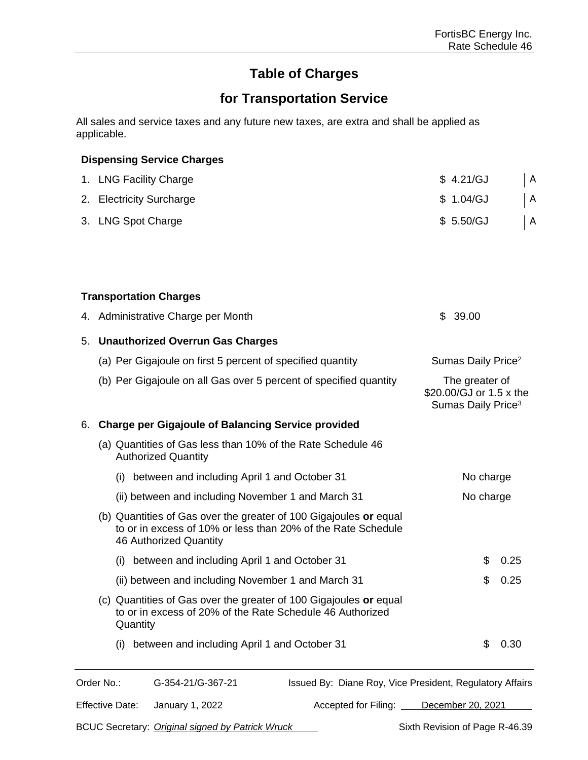# **Table of Charges**

# **for Transportation Service**

All sales and service taxes and any future new taxes, are extra and shall be applied as applicable.

|    | <b>Dispensing Service Charges</b>                                                                                                                           |                                                                             |      |
|----|-------------------------------------------------------------------------------------------------------------------------------------------------------------|-----------------------------------------------------------------------------|------|
|    | 1. LNG Facility Charge                                                                                                                                      | \$4.21/GJ                                                                   | A    |
|    | 2. Electricity Surcharge                                                                                                                                    | \$1.04/GJ                                                                   | A    |
|    | 3. LNG Spot Charge                                                                                                                                          | \$5.50/GJ                                                                   | A    |
|    |                                                                                                                                                             |                                                                             |      |
|    |                                                                                                                                                             |                                                                             |      |
|    | <b>Transportation Charges</b>                                                                                                                               |                                                                             |      |
|    | 4. Administrative Charge per Month                                                                                                                          | 39.00<br>\$                                                                 |      |
| 5. | <b>Unauthorized Overrun Gas Charges</b>                                                                                                                     |                                                                             |      |
|    | (a) Per Gigajoule on first 5 percent of specified quantity                                                                                                  | Sumas Daily Price <sup>2</sup>                                              |      |
|    | (b) Per Gigajoule on all Gas over 5 percent of specified quantity                                                                                           | The greater of<br>\$20.00/GJ or 1.5 x the<br>Sumas Daily Price <sup>3</sup> |      |
| 6. | <b>Charge per Gigajoule of Balancing Service provided</b>                                                                                                   |                                                                             |      |
|    | (a) Quantities of Gas less than 10% of the Rate Schedule 46<br><b>Authorized Quantity</b>                                                                   |                                                                             |      |
|    | between and including April 1 and October 31<br>(i)                                                                                                         | No charge                                                                   |      |
|    | (ii) between and including November 1 and March 31                                                                                                          | No charge                                                                   |      |
|    | (b) Quantities of Gas over the greater of 100 Gigajoules or equal<br>to or in excess of 10% or less than 20% of the Rate Schedule<br>46 Authorized Quantity |                                                                             |      |
|    | (i) between and including April 1 and October 31                                                                                                            | \$                                                                          | 0.25 |
|    | (ii) between and including November 1 and March 31                                                                                                          | \$                                                                          | 0.25 |
|    | (c) Quantities of Gas over the greater of 100 Gigajoules or equal<br>to or in excess of 20% of the Rate Schedule 46 Authorized<br>Quantity                  |                                                                             |      |
|    | between and including April 1 and October 31<br>(i)                                                                                                         | \$                                                                          | 0.30 |
|    |                                                                                                                                                             |                                                                             |      |

Order No.: G-354-21/G-367-21 Issued By: Diane Roy, Vice President, Regulatory Affairs

Effective Date: January 1, 2022 Accepted for Filing: December 20, 2021

BCUC Secretary: *Original signed by Patrick Wruck* Sixth Revision of Page R-46.39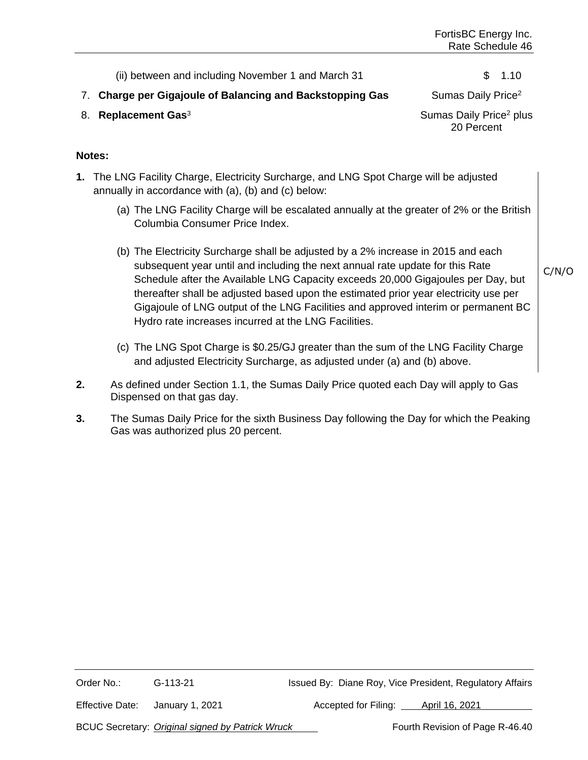(ii) between and including November 1 and March 31  $\qquad \qquad$  1.10

#### 7. **Charge per Gigajoule of Balancing and Backstopping Gas** Sumas Daily Price<sup>2</sup>

8. **Replacement Gas**<sup>3</sup> Sumas Daily Price<sup>2</sup> plus 20 Percent

#### **Notes:**

- **1.** The LNG Facility Charge, Electricity Surcharge, and LNG Spot Charge will be adjusted annually in accordance with (a), (b) and (c) below:
	- (a) The LNG Facility Charge will be escalated annually at the greater of 2% or the British Columbia Consumer Price Index.
	- (b) The Electricity Surcharge shall be adjusted by a 2% increase in 2015 and each subsequent year until and including the next annual rate update for this Rate Schedule after the Available LNG Capacity exceeds 20,000 Gigajoules per Day, but thereafter shall be adjusted based upon the estimated prior year electricity use per Gigajoule of LNG output of the LNG Facilities and approved interim or permanent BC Hydro rate increases incurred at the LNG Facilities.
	- (c) The LNG Spot Charge is \$0.25/GJ greater than the sum of the LNG Facility Charge and adjusted Electricity Surcharge, as adjusted under (a) and (b) above.
- **2.** As defined under Section 1.1, the Sumas Daily Price quoted each Day will apply to Gas Dispensed on that gas day.
- **3.** The Sumas Daily Price for the sixth Business Day following the Day for which the Peaking Gas was authorized plus 20 percent.

Order No.: G-113-21 Issued By: Diane Roy, Vice President, Regulatory Affairs Effective Date: January 1, 2021 Accepted for Filing: April 16, 2021

BCUC Secretary: *Original signed by Patrick Wruck* Fourth Revision of Page R-46.40

C/N/O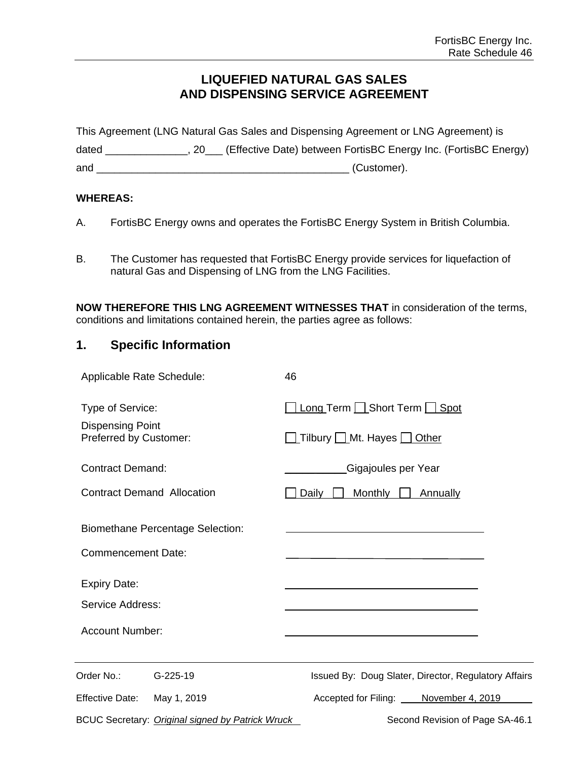# **LIQUEFIED NATURAL GAS SALES AND DISPENSING SERVICE AGREEMENT**

|       | This Agreement (LNG Natural Gas Sales and Dispensing Agreement or LNG Agreement) is |
|-------|-------------------------------------------------------------------------------------|
| dated | (Effective Date) between FortisBC Energy Inc. (FortisBC Energy)                     |
| and   | (Customer).                                                                         |

#### **WHEREAS:**

- A. FortisBC Energy owns and operates the FortisBC Energy System in British Columbia.
- B. The Customer has requested that FortisBC Energy provide services for liquefaction of natural Gas and Dispensing of LNG from the LNG Facilities.

**NOW THEREFORE THIS LNG AGREEMENT WITNESSES THAT** in consideration of the terms, conditions and limitations contained herein, the parties agree as follows:

# **1. Specific Information**

| Applicable Rate Schedule:                         |                                                  | 46                                    |                                                      |
|---------------------------------------------------|--------------------------------------------------|---------------------------------------|------------------------------------------------------|
| Type of Service:                                  |                                                  | Long Term Short Term Spot             |                                                      |
| <b>Dispensing Point</b><br>Preferred by Customer: |                                                  | Tilbury Mt. Hayes Other               |                                                      |
| <b>Contract Demand:</b>                           |                                                  | Gigajoules per Year                   |                                                      |
| <b>Contract Demand Allocation</b>                 |                                                  | <b>Monthly</b><br>Daily               | Annually                                             |
|                                                   | <b>Biomethane Percentage Selection:</b>          |                                       |                                                      |
| <b>Commencement Date:</b>                         |                                                  |                                       |                                                      |
| <b>Expiry Date:</b>                               |                                                  |                                       |                                                      |
| Service Address:                                  |                                                  |                                       |                                                      |
| <b>Account Number:</b>                            |                                                  |                                       |                                                      |
| Order No.:                                        | G-225-19                                         |                                       | Issued By: Doug Slater, Director, Regulatory Affairs |
| <b>Effective Date:</b>                            | May 1, 2019                                      | Accepted for Filing: November 4, 2019 |                                                      |
|                                                   | BCUC Secretary: Original signed by Patrick Wruck |                                       | Second Revision of Page SA-46.1                      |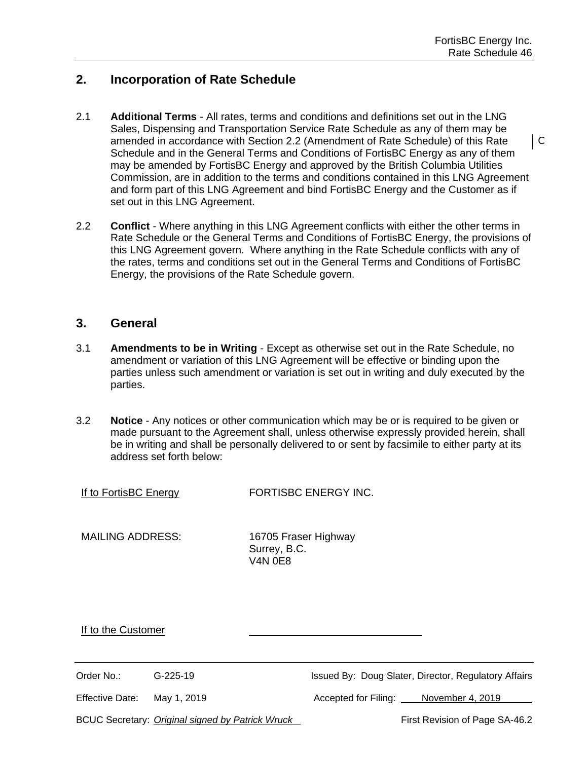C

## **2. Incorporation of Rate Schedule**

- 2.1 **Additional Terms** All rates, terms and conditions and definitions set out in the LNG Sales, Dispensing and Transportation Service Rate Schedule as any of them may be amended in accordance with Section 2.2 (Amendment of Rate Schedule) of this Rate Schedule and in the General Terms and Conditions of FortisBC Energy as any of them may be amended by FortisBC Energy and approved by the British Columbia Utilities Commission, are in addition to the terms and conditions contained in this LNG Agreement and form part of this LNG Agreement and bind FortisBC Energy and the Customer as if set out in this LNG Agreement.
- 2.2 **Conflict** Where anything in this LNG Agreement conflicts with either the other terms in Rate Schedule or the General Terms and Conditions of FortisBC Energy, the provisions of this LNG Agreement govern. Where anything in the Rate Schedule conflicts with any of the rates, terms and conditions set out in the General Terms and Conditions of FortisBC Energy, the provisions of the Rate Schedule govern.

#### **3. General**

- 3.1 **Amendments to be in Writing** Except as otherwise set out in the Rate Schedule, no amendment or variation of this LNG Agreement will be effective or binding upon the parties unless such amendment or variation is set out in writing and duly executed by the parties.
- 3.2 **Notice** Any notices or other communication which may be or is required to be given or made pursuant to the Agreement shall, unless otherwise expressly provided herein, shall be in writing and shall be personally delivered to or sent by facsimile to either party at its address set forth below:

If to FortisBC Energy FORTISBC ENERGY INC.

MAILING ADDRESS: 16705 Fraser Highway Surrey, B.C. V4N 0E8

If to the Customer

Order No.: G-225-19 G-225-19 Issued By: Doug Slater, Director, Regulatory Affairs

Effective Date: May 1, 2019 **Accepted for Filing:** November 4, 2019

BCUC Secretary: *Original signed by Patrick Wruck* First Revision of Page SA-46.2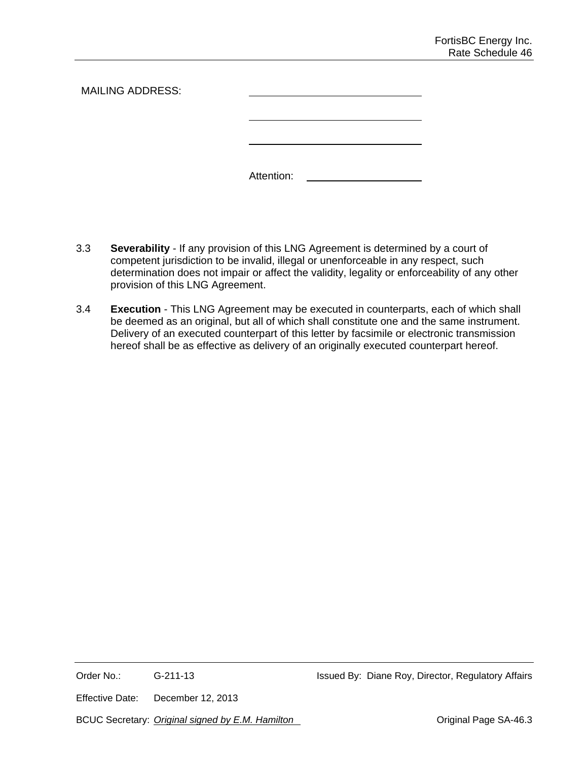| <b>MAILING ADDRESS:</b> |            |
|-------------------------|------------|
|                         |            |
|                         | Attention: |

- 3.3 **Severability** If any provision of this LNG Agreement is determined by a court of competent jurisdiction to be invalid, illegal or unenforceable in any respect, such determination does not impair or affect the validity, legality or enforceability of any other provision of this LNG Agreement.
- 3.4 **Execution** This LNG Agreement may be executed in counterparts, each of which shall be deemed as an original, but all of which shall constitute one and the same instrument. Delivery of an executed counterpart of this letter by facsimile or electronic transmission hereof shall be as effective as delivery of an originally executed counterpart hereof.

Effective Date: December 12, 2013

BCUC Secretary: *Original signed by E.M. Hamilton* **Canadian Communist Communist Page SA-46.3**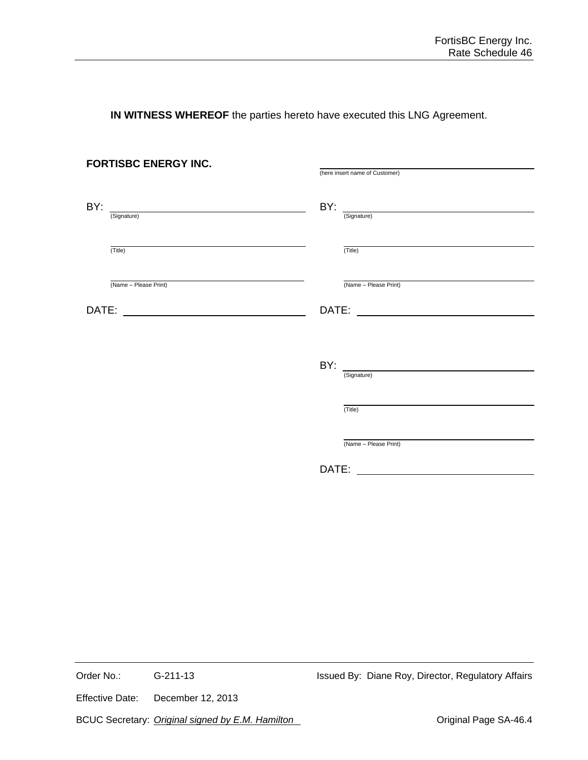**IN WITNESS WHEREOF** the parties hereto have executed this LNG Agreement.

|     | <b>FORTISBC ENERGY INC.</b> | (here insert name of Customer)   |
|-----|-----------------------------|----------------------------------|
| BY: | (Signature)                 | $BY:$ $\frac{1}{\text{(Sigma)}}$ |
|     | (Title)                     | (Title)                          |
|     | (Name - Please Print)       | (Name - Please Print)            |
|     |                             |                                  |
|     |                             | (Signature)                      |
|     |                             | (Title)                          |
|     |                             | (Name - Please Print)            |
|     |                             |                                  |

Order No.: G-211-13 G-211-13 Issued By: Diane Roy, Director, Regulatory Affairs

Effective Date: December 12, 2013

BCUC Secretary: *Original signed by E.M. Hamilton* **Canadian Access 19 and Science SA-46.4** Original Page SA-46.4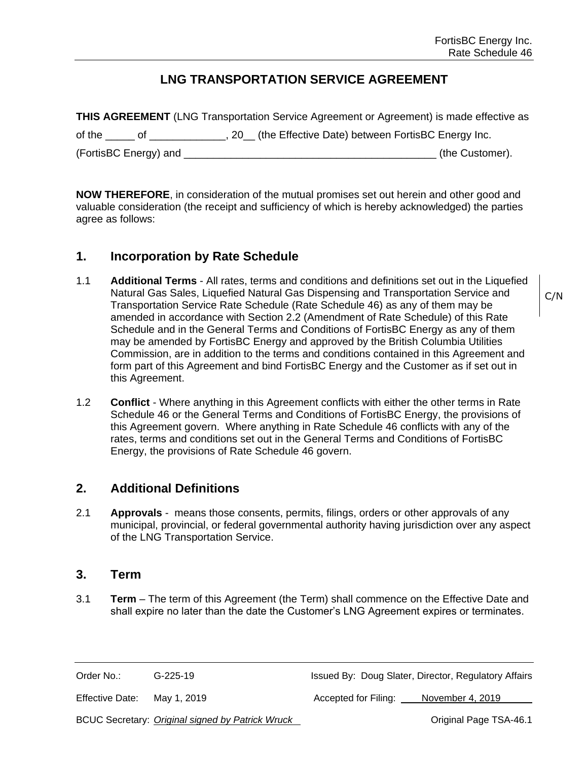# **LNG TRANSPORTATION SERVICE AGREEMENT**

**THIS AGREEMENT** (LNG Transportation Service Agreement or Agreement) is made effective as of the \_\_\_\_\_ of \_\_\_\_\_\_\_\_\_\_\_\_\_, 20\_\_ (the Effective Date) between FortisBC Energy Inc. (FortisBC Energy) and \_\_\_\_\_\_\_\_\_\_\_\_\_\_\_\_\_\_\_\_\_\_\_\_\_\_\_\_\_\_\_\_\_\_\_\_\_\_\_\_\_\_\_ (the Customer).

**NOW THEREFORE**, in consideration of the mutual promises set out herein and other good and valuable consideration (the receipt and sufficiency of which is hereby acknowledged) the parties agree as follows:

#### **1. Incorporation by Rate Schedule**

- 1.1 **Additional Terms** All rates, terms and conditions and definitions set out in the Liquefied Natural Gas Sales, Liquefied Natural Gas Dispensing and Transportation Service and Transportation Service Rate Schedule (Rate Schedule 46) as any of them may be amended in accordance with Section 2.2 (Amendment of Rate Schedule) of this Rate Schedule and in the General Terms and Conditions of FortisBC Energy as any of them may be amended by FortisBC Energy and approved by the British Columbia Utilities Commission, are in addition to the terms and conditions contained in this Agreement and form part of this Agreement and bind FortisBC Energy and the Customer as if set out in this Agreement.
- 1.2 **Conflict** Where anything in this Agreement conflicts with either the other terms in Rate Schedule 46 or the General Terms and Conditions of FortisBC Energy, the provisions of this Agreement govern. Where anything in Rate Schedule 46 conflicts with any of the rates, terms and conditions set out in the General Terms and Conditions of FortisBC Energy, the provisions of Rate Schedule 46 govern.

# **2. Additional Definitions**

2.1 **Approvals** - means those consents, permits, filings, orders or other approvals of any municipal, provincial, or federal governmental authority having jurisdiction over any aspect of the LNG Transportation Service.

#### **3. Term**

3.1 **Term** – The term of this Agreement (the Term) shall commence on the Effective Date and shall expire no later than the date the Customer's LNG Agreement expires or terminates.

Order No.: G-225-19 G-225-19 Issued By: Doug Slater, Director, Regulatory Affairs

Effective Date: May 1, 2019 Accepted for Filing: November 4, 2019

BCUC Secretary: *Original signed by Patrick Wruck* **Community Community Community Community** Original Page TSA-46.1

C/N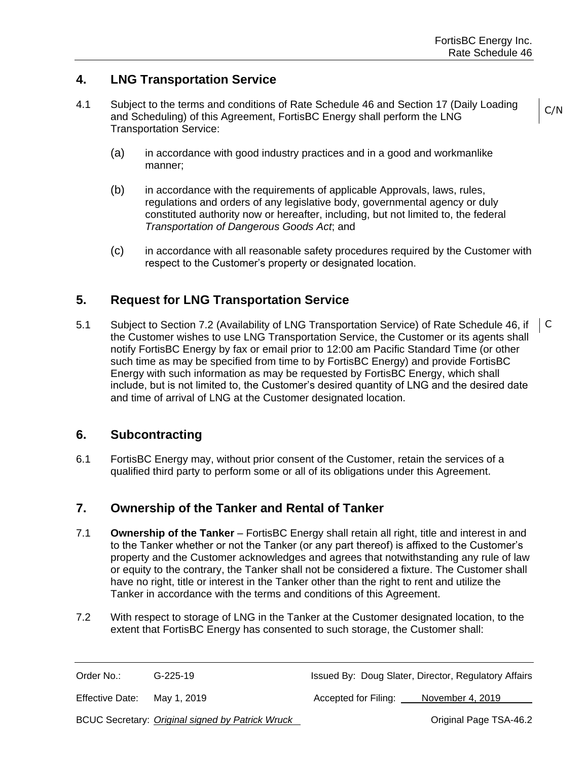C/N

# **4. LNG Transportation Service**

- 4.1 Subject to the terms and conditions of Rate Schedule 46 and Section 17 (Daily Loading and Scheduling) of this Agreement, FortisBC Energy shall perform the LNG Transportation Service:
	- (a) in accordance with good industry practices and in a good and workmanlike manner;
	- (b) in accordance with the requirements of applicable Approvals, laws, rules, regulations and orders of any legislative body, governmental agency or duly constituted authority now or hereafter, including, but not limited to, the federal *Transportation of Dangerous Goods Act*; and
	- (c) in accordance with all reasonable safety procedures required by the Customer with respect to the Customer's property or designated location.

# **5. Request for LNG Transportation Service**

5.1 Subject to Section 7.2 (Availability of LNG Transportation Service) of Rate Schedule 46, if the Customer wishes to use LNG Transportation Service, the Customer or its agents shall notify FortisBC Energy by fax or email prior to 12:00 am Pacific Standard Time (or other such time as may be specified from time to by FortisBC Energy) and provide FortisBC Energy with such information as may be requested by FortisBC Energy, which shall include, but is not limited to, the Customer's desired quantity of LNG and the desired date and time of arrival of LNG at the Customer designated location. C

# **6. Subcontracting**

6.1 FortisBC Energy may, without prior consent of the Customer, retain the services of a qualified third party to perform some or all of its obligations under this Agreement.

# **7. Ownership of the Tanker and Rental of Tanker**

- 7.1 **Ownership of the Tanker**  FortisBC Energy shall retain all right, title and interest in and to the Tanker whether or not the Tanker (or any part thereof) is affixed to the Customer's property and the Customer acknowledges and agrees that notwithstanding any rule of law or equity to the contrary, the Tanker shall not be considered a fixture. The Customer shall have no right, title or interest in the Tanker other than the right to rent and utilize the Tanker in accordance with the terms and conditions of this Agreement.
- 7.2 With respect to storage of LNG in the Tanker at the Customer designated location, to the extent that FortisBC Energy has consented to such storage, the Customer shall:

Order No.: G-225-19 Issued By: Doug Slater, Director, Regulatory Affairs

Effective Date: May 1, 2019 **Accepted for Filing:** November 4, 2019

BCUC Secretary: *Original signed by Patrick Wruck* **Community Constructs** Original Page TSA-46.2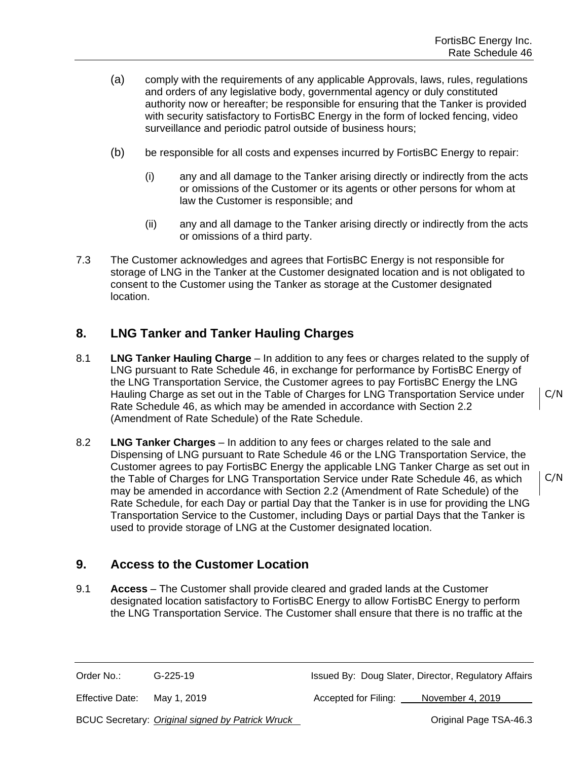- (a) comply with the requirements of any applicable Approvals, laws, rules, regulations and orders of any legislative body, governmental agency or duly constituted authority now or hereafter; be responsible for ensuring that the Tanker is provided with security satisfactory to FortisBC Energy in the form of locked fencing, video surveillance and periodic patrol outside of business hours;
- (b) be responsible for all costs and expenses incurred by FortisBC Energy to repair:
	- (i) any and all damage to the Tanker arising directly or indirectly from the acts or omissions of the Customer or its agents or other persons for whom at law the Customer is responsible; and
	- (ii) any and all damage to the Tanker arising directly or indirectly from the acts or omissions of a third party.
- 7.3 The Customer acknowledges and agrees that FortisBC Energy is not responsible for storage of LNG in the Tanker at the Customer designated location and is not obligated to consent to the Customer using the Tanker as storage at the Customer designated location.

# **8. LNG Tanker and Tanker Hauling Charges**

- 8.1 **LNG Tanker Hauling Charge**  In addition to any fees or charges related to the supply of LNG pursuant to Rate Schedule 46, in exchange for performance by FortisBC Energy of the LNG Transportation Service, the Customer agrees to pay FortisBC Energy the LNG Hauling Charge as set out in the Table of Charges for LNG Transportation Service under Rate Schedule 46, as which may be amended in accordance with Section 2.2 (Amendment of Rate Schedule) of the Rate Schedule.
- 8.2 **LNG Tanker Charges** In addition to any fees or charges related to the sale and Dispensing of LNG pursuant to Rate Schedule 46 or the LNG Transportation Service, the Customer agrees to pay FortisBC Energy the applicable LNG Tanker Charge as set out in the Table of Charges for LNG Transportation Service under Rate Schedule 46, as which may be amended in accordance with Section 2.2 (Amendment of Rate Schedule) of the Rate Schedule, for each Day or partial Day that the Tanker is in use for providing the LNG Transportation Service to the Customer, including Days or partial Days that the Tanker is used to provide storage of LNG at the Customer designated location.

# **9. Access to the Customer Location**

9.1 **Access** – The Customer shall provide cleared and graded lands at the Customer designated location satisfactory to FortisBC Energy to allow FortisBC Energy to perform the LNG Transportation Service. The Customer shall ensure that there is no traffic at the

Effective Date: May 1, 2019 **Accepted for Filing:** November 4, 2019

BCUC Secretary: *Original signed by Patrick Wruck* **Community Constructs** Original Page TSA-46.3

C/N

C/N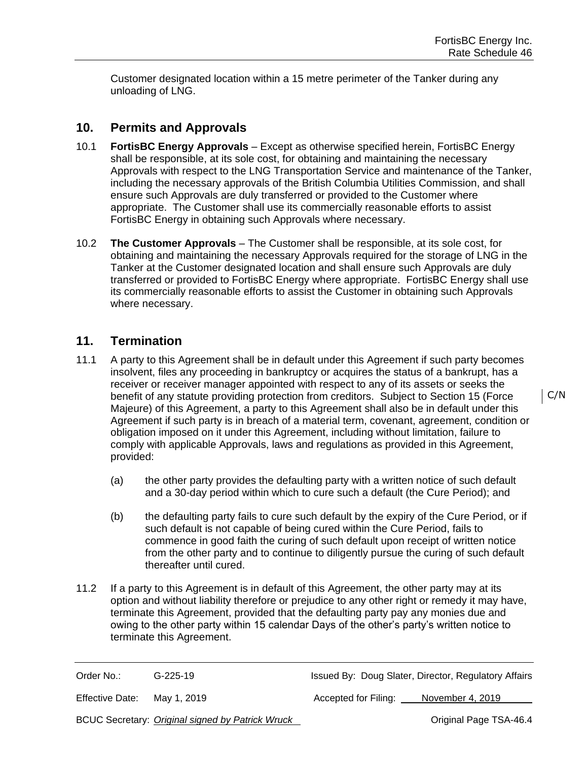Customer designated location within a 15 metre perimeter of the Tanker during any unloading of LNG.

# **10. Permits and Approvals**

- 10.1 **FortisBC Energy Approvals**  Except as otherwise specified herein, FortisBC Energy shall be responsible, at its sole cost, for obtaining and maintaining the necessary Approvals with respect to the LNG Transportation Service and maintenance of the Tanker, including the necessary approvals of the British Columbia Utilities Commission, and shall ensure such Approvals are duly transferred or provided to the Customer where appropriate. The Customer shall use its commercially reasonable efforts to assist FortisBC Energy in obtaining such Approvals where necessary.
- 10.2 **The Customer Approvals**  The Customer shall be responsible, at its sole cost, for obtaining and maintaining the necessary Approvals required for the storage of LNG in the Tanker at the Customer designated location and shall ensure such Approvals are duly transferred or provided to FortisBC Energy where appropriate. FortisBC Energy shall use its commercially reasonable efforts to assist the Customer in obtaining such Approvals where necessary.

## **11. Termination**

- 11.1 A party to this Agreement shall be in default under this Agreement if such party becomes insolvent, files any proceeding in bankruptcy or acquires the status of a bankrupt, has a receiver or receiver manager appointed with respect to any of its assets or seeks the benefit of any statute providing protection from creditors. Subject to Section 15 (Force Majeure) of this Agreement, a party to this Agreement shall also be in default under this Agreement if such party is in breach of a material term, covenant, agreement, condition or obligation imposed on it under this Agreement, including without limitation, failure to comply with applicable Approvals, laws and regulations as provided in this Agreement, provided:
	- (a) the other party provides the defaulting party with a written notice of such default and a 30-day period within which to cure such a default (the Cure Period); and
	- (b) the defaulting party fails to cure such default by the expiry of the Cure Period, or if such default is not capable of being cured within the Cure Period, fails to commence in good faith the curing of such default upon receipt of written notice from the other party and to continue to diligently pursue the curing of such default thereafter until cured.
- 11.2 If a party to this Agreement is in default of this Agreement, the other party may at its option and without liability therefore or prejudice to any other right or remedy it may have, terminate this Agreement, provided that the defaulting party pay any monies due and owing to the other party within 15 calendar Days of the other's party's written notice to terminate this Agreement.

Order No.: G-225-19 G-225-19 Issued By: Doug Slater, Director, Regulatory Affairs

Effective Date: May 1, 2019 **Accepted for Filing:** November 4, 2019

BCUC Secretary: *Original signed by Patrick Wruck* **Community Community Community Community** Original Page TSA-46.4

C/N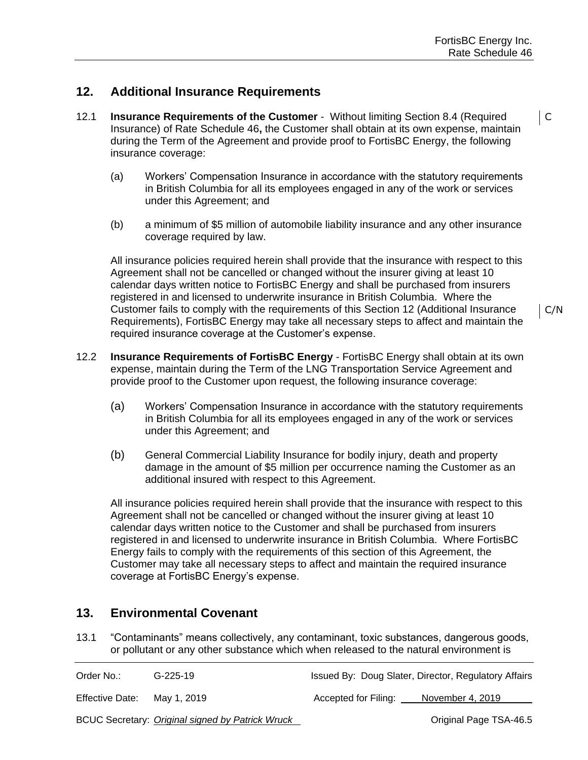## **12. Additional Insurance Requirements**

- 12.1 **Insurance Requirements of the Customer** -Without limiting Section 8.4 (Required Insurance) of Rate Schedule 46**,** the Customer shall obtain at its own expense, maintain during the Term of the Agreement and provide proof to FortisBC Energy, the following insurance coverage:
	- (a) Workers' Compensation Insurance in accordance with the statutory requirements in British Columbia for all its employees engaged in any of the work or services under this Agreement; and
	- (b) a minimum of \$5 million of automobile liability insurance and any other insurance coverage required by law.

All insurance policies required herein shall provide that the insurance with respect to this Agreement shall not be cancelled or changed without the insurer giving at least 10 calendar days written notice to FortisBC Energy and shall be purchased from insurers registered in and licensed to underwrite insurance in British Columbia. Where the Customer fails to comply with the requirements of this Section 12 (Additional Insurance Requirements), FortisBC Energy may take all necessary steps to affect and maintain the required insurance coverage at the Customer's expense.

- 12.2 **Insurance Requirements of FortisBC Energy**  FortisBC Energy shall obtain at its own expense, maintain during the Term of the LNG Transportation Service Agreement and provide proof to the Customer upon request, the following insurance coverage:
	- (a) Workers' Compensation Insurance in accordance with the statutory requirements in British Columbia for all its employees engaged in any of the work or services under this Agreement; and
	- (b) General Commercial Liability Insurance for bodily injury, death and property damage in the amount of \$5 million per occurrence naming the Customer as an additional insured with respect to this Agreement.

All insurance policies required herein shall provide that the insurance with respect to this Agreement shall not be cancelled or changed without the insurer giving at least 10 calendar days written notice to the Customer and shall be purchased from insurers registered in and licensed to underwrite insurance in British Columbia. Where FortisBC Energy fails to comply with the requirements of this section of this Agreement, the Customer may take all necessary steps to affect and maintain the required insurance coverage at FortisBC Energy's expense.

# **13. Environmental Covenant**

13.1 "Contaminants" means collectively, any contaminant, toxic substances, dangerous goods, or pollutant or any other substance which when released to the natural environment is

| Order No.:             | G-225-19                                         |                      | Issued By: Doug Slater, Director, Regulatory Affairs |
|------------------------|--------------------------------------------------|----------------------|------------------------------------------------------|
| <b>Effective Date:</b> | Mav 1. 2019                                      | Accepted for Filing: | November 4, 2019                                     |
|                        | BCUC Secretary: Original signed by Patrick Wruck |                      | Original Page TSA-46.5                               |

C/N

 $\overline{\mathsf{C}}$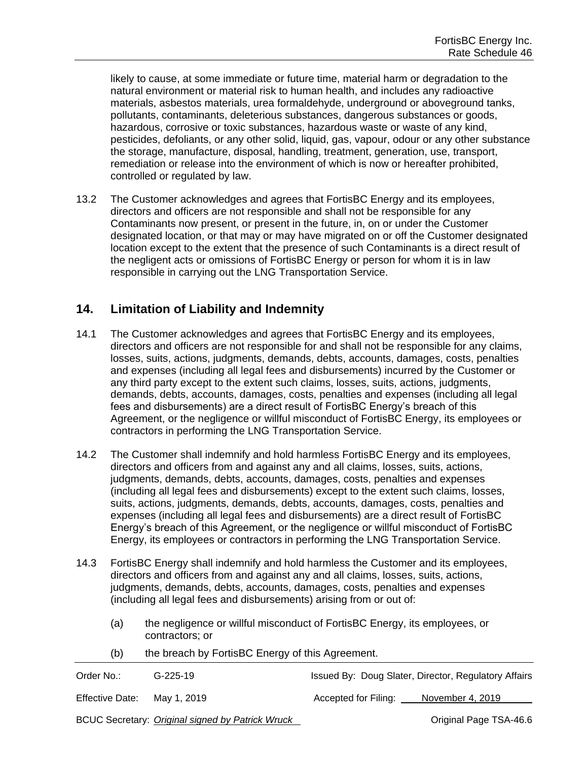likely to cause, at some immediate or future time, material harm or degradation to the natural environment or material risk to human health, and includes any radioactive materials, asbestos materials, urea formaldehyde, underground or aboveground tanks, pollutants, contaminants, deleterious substances, dangerous substances or goods, hazardous, corrosive or toxic substances, hazardous waste or waste of any kind, pesticides, defoliants, or any other solid, liquid, gas, vapour, odour or any other substance the storage, manufacture, disposal, handling, treatment, generation, use, transport, remediation or release into the environment of which is now or hereafter prohibited, controlled or regulated by law.

13.2 The Customer acknowledges and agrees that FortisBC Energy and its employees, directors and officers are not responsible and shall not be responsible for any Contaminants now present, or present in the future, in, on or under the Customer designated location, or that may or may have migrated on or off the Customer designated location except to the extent that the presence of such Contaminants is a direct result of the negligent acts or omissions of FortisBC Energy or person for whom it is in law responsible in carrying out the LNG Transportation Service.

# **14. Limitation of Liability and Indemnity**

- 14.1 The Customer acknowledges and agrees that FortisBC Energy and its employees, directors and officers are not responsible for and shall not be responsible for any claims, losses, suits, actions, judgments, demands, debts, accounts, damages, costs, penalties and expenses (including all legal fees and disbursements) incurred by the Customer or any third party except to the extent such claims, losses, suits, actions, judgments, demands, debts, accounts, damages, costs, penalties and expenses (including all legal fees and disbursements) are a direct result of FortisBC Energy's breach of this Agreement, or the negligence or willful misconduct of FortisBC Energy, its employees or contractors in performing the LNG Transportation Service.
- 14.2 The Customer shall indemnify and hold harmless FortisBC Energy and its employees, directors and officers from and against any and all claims, losses, suits, actions, judgments, demands, debts, accounts, damages, costs, penalties and expenses (including all legal fees and disbursements) except to the extent such claims, losses, suits, actions, judgments, demands, debts, accounts, damages, costs, penalties and expenses (including all legal fees and disbursements) are a direct result of FortisBC Energy's breach of this Agreement, or the negligence or willful misconduct of FortisBC Energy, its employees or contractors in performing the LNG Transportation Service.
- 14.3 FortisBC Energy shall indemnify and hold harmless the Customer and its employees, directors and officers from and against any and all claims, losses, suits, actions, judgments, demands, debts, accounts, damages, costs, penalties and expenses (including all legal fees and disbursements) arising from or out of:
	- (a) the negligence or willful misconduct of FortisBC Energy, its employees, or contractors; or
	- (b) the breach by FortisBC Energy of this Agreement.

| Order No.:             | $G-225-19$                                       | Issued By: Doug Slater, Director, Regulatory Affairs |                        |
|------------------------|--------------------------------------------------|------------------------------------------------------|------------------------|
| <b>Effective Date:</b> | May 1, 2019                                      | Accepted for Filing:                                 | November 4, 2019       |
|                        | BCUC Secretary: Original signed by Patrick Wruck |                                                      | Original Page TSA-46.6 |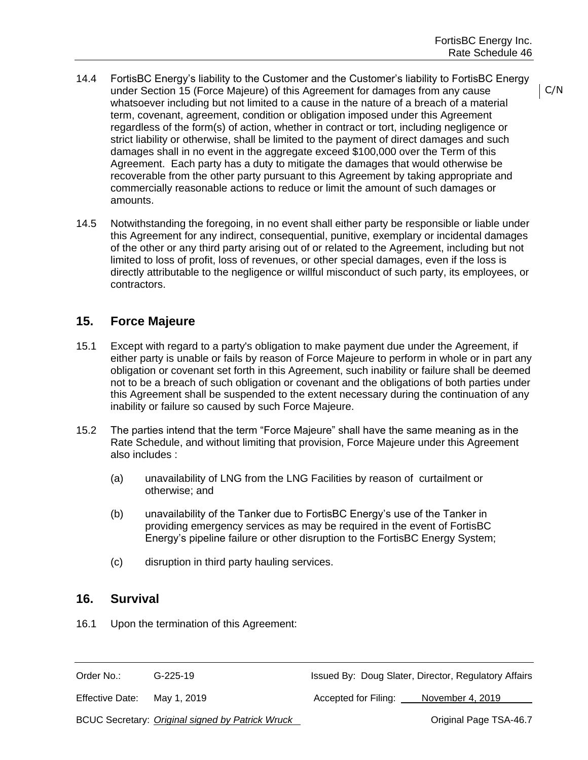- 14.4 FortisBC Energy's liability to the Customer and the Customer's liability to FortisBC Energy under Section 15 (Force Majeure) of this Agreement for damages from any cause whatsoever including but not limited to a cause in the nature of a breach of a material term, covenant, agreement, condition or obligation imposed under this Agreement regardless of the form(s) of action, whether in contract or tort, including negligence or strict liability or otherwise, shall be limited to the payment of direct damages and such damages shall in no event in the aggregate exceed \$100,000 over the Term of this Agreement. Each party has a duty to mitigate the damages that would otherwise be recoverable from the other party pursuant to this Agreement by taking appropriate and commercially reasonable actions to reduce or limit the amount of such damages or amounts.
- 14.5 Notwithstanding the foregoing, in no event shall either party be responsible or liable under this Agreement for any indirect, consequential, punitive, exemplary or incidental damages of the other or any third party arising out of or related to the Agreement, including but not limited to loss of profit, loss of revenues, or other special damages, even if the loss is directly attributable to the negligence or willful misconduct of such party, its employees, or contractors.

## **15. Force Majeure**

- 15.1 Except with regard to a party's obligation to make payment due under the Agreement, if either party is unable or fails by reason of Force Majeure to perform in whole or in part any obligation or covenant set forth in this Agreement, such inability or failure shall be deemed not to be a breach of such obligation or covenant and the obligations of both parties under this Agreement shall be suspended to the extent necessary during the continuation of any inability or failure so caused by such Force Majeure.
- 15.2 The parties intend that the term "Force Majeure" shall have the same meaning as in the Rate Schedule, and without limiting that provision, Force Majeure under this Agreement also includes :
	- (a) unavailability of LNG from the LNG Facilities by reason of curtailment or otherwise; and
	- (b) unavailability of the Tanker due to FortisBC Energy's use of the Tanker in providing emergency services as may be required in the event of FortisBC Energy's pipeline failure or other disruption to the FortisBC Energy System;
	- (c) disruption in third party hauling services.

#### **16. Survival**

16.1 Upon the termination of this Agreement:

#### Order No.: C-225-19 G-225-19 Issued By: Doug Slater, Director, Regulatory Affairs

Effective Date: May 1, 2019 **Accepted for Filing:** November 4, 2019

BCUC Secretary: *Original signed by Patrick Wruck* **Community Community Community Community Community Community Community Community Community Community Community Community Community Community Community Community Community** 

C/N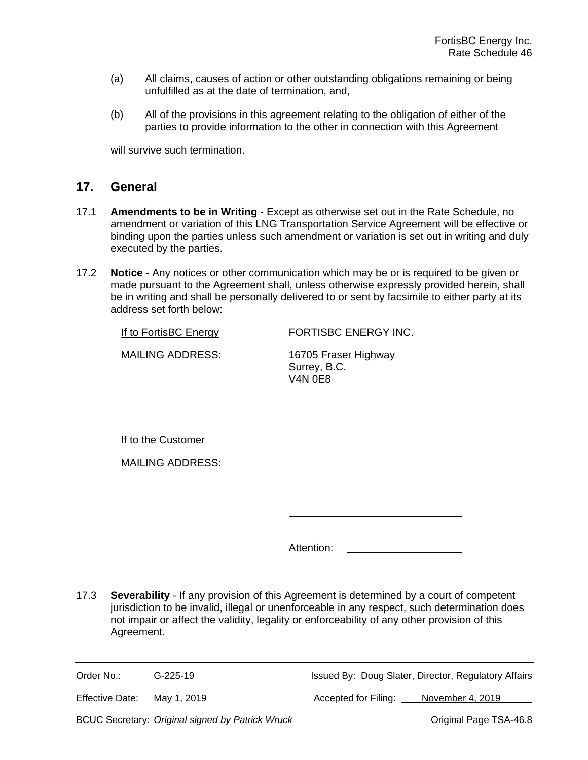- (a) All claims, causes of action or other outstanding obligations remaining or being unfulfilled as at the date of termination, and,
- (b) All of the provisions in this agreement relating to the obligation of either of the parties to provide information to the other in connection with this Agreement

will survive such termination.

#### **17. General**

- 17.1 **Amendments to be in Writing** Except as otherwise set out in the Rate Schedule, no amendment or variation of this LNG Transportation Service Agreement will be effective or binding upon the parties unless such amendment or variation is set out in writing and duly executed by the parties.
- 17.2 **Notice** Any notices or other communication which may be or is required to be given or made pursuant to the Agreement shall, unless otherwise expressly provided herein, shall be in writing and shall be personally delivered to or sent by facsimile to either party at its address set forth below:

If to FortisBC Energy FORTISBC ENERGY INC.

MAILING ADDRESS: 16705 Fraser Highway

Surrey, B.C. V4N 0E8

If to the Customer

MAILING ADDRESS:

Attention:

17.3 **Severability** - If any provision of this Agreement is determined by a court of competent jurisdiction to be invalid, illegal or unenforceable in any respect, such determination does not impair or affect the validity, legality or enforceability of any other provision of this Agreement.

Order No.: G-225-19 G-225-19 Issued By: Doug Slater, Director, Regulatory Affairs

Effective Date: May 1, 2019 Accepted for Filing: November 4, 2019

BCUC Secretary: *Original signed by Patrick Wruck* **Community Community Community Community Community Community Community Community Community Community Community Community Community Community Community Community Community**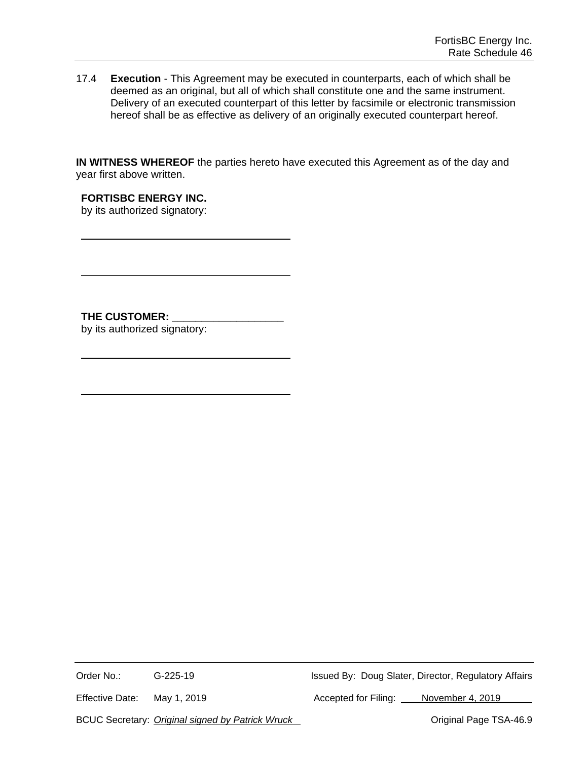17.4 **Execution** - This Agreement may be executed in counterparts, each of which shall be deemed as an original, but all of which shall constitute one and the same instrument. Delivery of an executed counterpart of this letter by facsimile or electronic transmission hereof shall be as effective as delivery of an originally executed counterpart hereof.

**IN WITNESS WHEREOF** the parties hereto have executed this Agreement as of the day and year first above written.

**FORTISBC ENERGY INC.** by its authorized signatory:

THE CUSTOMER: by its authorized signatory:

Order No.: G-225-19 G-225-19 Issued By: Doug Slater, Director, Regulatory Affairs

Effective Date: May 1, 2019 Machines Accepted for Filing: November 4, 2019

BCUC Secretary: *Original signed by Patrick Wruck* Mateutic Controllery of Criginal Page TSA-46.9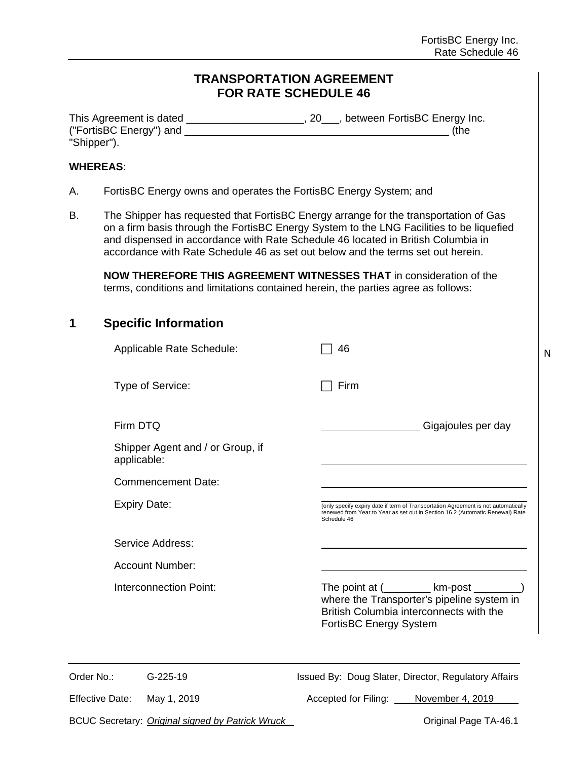N

## **TRANSPORTATION AGREEMENT FOR RATE SCHEDULE 46**

| This Agreement is dated | , between FortisBC Energy Inc. |
|-------------------------|--------------------------------|
| ("FortisBC Energy") and | (the                           |
| "Shipper").             |                                |

#### **WHEREAS**:

- A. FortisBC Energy owns and operates the FortisBC Energy System; and
- B. The Shipper has requested that FortisBC Energy arrange for the transportation of Gas on a firm basis through the FortisBC Energy System to the LNG Facilities to be liquefied and dispensed in accordance with Rate Schedule 46 located in British Columbia in accordance with Rate Schedule 46 as set out below and the terms set out herein.

**NOW THEREFORE THIS AGREEMENT WITNESSES THAT** in consideration of the terms, conditions and limitations contained herein, the parties agree as follows:

| 1 | <b>Specific Information</b> |
|---|-----------------------------|
|---|-----------------------------|

|                        | Applicable Rate Schedule:                       | 46                                                                                                                                                                                 |
|------------------------|-------------------------------------------------|------------------------------------------------------------------------------------------------------------------------------------------------------------------------------------|
|                        | Type of Service:                                | Firm                                                                                                                                                                               |
| Firm DTQ               |                                                 | Gigajoules per day                                                                                                                                                                 |
|                        | Shipper Agent and / or Group, if<br>applicable: |                                                                                                                                                                                    |
|                        | <b>Commencement Date:</b>                       |                                                                                                                                                                                    |
|                        | <b>Expiry Date:</b>                             | (only specify expiry date if term of Transportation Agreement is not automatically<br>renewed from Year to Year as set out in Section 16.2 (Automatic Renewal) Rate<br>Schedule 46 |
|                        | Service Address:                                |                                                                                                                                                                                    |
|                        | <b>Account Number:</b>                          |                                                                                                                                                                                    |
|                        | <b>Interconnection Point:</b>                   | The point at (_________ km-post ________)<br>where the Transporter's pipeline system in<br>British Columbia interconnects with the<br>FortisBC Energy System                       |
| Order No.:             | $G-225-19$                                      | Issued By: Doug Slater, Director, Regulatory Affairs                                                                                                                               |
| <b>Effective Date:</b> | May 1, 2019                                     | Accepted for Filing:<br>November 4, 2019                                                                                                                                           |

BCUC Secretary: *Original signed by Patrick Wruck* **CELC CONCO** Original Page TA-46.1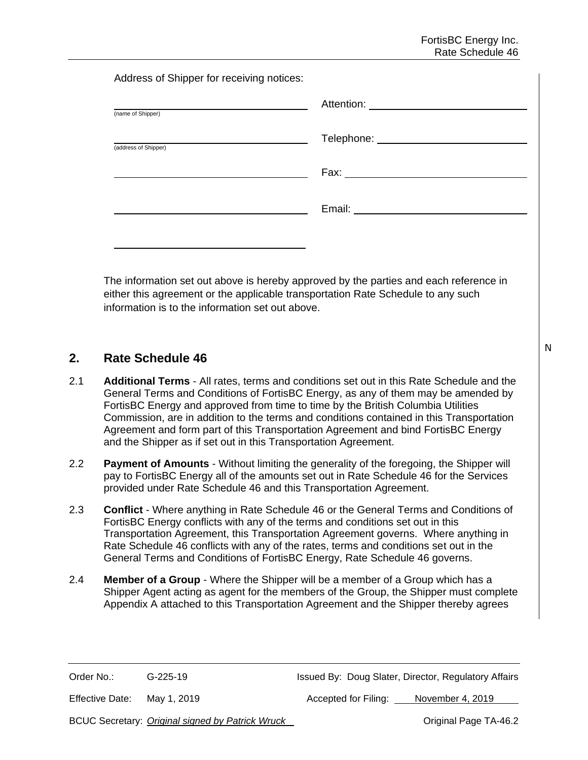Address of Shipper for receiving notices:

| (name of Shipper)    |  |
|----------------------|--|
| (address of Shipper) |  |
|                      |  |
|                      |  |
|                      |  |

The information set out above is hereby approved by the parties and each reference in either this agreement or the applicable transportation Rate Schedule to any such information is to the information set out above.

# **2. Rate Schedule 46**

- 2.1 **Additional Terms**  All rates, terms and conditions set out in this Rate Schedule and the General Terms and Conditions of FortisBC Energy, as any of them may be amended by FortisBC Energy and approved from time to time by the British Columbia Utilities Commission, are in addition to the terms and conditions contained in this Transportation Agreement and form part of this Transportation Agreement and bind FortisBC Energy and the Shipper as if set out in this Transportation Agreement.
- 2.2 **Payment of Amounts** Without limiting the generality of the foregoing, the Shipper will pay to FortisBC Energy all of the amounts set out in Rate Schedule 46 for the Services provided under Rate Schedule 46 and this Transportation Agreement.
- 2.3 **Conflict** Where anything in Rate Schedule 46 or the General Terms and Conditions of FortisBC Energy conflicts with any of the terms and conditions set out in this Transportation Agreement, this Transportation Agreement governs. Where anything in Rate Schedule 46 conflicts with any of the rates, terms and conditions set out in the General Terms and Conditions of FortisBC Energy, Rate Schedule 46 governs.
- 2.4 **Member of a Group** Where the Shipper will be a member of a Group which has a Shipper Agent acting as agent for the members of the Group, the Shipper must complete Appendix A attached to this Transportation Agreement and the Shipper thereby agrees

Effective Date: May 1, 2019 **Accepted for Filing:** November 4, 2019

BCUC Secretary: *Original signed by Patrick Wruck* **Canadian Page TA-46.2 Original Page TA-46.2** 

N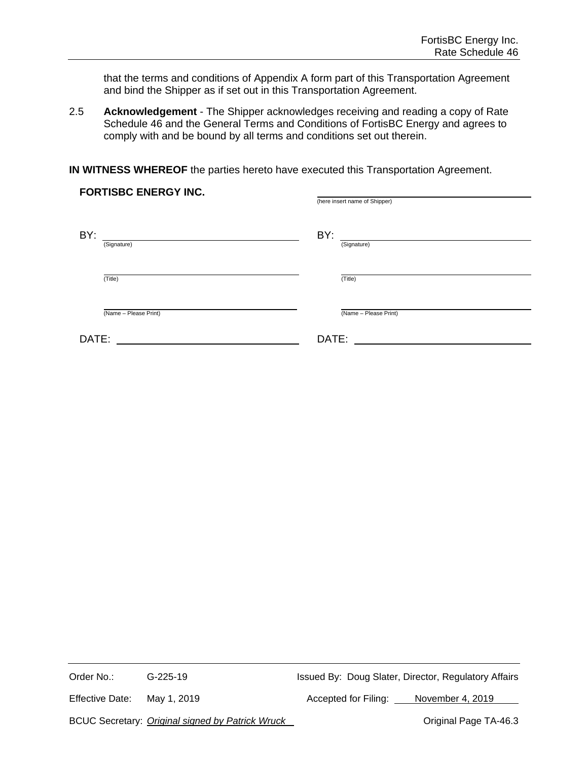that the terms and conditions of Appendix A form part of this Transportation Agreement and bind the Shipper as if set out in this Transportation Agreement.

2.5 **Acknowledgement** - The Shipper acknowledges receiving and reading a copy of Rate Schedule 46 and the General Terms and Conditions of FortisBC Energy and agrees to comply with and be bound by all terms and conditions set out therein.

**IN WITNESS WHEREOF** the parties hereto have executed this Transportation Agreement.

| <b>FORTISBC ENERGY INC.</b> |                       |       |                               |
|-----------------------------|-----------------------|-------|-------------------------------|
|                             |                       |       | (here insert name of Shipper) |
|                             |                       |       |                               |
| BY:                         |                       | BY:   |                               |
|                             | (Signature)           |       | (Signature)                   |
|                             |                       |       |                               |
|                             | (Title)               |       | (Title)                       |
|                             | (Name - Please Print) |       | (Name - Please Print)         |
| DATE:                       |                       | DATE: |                               |

Order No.: G-225-19 G-225-19 Issued By: Doug Slater, Director, Regulatory Affairs

Effective Date: May 1, 2019 Macken Charles Accepted for Filing: November 4, 2019

BCUC Secretary: *Original signed by Patrick Wruck* **CELC CORP 2018** Original Page TA-46.3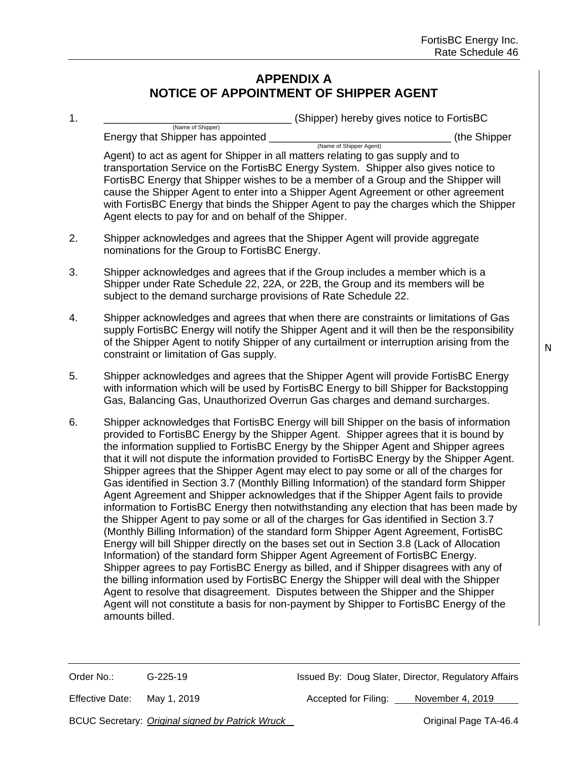# **APPENDIX A NOTICE OF APPOINTMENT OF SHIPPER AGENT**

| 1. | (Shipper) hereby gives notice to FortisBC                                                                                                                                                                                                                                                                                                                                                                                                                                                                                                                                                                                                                                                                                                                                                                                                                                                                                                                                                                                                                                                                                                                                                                                                                                                                                                                                                                                                                                                     |
|----|-----------------------------------------------------------------------------------------------------------------------------------------------------------------------------------------------------------------------------------------------------------------------------------------------------------------------------------------------------------------------------------------------------------------------------------------------------------------------------------------------------------------------------------------------------------------------------------------------------------------------------------------------------------------------------------------------------------------------------------------------------------------------------------------------------------------------------------------------------------------------------------------------------------------------------------------------------------------------------------------------------------------------------------------------------------------------------------------------------------------------------------------------------------------------------------------------------------------------------------------------------------------------------------------------------------------------------------------------------------------------------------------------------------------------------------------------------------------------------------------------|
|    | (Name of Shipper)<br>Energy that Shipper has appointed<br>(the Shipper<br>(Name of Shipper Agent)                                                                                                                                                                                                                                                                                                                                                                                                                                                                                                                                                                                                                                                                                                                                                                                                                                                                                                                                                                                                                                                                                                                                                                                                                                                                                                                                                                                             |
|    | Agent) to act as agent for Shipper in all matters relating to gas supply and to<br>transportation Service on the FortisBC Energy System. Shipper also gives notice to<br>FortisBC Energy that Shipper wishes to be a member of a Group and the Shipper will<br>cause the Shipper Agent to enter into a Shipper Agent Agreement or other agreement<br>with FortisBC Energy that binds the Shipper Agent to pay the charges which the Shipper<br>Agent elects to pay for and on behalf of the Shipper.                                                                                                                                                                                                                                                                                                                                                                                                                                                                                                                                                                                                                                                                                                                                                                                                                                                                                                                                                                                          |
| 2. | Shipper acknowledges and agrees that the Shipper Agent will provide aggregate<br>nominations for the Group to FortisBC Energy.                                                                                                                                                                                                                                                                                                                                                                                                                                                                                                                                                                                                                                                                                                                                                                                                                                                                                                                                                                                                                                                                                                                                                                                                                                                                                                                                                                |
| 3. | Shipper acknowledges and agrees that if the Group includes a member which is a<br>Shipper under Rate Schedule 22, 22A, or 22B, the Group and its members will be<br>subject to the demand surcharge provisions of Rate Schedule 22.                                                                                                                                                                                                                                                                                                                                                                                                                                                                                                                                                                                                                                                                                                                                                                                                                                                                                                                                                                                                                                                                                                                                                                                                                                                           |
| 4. | Shipper acknowledges and agrees that when there are constraints or limitations of Gas<br>supply FortisBC Energy will notify the Shipper Agent and it will then be the responsibility<br>of the Shipper Agent to notify Shipper of any curtailment or interruption arising from the<br>constraint or limitation of Gas supply.                                                                                                                                                                                                                                                                                                                                                                                                                                                                                                                                                                                                                                                                                                                                                                                                                                                                                                                                                                                                                                                                                                                                                                 |
| 5. | Shipper acknowledges and agrees that the Shipper Agent will provide FortisBC Energy<br>with information which will be used by FortisBC Energy to bill Shipper for Backstopping<br>Gas, Balancing Gas, Unauthorized Overrun Gas charges and demand surcharges.                                                                                                                                                                                                                                                                                                                                                                                                                                                                                                                                                                                                                                                                                                                                                                                                                                                                                                                                                                                                                                                                                                                                                                                                                                 |
| 6. | Shipper acknowledges that FortisBC Energy will bill Shipper on the basis of information<br>provided to FortisBC Energy by the Shipper Agent. Shipper agrees that it is bound by<br>the information supplied to FortisBC Energy by the Shipper Agent and Shipper agrees<br>that it will not dispute the information provided to FortisBC Energy by the Shipper Agent.<br>Shipper agrees that the Shipper Agent may elect to pay some or all of the charges for<br>Gas identified in Section 3.7 (Monthly Billing Information) of the standard form Shipper<br>Agent Agreement and Shipper acknowledges that if the Shipper Agent fails to provide<br>information to FortisBC Energy then notwithstanding any election that has been made by<br>the Shipper Agent to pay some or all of the charges for Gas identified in Section 3.7<br>(Monthly Billing Information) of the standard form Shipper Agent Agreement, FortisBC<br>Energy will bill Shipper directly on the bases set out in Section 3.8 (Lack of Allocation<br>Information) of the standard form Shipper Agent Agreement of FortisBC Energy.<br>Shipper agrees to pay FortisBC Energy as billed, and if Shipper disagrees with any of<br>the billing information used by FortisBC Energy the Shipper will deal with the Shipper<br>Agent to resolve that disagreement. Disputes between the Shipper and the Shipper<br>Agent will not constitute a basis for non-payment by Shipper to FortisBC Energy of the<br>amounts billed. |

Effective Date: May 1, 2019 Mackenness Accepted for Filing: November 4, 2019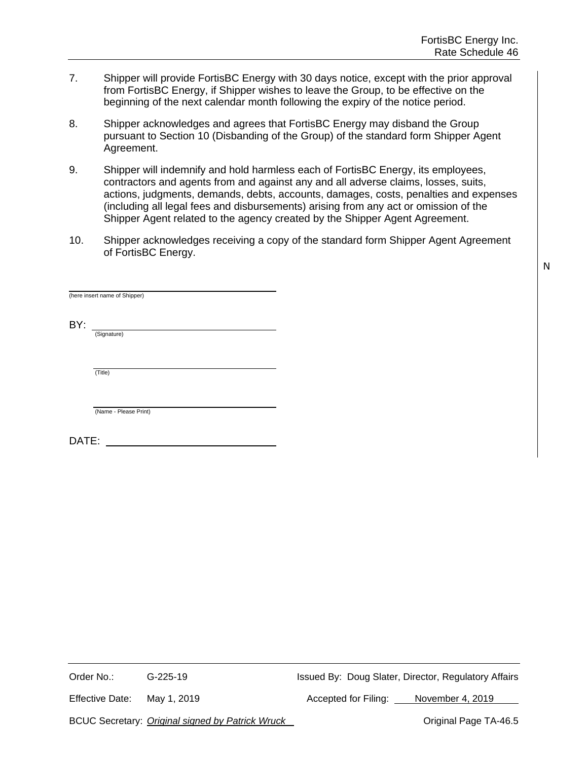- 7. Shipper will provide FortisBC Energy with 30 days notice, except with the prior approval from FortisBC Energy, if Shipper wishes to leave the Group, to be effective on the beginning of the next calendar month following the expiry of the notice period.
- 8. Shipper acknowledges and agrees that FortisBC Energy may disband the Group pursuant to Section 10 (Disbanding of the Group) of the standard form Shipper Agent Agreement.
- 9. Shipper will indemnify and hold harmless each of FortisBC Energy, its employees, contractors and agents from and against any and all adverse claims, losses, suits, actions, judgments, demands, debts, accounts, damages, costs, penalties and expenses (including all legal fees and disbursements) arising from any act or omission of the Shipper Agent related to the agency created by the Shipper Agent Agreement.
- 10. Shipper acknowledges receiving a copy of the standard form Shipper Agent Agreement of FortisBC Energy.

|       | (here insert name of Shipper) |  |
|-------|-------------------------------|--|
| BY:   | (Signature)                   |  |
|       | (Title)                       |  |
|       | (Name - Please Print)         |  |
| DATE: |                               |  |

Order No.: G-225-19 Issued By: Doug Slater, Director, Regulatory Affairs

Effective Date: May 1, 2019 **Accepted for Filing:** November 4, 2019

BCUC Secretary: *Original signed by Patrick Wruck* **CELC CORP 2018** Original Page TA-46.5

N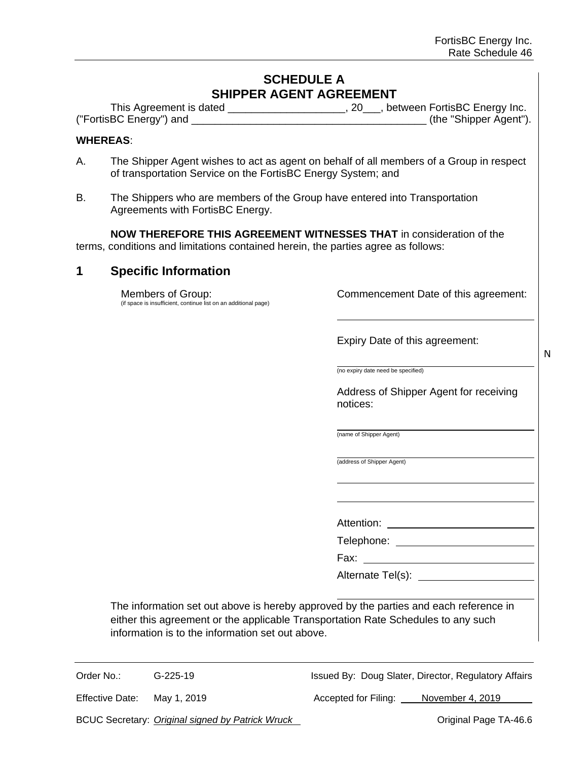# **SCHEDULE A SHIPPER AGENT AGREEMENT**

| This Agreement is dated | , between FortisBC Energy Inc. |
|-------------------------|--------------------------------|
| ("FortisBC Energy") and | (the "Shipper Agent").         |

#### **WHEREAS**:

- A. The Shipper Agent wishes to act as agent on behalf of all members of a Group in respect of transportation Service on the FortisBC Energy System; and
- B. The Shippers who are members of the Group have entered into Transportation Agreements with FortisBC Energy.

**NOW THEREFORE THIS AGREEMENT WITNESSES THAT** in consideration of the terms, conditions and limitations contained herein, the parties agree as follows:

#### **1 Specific Information**

Members of Group: (if space is insufficient, continue list on an additional page) Commencement Date of this agreement:

Expiry Date of this agreement:

N

(no expiry date need be specified)

Address of Shipper Agent for receiving notices:

(name of Shipper Agent)

(address of Shipper Agent)

Attention:

Telephone:

Fax:

Alternate Tel(s):

The information set out above is hereby approved by the parties and each reference in either this agreement or the applicable Transportation Rate Schedules to any such information is to the information set out above.

Order No.: G-225-19 G-225-19 Issued By: Doug Slater, Director, Regulatory Affairs

Effective Date: May 1, 2019 **Accepted for Filing:** November 4, 2019

BCUC Secretary: *Original signed by Patrick Wruck* **Canadian Access 20 and 20 and 20 and 20 and 20 and 20 and 20 and 20 and 20 and 20 and 20 and 20 and 20 and 20 and 20 and 20 and 20 and 20 and 20 and 20 and 20 and 20 and**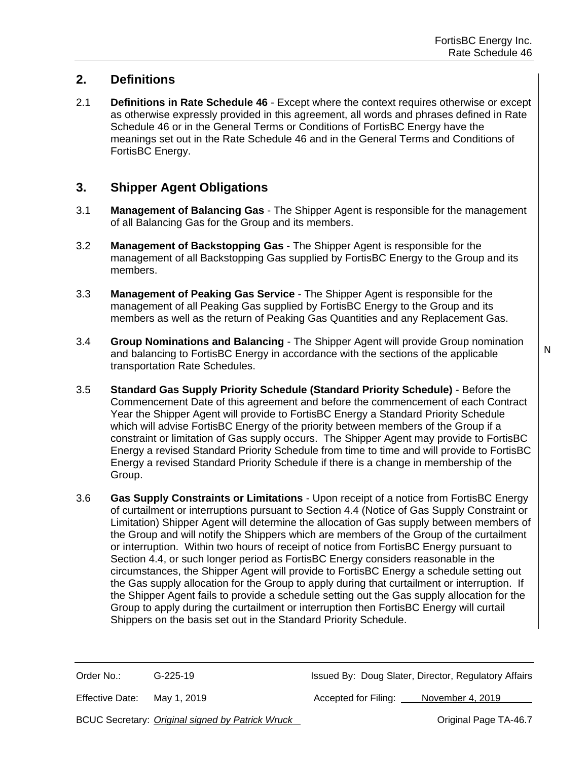N

# **2. Definitions**

2.1 **Definitions in Rate Schedule 46** - Except where the context requires otherwise or except as otherwise expressly provided in this agreement, all words and phrases defined in Rate Schedule 46 or in the General Terms or Conditions of FortisBC Energy have the meanings set out in the Rate Schedule 46 and in the General Terms and Conditions of FortisBC Energy.

### **3. Shipper Agent Obligations**

- 3.1 **Management of Balancing Gas** The Shipper Agent is responsible for the management of all Balancing Gas for the Group and its members.
- 3.2 **Management of Backstopping Gas** The Shipper Agent is responsible for the management of all Backstopping Gas supplied by FortisBC Energy to the Group and its members.
- 3.3 **Management of Peaking Gas Service** The Shipper Agent is responsible for the management of all Peaking Gas supplied by FortisBC Energy to the Group and its members as well as the return of Peaking Gas Quantities and any Replacement Gas.
- 3.4 **Group Nominations and Balancing** The Shipper Agent will provide Group nomination and balancing to FortisBC Energy in accordance with the sections of the applicable transportation Rate Schedules.
- 3.5 **Standard Gas Supply Priority Schedule (Standard Priority Schedule)** Before the Commencement Date of this agreement and before the commencement of each Contract Year the Shipper Agent will provide to FortisBC Energy a Standard Priority Schedule which will advise FortisBC Energy of the priority between members of the Group if a constraint or limitation of Gas supply occurs. The Shipper Agent may provide to FortisBC Energy a revised Standard Priority Schedule from time to time and will provide to FortisBC Energy a revised Standard Priority Schedule if there is a change in membership of the Group.
- 3.6 **Gas Supply Constraints or Limitations** Upon receipt of a notice from FortisBC Energy of curtailment or interruptions pursuant to Section 4.4 (Notice of Gas Supply Constraint or Limitation) Shipper Agent will determine the allocation of Gas supply between members of the Group and will notify the Shippers which are members of the Group of the curtailment or interruption. Within two hours of receipt of notice from FortisBC Energy pursuant to Section 4.4, or such longer period as FortisBC Energy considers reasonable in the circumstances, the Shipper Agent will provide to FortisBC Energy a schedule setting out the Gas supply allocation for the Group to apply during that curtailment or interruption. If the Shipper Agent fails to provide a schedule setting out the Gas supply allocation for the Group to apply during the curtailment or interruption then FortisBC Energy will curtail Shippers on the basis set out in the Standard Priority Schedule.

Order No.: G-225-19 Issued By: Doug Slater, Director, Regulatory Affairs

Effective Date: May 1, 2019 **Accepted for Filing:** November 4, 2019

BCUC Secretary: *Original signed by Patrick Wruck* **Change Communist Communist Page TA-46.7**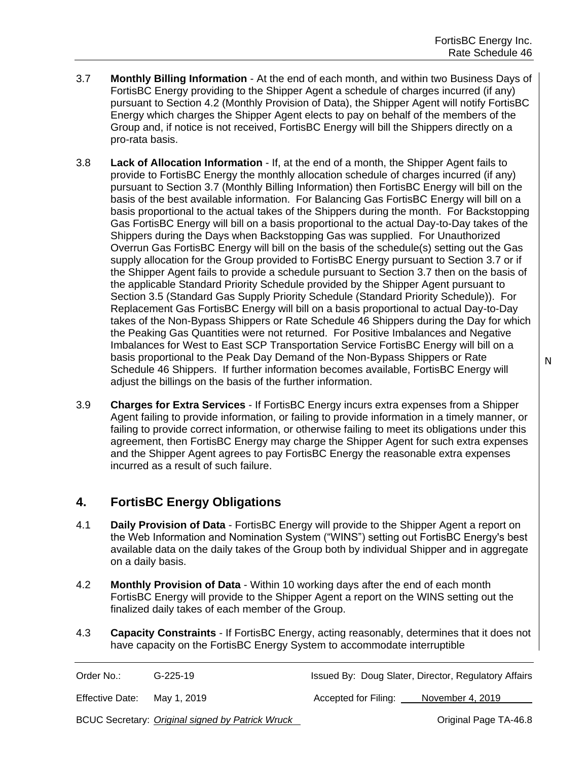- 3.7 **Monthly Billing Information** At the end of each month, and within two Business Days of FortisBC Energy providing to the Shipper Agent a schedule of charges incurred (if any) pursuant to Section 4.2 (Monthly Provision of Data), the Shipper Agent will notify FortisBC Energy which charges the Shipper Agent elects to pay on behalf of the members of the Group and, if notice is not received, FortisBC Energy will bill the Shippers directly on a pro-rata basis.
- 3.8 **Lack of Allocation Information** If, at the end of a month, the Shipper Agent fails to provide to FortisBC Energy the monthly allocation schedule of charges incurred (if any) pursuant to Section 3.7 (Monthly Billing Information) then FortisBC Energy will bill on the basis of the best available information. For Balancing Gas FortisBC Energy will bill on a basis proportional to the actual takes of the Shippers during the month. For Backstopping Gas FortisBC Energy will bill on a basis proportional to the actual Day-to-Day takes of the Shippers during the Days when Backstopping Gas was supplied. For Unauthorized Overrun Gas FortisBC Energy will bill on the basis of the schedule(s) setting out the Gas supply allocation for the Group provided to FortisBC Energy pursuant to Section 3.7 or if the Shipper Agent fails to provide a schedule pursuant to Section 3.7 then on the basis of the applicable Standard Priority Schedule provided by the Shipper Agent pursuant to Section 3.5 (Standard Gas Supply Priority Schedule (Standard Priority Schedule)). For Replacement Gas FortisBC Energy will bill on a basis proportional to actual Day-to-Day takes of the Non-Bypass Shippers or Rate Schedule 46 Shippers during the Day for which the Peaking Gas Quantities were not returned. For Positive Imbalances and Negative Imbalances for West to East SCP Transportation Service FortisBC Energy will bill on a basis proportional to the Peak Day Demand of the Non-Bypass Shippers or Rate Schedule 46 Shippers. If further information becomes available, FortisBC Energy will adjust the billings on the basis of the further information.
- 3.9 **Charges for Extra Services** If FortisBC Energy incurs extra expenses from a Shipper Agent failing to provide information, or failing to provide information in a timely manner, or failing to provide correct information, or otherwise failing to meet its obligations under this agreement, then FortisBC Energy may charge the Shipper Agent for such extra expenses and the Shipper Agent agrees to pay FortisBC Energy the reasonable extra expenses incurred as a result of such failure.

# **4. FortisBC Energy Obligations**

- 4.1 **Daily Provision of Data** FortisBC Energy will provide to the Shipper Agent a report on the Web Information and Nomination System ("WINS") setting out FortisBC Energy's best available data on the daily takes of the Group both by individual Shipper and in aggregate on a daily basis.
- 4.2 **Monthly Provision of Data** Within 10 working days after the end of each month FortisBC Energy will provide to the Shipper Agent a report on the WINS setting out the finalized daily takes of each member of the Group.
- 4.3 **Capacity Constraints** If FortisBC Energy, acting reasonably, determines that it does not have capacity on the FortisBC Energy System to accommodate interruptible

| Order No.: | G-225-19 | Issued By: Doug Slater, Director, Regulatory Affairs |  |  |
|------------|----------|------------------------------------------------------|--|--|
|            |          |                                                      |  |  |

Effective Date: May 1, 2019 **Accepted for Filing:** November 4, 2019

BCUC Secretary: *Original signed by Patrick Wruck* **Change Communist Communist Page TA-46.8**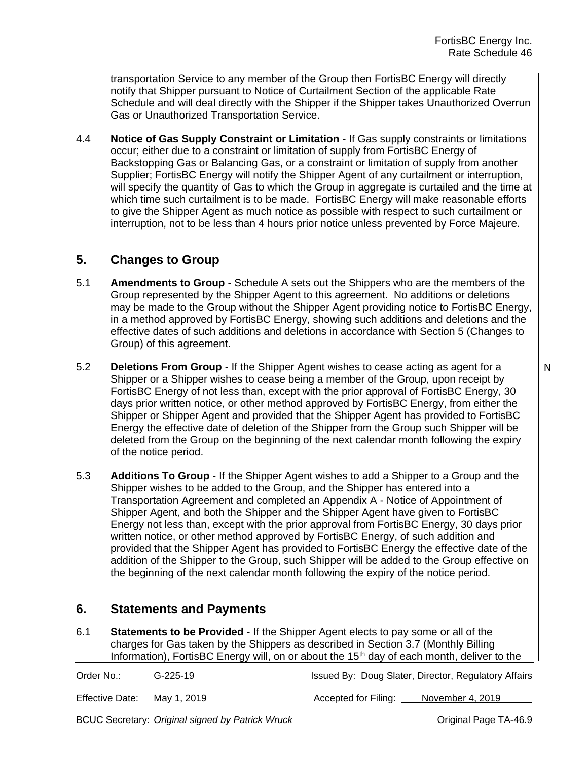transportation Service to any member of the Group then FortisBC Energy will directly notify that Shipper pursuant to Notice of Curtailment Section of the applicable Rate Schedule and will deal directly with the Shipper if the Shipper takes Unauthorized Overrun Gas or Unauthorized Transportation Service.

4.4 **Notice of Gas Supply Constraint or Limitation** - If Gas supply constraints or limitations occur; either due to a constraint or limitation of supply from FortisBC Energy of Backstopping Gas or Balancing Gas, or a constraint or limitation of supply from another Supplier; FortisBC Energy will notify the Shipper Agent of any curtailment or interruption, will specify the quantity of Gas to which the Group in aggregate is curtailed and the time at which time such curtailment is to be made. FortisBC Energy will make reasonable efforts to give the Shipper Agent as much notice as possible with respect to such curtailment or interruption, not to be less than 4 hours prior notice unless prevented by Force Majeure.

# **5. Changes to Group**

- 5.1 **Amendments to Group** Schedule A sets out the Shippers who are the members of the Group represented by the Shipper Agent to this agreement. No additions or deletions may be made to the Group without the Shipper Agent providing notice to FortisBC Energy, in a method approved by FortisBC Energy, showing such additions and deletions and the effective dates of such additions and deletions in accordance with Section 5 (Changes to Group) of this agreement.
- 5.2 **Deletions From Group** If the Shipper Agent wishes to cease acting as agent for a Shipper or a Shipper wishes to cease being a member of the Group, upon receipt by FortisBC Energy of not less than, except with the prior approval of FortisBC Energy, 30 days prior written notice, or other method approved by FortisBC Energy, from either the Shipper or Shipper Agent and provided that the Shipper Agent has provided to FortisBC Energy the effective date of deletion of the Shipper from the Group such Shipper will be deleted from the Group on the beginning of the next calendar month following the expiry of the notice period.
- 5.3 **Additions To Group** If the Shipper Agent wishes to add a Shipper to a Group and the Shipper wishes to be added to the Group, and the Shipper has entered into a Transportation Agreement and completed an Appendix A - Notice of Appointment of Shipper Agent, and both the Shipper and the Shipper Agent have given to FortisBC Energy not less than, except with the prior approval from FortisBC Energy, 30 days prior written notice, or other method approved by FortisBC Energy, of such addition and provided that the Shipper Agent has provided to FortisBC Energy the effective date of the addition of the Shipper to the Group, such Shipper will be added to the Group effective on the beginning of the next calendar month following the expiry of the notice period.

# **6. Statements and Payments**

6.1 **Statements to be Provided** - If the Shipper Agent elects to pay some or all of the charges for Gas taken by the Shippers as described in Section 3.7 (Monthly Billing Information), FortisBC Energy will, on or about the 15<sup>th</sup> day of each month, deliver to the

| Order No.:      | $G-225-19$                                       |                      | Issued By: Doug Slater, Director, Regulatory Affairs |
|-----------------|--------------------------------------------------|----------------------|------------------------------------------------------|
| Effective Date: | Mav 1. 2019                                      | Accepted for Filing: | November 4, 2019                                     |
|                 | BCUC Secretary: Original signed by Patrick Wruck |                      | Original Page TA-46.9                                |

N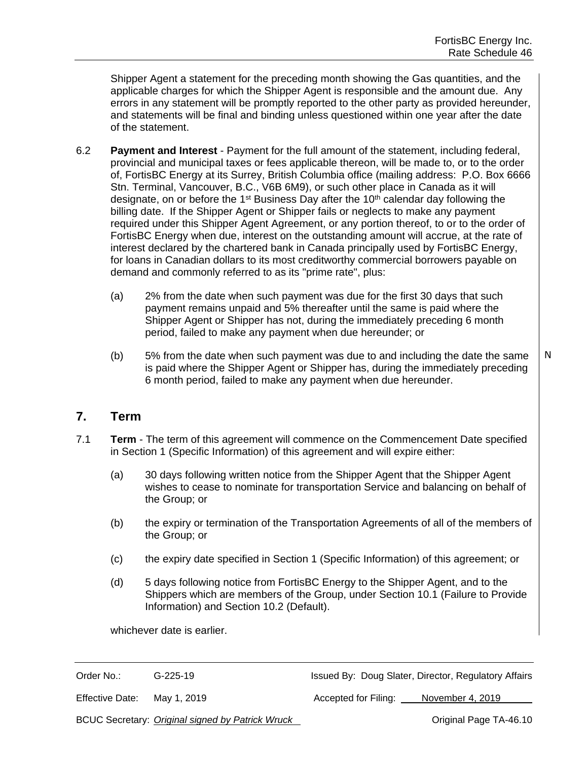Shipper Agent a statement for the preceding month showing the Gas quantities, and the applicable charges for which the Shipper Agent is responsible and the amount due. Any errors in any statement will be promptly reported to the other party as provided hereunder, and statements will be final and binding unless questioned within one year after the date of the statement.

- 6.2 **Payment and Interest** Payment for the full amount of the statement, including federal, provincial and municipal taxes or fees applicable thereon, will be made to, or to the order of, FortisBC Energy at its Surrey, British Columbia office (mailing address: P.O. Box 6666 Stn. Terminal, Vancouver, B.C., V6B 6M9), or such other place in Canada as it will designate, on or before the 1<sup>st</sup> Business Day after the 10<sup>th</sup> calendar day following the billing date. If the Shipper Agent or Shipper fails or neglects to make any payment required under this Shipper Agent Agreement, or any portion thereof, to or to the order of FortisBC Energy when due, interest on the outstanding amount will accrue, at the rate of interest declared by the chartered bank in Canada principally used by FortisBC Energy, for loans in Canadian dollars to its most creditworthy commercial borrowers payable on demand and commonly referred to as its "prime rate", plus:
	- (a) 2% from the date when such payment was due for the first 30 days that such payment remains unpaid and 5% thereafter until the same is paid where the Shipper Agent or Shipper has not, during the immediately preceding 6 month period, failed to make any payment when due hereunder; or
	- (b) 5% from the date when such payment was due to and including the date the same is paid where the Shipper Agent or Shipper has, during the immediately preceding 6 month period, failed to make any payment when due hereunder. N

#### **7. Term**

- 7.1 **Term**  The term of this agreement will commence on the Commencement Date specified in Section 1 (Specific Information) of this agreement and will expire either:
	- (a) 30 days following written notice from the Shipper Agent that the Shipper Agent wishes to cease to nominate for transportation Service and balancing on behalf of the Group; or
	- (b) the expiry or termination of the Transportation Agreements of all of the members of the Group; or
	- (c) the expiry date specified in Section 1 (Specific Information) of this agreement; or
	- (d) 5 days following notice from FortisBC Energy to the Shipper Agent, and to the Shippers which are members of the Group, under Section 10.1 (Failure to Provide Information) and Section 10.2 (Default).

whichever date is earlier.

Order No.: G-225-19 G-225-19 Issued By: Doug Slater, Director, Regulatory Affairs

Effective Date: May 1, 2019 **Accepted for Filing:** November 4, 2019

BCUC Secretary: *Original signed by Patrick Wruck* **Community Community Community Community** Original Page TA-46.10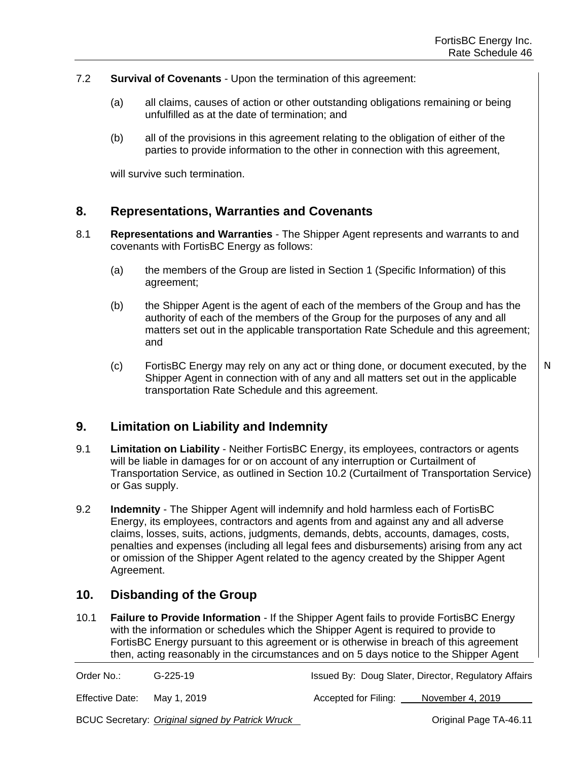- 7.2 **Survival of Covenants** Upon the termination of this agreement:
	- (a) all claims, causes of action or other outstanding obligations remaining or being unfulfilled as at the date of termination; and
	- (b) all of the provisions in this agreement relating to the obligation of either of the parties to provide information to the other in connection with this agreement,

will survive such termination.

#### **8. Representations, Warranties and Covenants**

- 8.1 **Representations and Warranties** The Shipper Agent represents and warrants to and covenants with FortisBC Energy as follows:
	- (a) the members of the Group are listed in Section 1 (Specific Information) of this agreement;
	- (b) the Shipper Agent is the agent of each of the members of the Group and has the authority of each of the members of the Group for the purposes of any and all matters set out in the applicable transportation Rate Schedule and this agreement; and
	- (c) FortisBC Energy may rely on any act or thing done, or document executed, by the Shipper Agent in connection with of any and all matters set out in the applicable transportation Rate Schedule and this agreement. N

#### **9. Limitation on Liability and Indemnity**

- 9.1 **Limitation on Liability** Neither FortisBC Energy, its employees, contractors or agents will be liable in damages for or on account of any interruption or Curtailment of Transportation Service, as outlined in Section 10.2 (Curtailment of Transportation Service) or Gas supply.
- 9.2 **Indemnity** The Shipper Agent will indemnify and hold harmless each of FortisBC Energy, its employees, contractors and agents from and against any and all adverse claims, losses, suits, actions, judgments, demands, debts, accounts, damages, costs, penalties and expenses (including all legal fees and disbursements) arising from any act or omission of the Shipper Agent related to the agency created by the Shipper Agent Agreement.

#### **10. Disbanding of the Group**

10.1 **Failure to Provide Information** - If the Shipper Agent fails to provide FortisBC Energy with the information or schedules which the Shipper Agent is required to provide to FortisBC Energy pursuant to this agreement or is otherwise in breach of this agreement then, acting reasonably in the circumstances and on 5 days notice to the Shipper Agent

| Order No.:      | $G-225-19$  |                      | Issued By: Doug Slater, Director, Regulatory Affairs |
|-----------------|-------------|----------------------|------------------------------------------------------|
| Effective Date: | Mav 1. 2019 | Accepted for Filing: | November 4, 2019                                     |

BCUC Secretary: *Original signed by Patrick Wruck* **Community Community Community Community** Original Page TA-46.11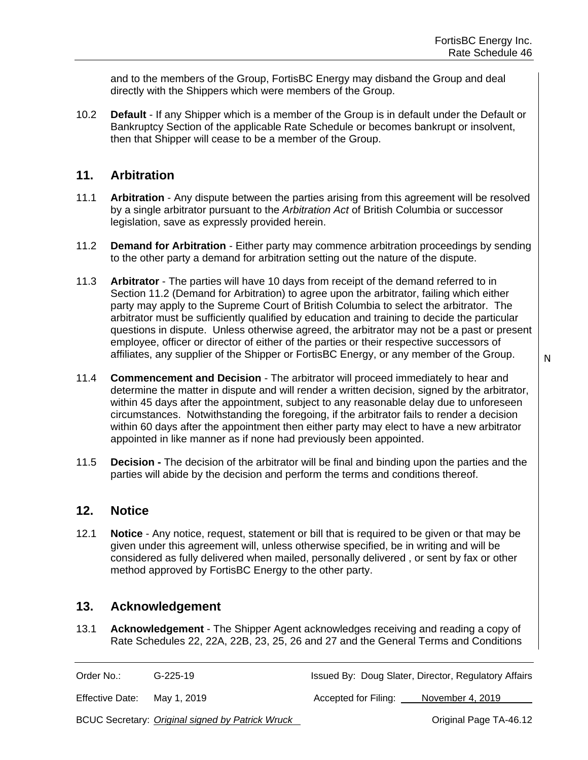and to the members of the Group, FortisBC Energy may disband the Group and deal directly with the Shippers which were members of the Group.

10.2 **Default** - If any Shipper which is a member of the Group is in default under the Default or Bankruptcy Section of the applicable Rate Schedule or becomes bankrupt or insolvent, then that Shipper will cease to be a member of the Group.

## **11. Arbitration**

- 11.1 **Arbitration** Any dispute between the parties arising from this agreement will be resolved by a single arbitrator pursuant to the *Arbitration Act* of British Columbia or successor legislation, save as expressly provided herein.
- 11.2 **Demand for Arbitration** Either party may commence arbitration proceedings by sending to the other party a demand for arbitration setting out the nature of the dispute.
- 11.3 **Arbitrator**  The parties will have 10 days from receipt of the demand referred to in Section 11.2 (Demand for Arbitration) to agree upon the arbitrator, failing which either party may apply to the Supreme Court of British Columbia to select the arbitrator. The arbitrator must be sufficiently qualified by education and training to decide the particular questions in dispute. Unless otherwise agreed, the arbitrator may not be a past or present employee, officer or director of either of the parties or their respective successors of affiliates, any supplier of the Shipper or FortisBC Energy, or any member of the Group.
- 11.4 **Commencement and Decision** The arbitrator will proceed immediately to hear and determine the matter in dispute and will render a written decision, signed by the arbitrator, within 45 days after the appointment, subject to any reasonable delay due to unforeseen circumstances. Notwithstanding the foregoing, if the arbitrator fails to render a decision within 60 days after the appointment then either party may elect to have a new arbitrator appointed in like manner as if none had previously been appointed.
- 11.5 **Decision -** The decision of the arbitrator will be final and binding upon the parties and the parties will abide by the decision and perform the terms and conditions thereof.

#### **12. Notice**

12.1 **Notice** - Any notice, request, statement or bill that is required to be given or that may be given under this agreement will, unless otherwise specified, be in writing and will be considered as fully delivered when mailed, personally delivered , or sent by fax or other method approved by FortisBC Energy to the other party.

#### **13. Acknowledgement**

13.1 **Acknowledgement** - The Shipper Agent acknowledges receiving and reading a copy of Rate Schedules 22, 22A, 22B, 23, 25, 26 and 27 and the General Terms and Conditions

Order No.: G-225-19 Issued By: Doug Slater, Director, Regulatory Affairs

Effective Date: May 1, 2019 **Accepted for Filing:** November 4, 2019

BCUC Secretary: *Original signed by Patrick Wruck* **Community Community Community Community** Original Page TA-46.12